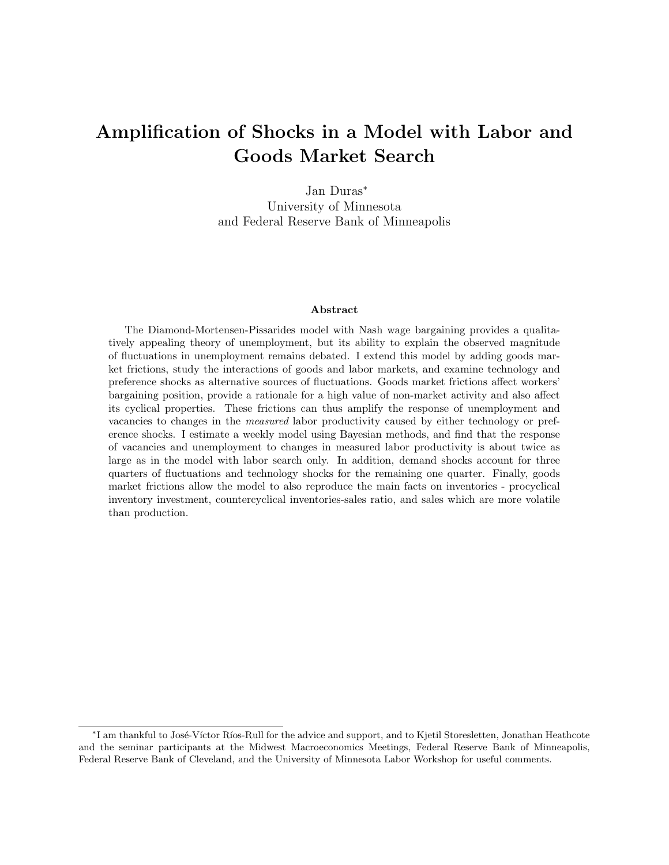# Amplification of Shocks in a Model with Labor and Goods Market Search

Jan Duras<sup>∗</sup> University of Minnesota and Federal Reserve Bank of Minneapolis

#### Abstract

The Diamond-Mortensen-Pissarides model with Nash wage bargaining provides a qualitatively appealing theory of unemployment, but its ability to explain the observed magnitude of fluctuations in unemployment remains debated. I extend this model by adding goods market frictions, study the interactions of goods and labor markets, and examine technology and preference shocks as alternative sources of fluctuations. Goods market frictions affect workers' bargaining position, provide a rationale for a high value of non-market activity and also affect its cyclical properties. These frictions can thus amplify the response of unemployment and vacancies to changes in the measured labor productivity caused by either technology or preference shocks. I estimate a weekly model using Bayesian methods, and find that the response of vacancies and unemployment to changes in measured labor productivity is about twice as large as in the model with labor search only. In addition, demand shocks account for three quarters of fluctuations and technology shocks for the remaining one quarter. Finally, goods market frictions allow the model to also reproduce the main facts on inventories - procyclical inventory investment, countercyclical inventories-sales ratio, and sales which are more volatile than production.

<sup>\*</sup>I am thankful to José-Víctor Ríos-Rull for the advice and support, and to Kjetil Storesletten, Jonathan Heathcote and the seminar participants at the Midwest Macroeconomics Meetings, Federal Reserve Bank of Minneapolis, Federal Reserve Bank of Cleveland, and the University of Minnesota Labor Workshop for useful comments.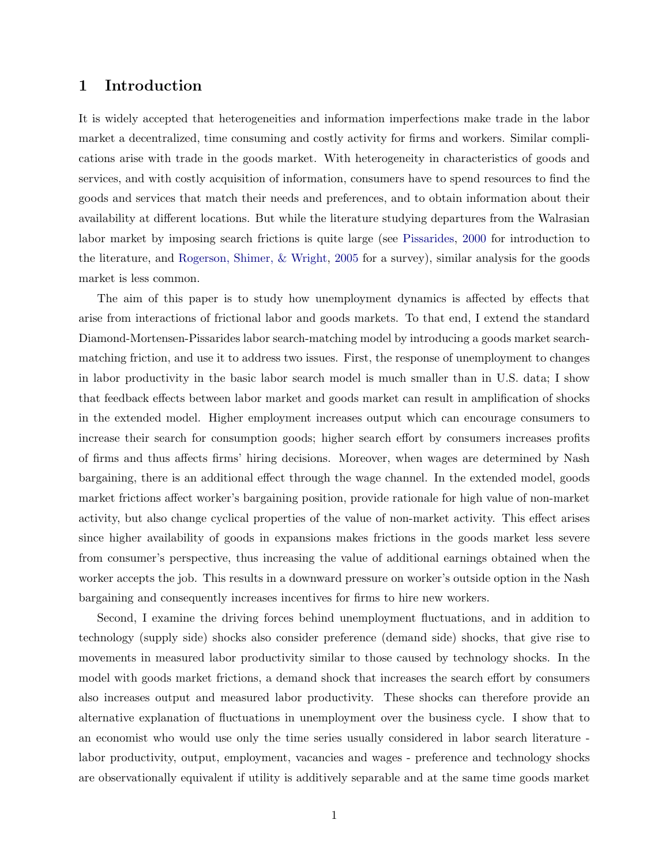### <span id="page-1-0"></span>1 Introduction

It is widely accepted that heterogeneities and information imperfections make trade in the labor market a decentralized, time consuming and costly activity for firms and workers. Similar complications arise with trade in the goods market. With heterogeneity in characteristics of goods and services, and with costly acquisition of information, consumers have to spend resources to find the goods and services that match their needs and preferences, and to obtain information about their availability at different locations. But while the literature studying departures from the Walrasian labor market by imposing search frictions is quite large (see [Pissarides,](#page-37-0) [2000](#page-37-0) for introduction to the literature, and [Rogerson, Shimer, & Wright,](#page-37-1) [2005](#page-37-1) for a survey), similar analysis for the goods market is less common.

The aim of this paper is to study how unemployment dynamics is affected by effects that arise from interactions of frictional labor and goods markets. To that end, I extend the standard Diamond-Mortensen-Pissarides labor search-matching model by introducing a goods market searchmatching friction, and use it to address two issues. First, the response of unemployment to changes in labor productivity in the basic labor search model is much smaller than in U.S. data; I show that feedback effects between labor market and goods market can result in amplification of shocks in the extended model. Higher employment increases output which can encourage consumers to increase their search for consumption goods; higher search effort by consumers increases profits of firms and thus affects firms' hiring decisions. Moreover, when wages are determined by Nash bargaining, there is an additional effect through the wage channel. In the extended model, goods market frictions affect worker's bargaining position, provide rationale for high value of non-market activity, but also change cyclical properties of the value of non-market activity. This effect arises since higher availability of goods in expansions makes frictions in the goods market less severe from consumer's perspective, thus increasing the value of additional earnings obtained when the worker accepts the job. This results in a downward pressure on worker's outside option in the Nash bargaining and consequently increases incentives for firms to hire new workers.

Second, I examine the driving forces behind unemployment fluctuations, and in addition to technology (supply side) shocks also consider preference (demand side) shocks, that give rise to movements in measured labor productivity similar to those caused by technology shocks. In the model with goods market frictions, a demand shock that increases the search effort by consumers also increases output and measured labor productivity. These shocks can therefore provide an alternative explanation of fluctuations in unemployment over the business cycle. I show that to an economist who would use only the time series usually considered in labor search literature labor productivity, output, employment, vacancies and wages - preference and technology shocks are observationally equivalent if utility is additively separable and at the same time goods market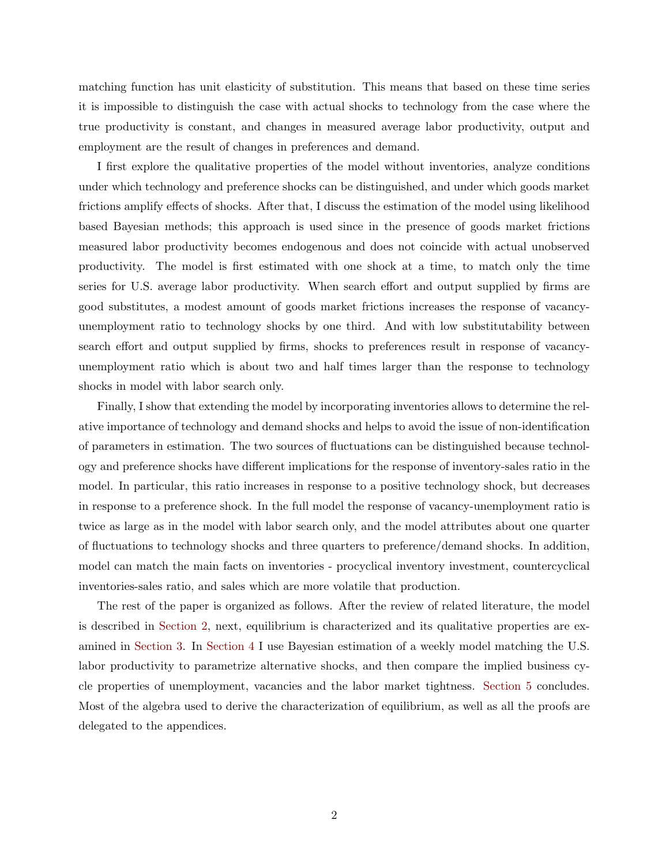matching function has unit elasticity of substitution. This means that based on these time series it is impossible to distinguish the case with actual shocks to technology from the case where the true productivity is constant, and changes in measured average labor productivity, output and employment are the result of changes in preferences and demand.

I first explore the qualitative properties of the model without inventories, analyze conditions under which technology and preference shocks can be distinguished, and under which goods market frictions amplify effects of shocks. After that, I discuss the estimation of the model using likelihood based Bayesian methods; this approach is used since in the presence of goods market frictions measured labor productivity becomes endogenous and does not coincide with actual unobserved productivity. The model is first estimated with one shock at a time, to match only the time series for U.S. average labor productivity. When search effort and output supplied by firms are good substitutes, a modest amount of goods market frictions increases the response of vacancyunemployment ratio to technology shocks by one third. And with low substitutability between search effort and output supplied by firms, shocks to preferences result in response of vacancyunemployment ratio which is about two and half times larger than the response to technology shocks in model with labor search only.

Finally, I show that extending the model by incorporating inventories allows to determine the relative importance of technology and demand shocks and helps to avoid the issue of non-identification of parameters in estimation. The two sources of fluctuations can be distinguished because technology and preference shocks have different implications for the response of inventory-sales ratio in the model. In particular, this ratio increases in response to a positive technology shock, but decreases in response to a preference shock. In the full model the response of vacancy-unemployment ratio is twice as large as in the model with labor search only, and the model attributes about one quarter of fluctuations to technology shocks and three quarters to preference/demand shocks. In addition, model can match the main facts on inventories - procyclical inventory investment, countercyclical inventories-sales ratio, and sales which are more volatile that production.

The rest of the paper is organized as follows. After the review of related literature, the model is described in [Section 2,](#page-5-0) next, equilibrium is characterized and its qualitative properties are examined in [Section 3.](#page-10-0) In [Section 4](#page-18-0) I use Bayesian estimation of a weekly model matching the U.S. labor productivity to parametrize alternative shocks, and then compare the implied business cycle properties of unemployment, vacancies and the labor market tightness. [Section 5](#page-34-0) concludes. Most of the algebra used to derive the characterization of equilibrium, as well as all the proofs are delegated to the appendices.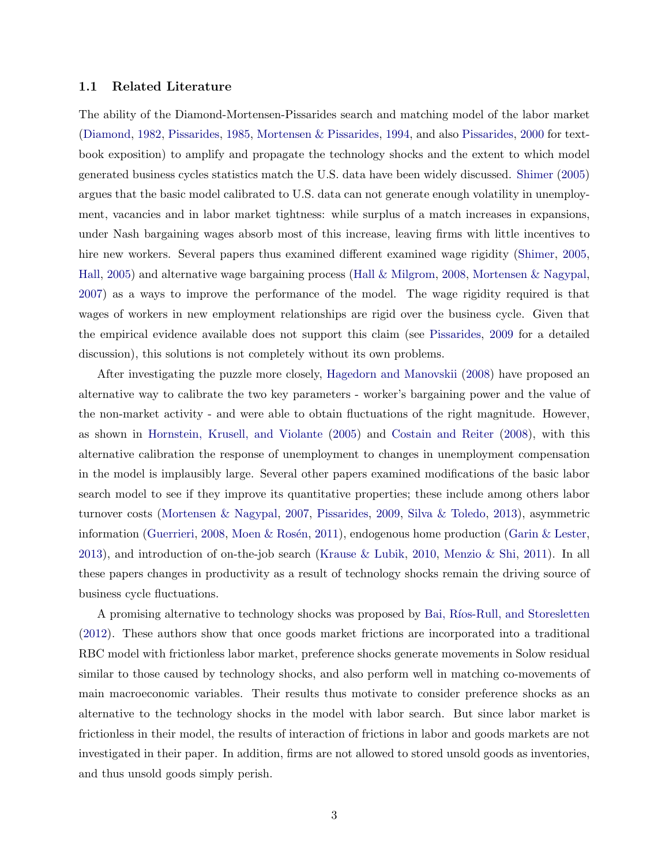#### <span id="page-3-0"></span>1.1 Related Literature

The ability of the Diamond-Mortensen-Pissarides search and matching model of the labor market [\(Diamond,](#page-35-0) [1982,](#page-35-0) [Pissarides,](#page-36-0) [1985,](#page-36-0) [Mortensen & Pissarides,](#page-36-1) [1994,](#page-36-1) and also [Pissarides,](#page-37-0) [2000](#page-37-0) for textbook exposition) to amplify and propagate the technology shocks and the extent to which model generated business cycles statistics match the U.S. data have been widely discussed. [Shimer](#page-37-2) [\(2005\)](#page-37-2) argues that the basic model calibrated to U.S. data can not generate enough volatility in unemployment, vacancies and in labor market tightness: while surplus of a match increases in expansions, under Nash bargaining wages absorb most of this increase, leaving firms with little incentives to hire new workers. Several papers thus examined different examined wage rigidity [\(Shimer,](#page-37-2) [2005,](#page-37-2) [Hall,](#page-35-1) [2005\)](#page-35-1) and alternative wage bargaining process [\(Hall & Milgrom,](#page-35-2) [2008,](#page-35-2) [Mortensen & Nagypal,](#page-36-2) [2007\)](#page-36-2) as a ways to improve the performance of the model. The wage rigidity required is that wages of workers in new employment relationships are rigid over the business cycle. Given that the empirical evidence available does not support this claim (see [Pissarides,](#page-37-3) [2009](#page-37-3) for a detailed discussion), this solutions is not completely without its own problems.

After investigating the puzzle more closely, [Hagedorn and Manovskii](#page-35-3) [\(2008\)](#page-35-3) have proposed an alternative way to calibrate the two key parameters - worker's bargaining power and the value of the non-market activity - and were able to obtain fluctuations of the right magnitude. However, as shown in [Hornstein, Krusell, and Violante](#page-35-4) [\(2005\)](#page-35-4) and [Costain and Reiter](#page-35-5) [\(2008\)](#page-35-5), with this alternative calibration the response of unemployment to changes in unemployment compensation in the model is implausibly large. Several other papers examined modifications of the basic labor search model to see if they improve its quantitative properties; these include among others labor turnover costs [\(Mortensen & Nagypal,](#page-36-2) [2007,](#page-36-2) [Pissarides,](#page-37-3) [2009,](#page-37-3) [Silva & Toledo,](#page-37-4) [2013\)](#page-37-4), asymmetric information [\(Guerrieri,](#page-35-6) [2008,](#page-35-6) Moen & Rosén, [2011\)](#page-36-3), endogenous home production [\(Garin & Lester,](#page-35-7) [2013\)](#page-35-7), and introduction of on-the-job search [\(Krause & Lubik,](#page-36-4) [2010,](#page-36-4) [Menzio & Shi,](#page-36-5) [2011\)](#page-36-5). In all these papers changes in productivity as a result of technology shocks remain the driving source of business cycle fluctuations.

A promising alternative to technology shocks was proposed by Bai, Ríos-Rull, and Storesletten [\(2012\)](#page-35-8). These authors show that once goods market frictions are incorporated into a traditional RBC model with frictionless labor market, preference shocks generate movements in Solow residual similar to those caused by technology shocks, and also perform well in matching co-movements of main macroeconomic variables. Their results thus motivate to consider preference shocks as an alternative to the technology shocks in the model with labor search. But since labor market is frictionless in their model, the results of interaction of frictions in labor and goods markets are not investigated in their paper. In addition, firms are not allowed to stored unsold goods as inventories, and thus unsold goods simply perish.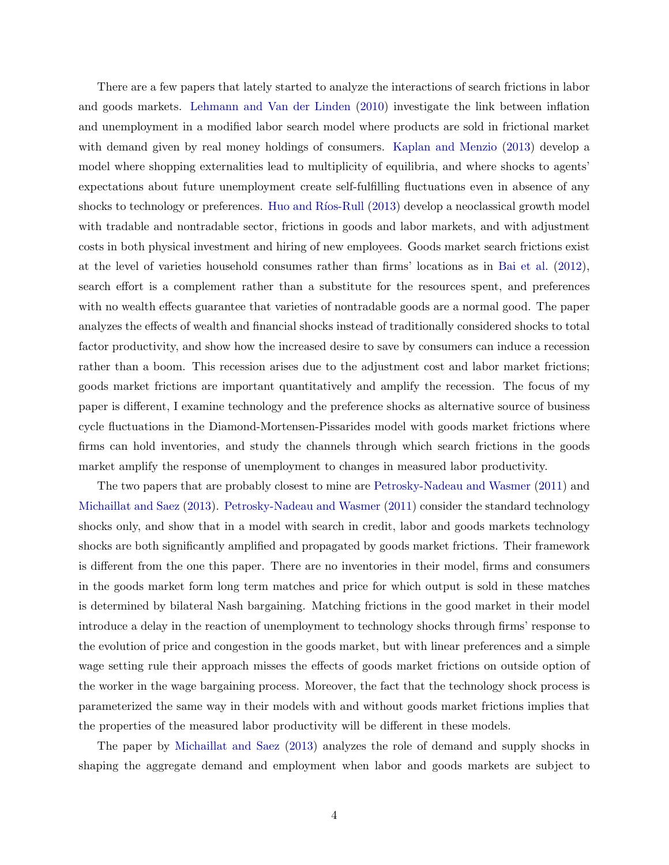<span id="page-4-0"></span>There are a few papers that lately started to analyze the interactions of search frictions in labor and goods markets. [Lehmann and Van der Linden](#page-36-6) [\(2010\)](#page-36-6) investigate the link between inflation and unemployment in a modified labor search model where products are sold in frictional market with demand given by real money holdings of consumers. [Kaplan and Menzio](#page-36-7) [\(2013\)](#page-36-7) develop a model where shopping externalities lead to multiplicity of equilibria, and where shocks to agents' expectations about future unemployment create self-fulfilling fluctuations even in absence of any shocks to technology or preferences. Huo and Ríos-Rull [\(2013\)](#page-36-8) develop a neoclassical growth model with tradable and nontradable sector, frictions in goods and labor markets, and with adjustment costs in both physical investment and hiring of new employees. Goods market search frictions exist at the level of varieties household consumes rather than firms' locations as in [Bai et al.](#page-35-8) [\(2012\)](#page-35-8), search effort is a complement rather than a substitute for the resources spent, and preferences with no wealth effects guarantee that varieties of nontradable goods are a normal good. The paper analyzes the effects of wealth and financial shocks instead of traditionally considered shocks to total factor productivity, and show how the increased desire to save by consumers can induce a recession rather than a boom. This recession arises due to the adjustment cost and labor market frictions; goods market frictions are important quantitatively and amplify the recession. The focus of my paper is different, I examine technology and the preference shocks as alternative source of business cycle fluctuations in the Diamond-Mortensen-Pissarides model with goods market frictions where firms can hold inventories, and study the channels through which search frictions in the goods market amplify the response of unemployment to changes in measured labor productivity.

The two papers that are probably closest to mine are [Petrosky-Nadeau and Wasmer](#page-36-9) [\(2011\)](#page-36-9) and [Michaillat and Saez](#page-36-10) [\(2013\)](#page-36-10). [Petrosky-Nadeau and Wasmer](#page-36-9) [\(2011\)](#page-36-9) consider the standard technology shocks only, and show that in a model with search in credit, labor and goods markets technology shocks are both significantly amplified and propagated by goods market frictions. Their framework is different from the one this paper. There are no inventories in their model, firms and consumers in the goods market form long term matches and price for which output is sold in these matches is determined by bilateral Nash bargaining. Matching frictions in the good market in their model introduce a delay in the reaction of unemployment to technology shocks through firms' response to the evolution of price and congestion in the goods market, but with linear preferences and a simple wage setting rule their approach misses the effects of goods market frictions on outside option of the worker in the wage bargaining process. Moreover, the fact that the technology shock process is parameterized the same way in their models with and without goods market frictions implies that the properties of the measured labor productivity will be different in these models.

The paper by [Michaillat and Saez](#page-36-10) [\(2013\)](#page-36-10) analyzes the role of demand and supply shocks in shaping the aggregate demand and employment when labor and goods markets are subject to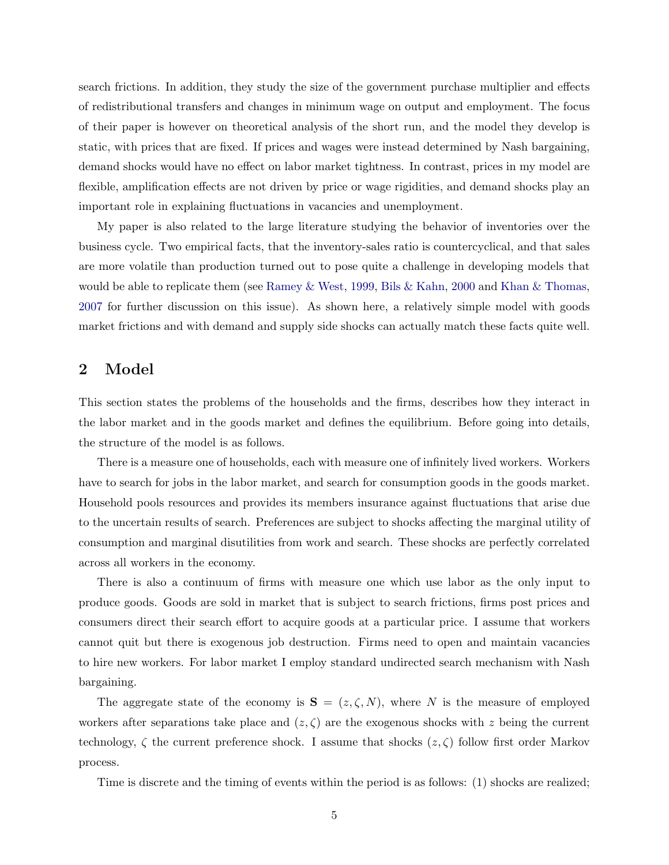<span id="page-5-1"></span>search frictions. In addition, they study the size of the government purchase multiplier and effects of redistributional transfers and changes in minimum wage on output and employment. The focus of their paper is however on theoretical analysis of the short run, and the model they develop is static, with prices that are fixed. If prices and wages were instead determined by Nash bargaining, demand shocks would have no effect on labor market tightness. In contrast, prices in my model are flexible, amplification effects are not driven by price or wage rigidities, and demand shocks play an important role in explaining fluctuations in vacancies and unemployment.

My paper is also related to the large literature studying the behavior of inventories over the business cycle. Two empirical facts, that the inventory-sales ratio is countercyclical, and that sales are more volatile than production turned out to pose quite a challenge in developing models that would be able to replicate them (see [Ramey & West,](#page-37-5) [1999,](#page-37-5) [Bils & Kahn,](#page-35-9) [2000](#page-35-9) and [Khan & Thomas,](#page-36-11) [2007](#page-36-11) for further discussion on this issue). As shown here, a relatively simple model with goods market frictions and with demand and supply side shocks can actually match these facts quite well.

### <span id="page-5-0"></span>2 Model

This section states the problems of the households and the firms, describes how they interact in the labor market and in the goods market and defines the equilibrium. Before going into details, the structure of the model is as follows.

There is a measure one of households, each with measure one of infinitely lived workers. Workers have to search for jobs in the labor market, and search for consumption goods in the goods market. Household pools resources and provides its members insurance against fluctuations that arise due to the uncertain results of search. Preferences are subject to shocks affecting the marginal utility of consumption and marginal disutilities from work and search. These shocks are perfectly correlated across all workers in the economy.

There is also a continuum of firms with measure one which use labor as the only input to produce goods. Goods are sold in market that is subject to search frictions, firms post prices and consumers direct their search effort to acquire goods at a particular price. I assume that workers cannot quit but there is exogenous job destruction. Firms need to open and maintain vacancies to hire new workers. For labor market I employ standard undirected search mechanism with Nash bargaining.

The aggregate state of the economy is  $S = (z, \zeta, N)$ , where N is the measure of employed workers after separations take place and  $(z, \zeta)$  are the exogenous shocks with z being the current technology,  $\zeta$  the current preference shock. I assume that shocks  $(z,\zeta)$  follow first order Markov process.

Time is discrete and the timing of events within the period is as follows: (1) shocks are realized;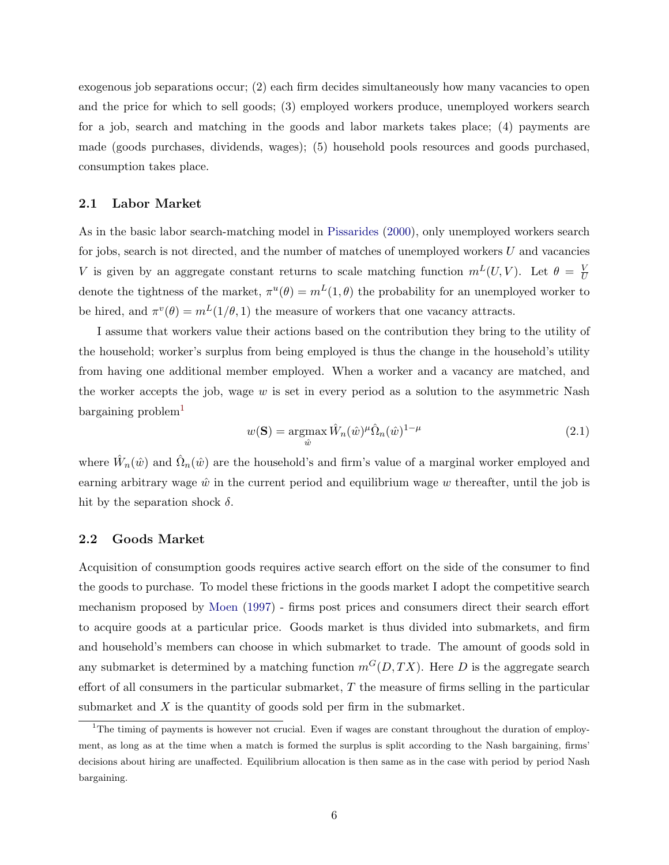<span id="page-6-2"></span>exogenous job separations occur; (2) each firm decides simultaneously how many vacancies to open and the price for which to sell goods; (3) employed workers produce, unemployed workers search for a job, search and matching in the goods and labor markets takes place; (4) payments are made (goods purchases, dividends, wages); (5) household pools resources and goods purchased, consumption takes place.

#### 2.1 Labor Market

As in the basic labor search-matching model in [Pissarides](#page-37-0) [\(2000\)](#page-37-0), only unemployed workers search for jobs, search is not directed, and the number of matches of unemployed workers  $U$  and vacancies V is given by an aggregate constant returns to scale matching function  $m<sup>L</sup>(U, V)$ . Let  $\theta = \frac{V}{L}$  $\overline{U}$ denote the tightness of the market,  $\pi^u(\theta) = m^L(1,\theta)$  the probability for an unemployed worker to be hired, and  $\pi^v(\theta) = m^L(1/\theta, 1)$  the measure of workers that one vacancy attracts.

I assume that workers value their actions based on the contribution they bring to the utility of the household; worker's surplus from being employed is thus the change in the household's utility from having one additional member employed. When a worker and a vacancy are matched, and the worker accepts the job, wage  $w$  is set in every period as a solution to the asymmetric Nash  $bargaining problem<sup>1</sup>$  $bargaining problem<sup>1</sup>$  $bargaining problem<sup>1</sup>$ 

<span id="page-6-1"></span>
$$
w(\mathbf{S}) = \underset{\hat{w}}{\operatorname{argmax}} \,\hat{W}_n(\hat{w})^\mu \hat{\Omega}_n(\hat{w})^{1-\mu} \tag{2.1}
$$

where  $\hat{W}_n(\hat{w})$  and  $\hat{\Omega}_n(\hat{w})$  are the household's and firm's value of a marginal worker employed and earning arbitrary wage  $\hat{w}$  in the current period and equilibrium wage w thereafter, until the job is hit by the separation shock  $\delta$ .

#### 2.2 Goods Market

Acquisition of consumption goods requires active search effort on the side of the consumer to find the goods to purchase. To model these frictions in the goods market I adopt the competitive search mechanism proposed by [Moen](#page-36-12) [\(1997\)](#page-36-12) - firms post prices and consumers direct their search effort to acquire goods at a particular price. Goods market is thus divided into submarkets, and firm and household's members can choose in which submarket to trade. The amount of goods sold in any submarket is determined by a matching function  $m<sup>G</sup>(D, TX)$ . Here D is the aggregate search effort of all consumers in the particular submarket,  $T$  the measure of firms selling in the particular submarket and  $X$  is the quantity of goods sold per firm in the submarket.

<span id="page-6-0"></span><sup>&</sup>lt;sup>1</sup>The timing of payments is however not crucial. Even if wages are constant throughout the duration of employment, as long as at the time when a match is formed the surplus is split according to the Nash bargaining, firms' decisions about hiring are unaffected. Equilibrium allocation is then same as in the case with period by period Nash bargaining.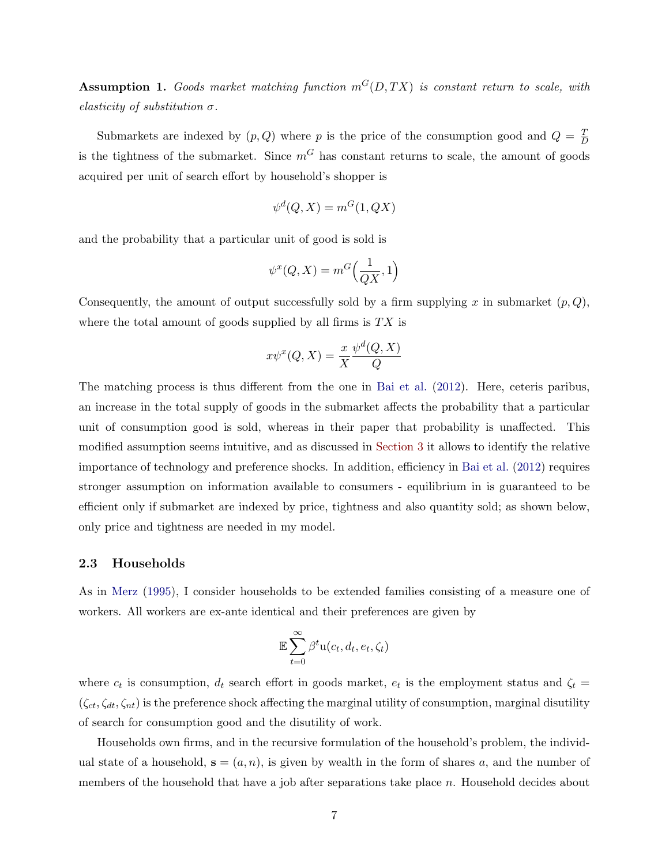<span id="page-7-1"></span>Assumption 1. Goods market matching function  $m<sup>G</sup>(D,TX)$  is constant return to scale, with elasticity of substitution  $\sigma$ .

Submarkets are indexed by  $(p, Q)$  where p is the price of the consumption good and  $Q = \frac{T}{L}$ D is the tightness of the submarket. Since  $m<sup>G</sup>$  has constant returns to scale, the amount of goods acquired per unit of search effort by household's shopper is

$$
\psi^d(Q, X) = m^G(1, QX)
$$

and the probability that a particular unit of good is sold is

$$
\psi^x(Q, X) = m^G\Big(\frac{1}{QX}, 1\Big)
$$

Consequently, the amount of output successfully sold by a firm supplying x in submarket  $(p, Q)$ , where the total amount of goods supplied by all firms is  $TX$  is

$$
x\psi^x(Q, X) = \frac{x}{X} \frac{\psi^d(Q, X)}{Q}
$$

The matching process is thus different from the one in [Bai et al.](#page-35-8) [\(2012\)](#page-35-8). Here, ceteris paribus, an increase in the total supply of goods in the submarket affects the probability that a particular unit of consumption good is sold, whereas in their paper that probability is unaffected. This modified assumption seems intuitive, and as discussed in [Section 3](#page-10-0) it allows to identify the relative importance of technology and preference shocks. In addition, efficiency in [Bai et al.](#page-35-8) [\(2012\)](#page-35-8) requires stronger assumption on information available to consumers - equilibrium in is guaranteed to be efficient only if submarket are indexed by price, tightness and also quantity sold; as shown below, only price and tightness are needed in my model.

#### <span id="page-7-0"></span>2.3 Households

As in [Merz](#page-36-13) [\(1995\)](#page-36-13), I consider households to be extended families consisting of a measure one of workers. All workers are ex-ante identical and their preferences are given by

$$
\mathbb{E}\sum_{t=0}^{\infty}\beta^t\mathbf{u}(c_t,d_t,e_t,\zeta_t)
$$

where  $c_t$  is consumption,  $d_t$  search effort in goods market,  $e_t$  is the employment status and  $\zeta_t =$  $(\zeta_{ct}, \zeta_{dt}, \zeta_{nt})$  is the preference shock affecting the marginal utility of consumption, marginal disutility of search for consumption good and the disutility of work.

Households own firms, and in the recursive formulation of the household's problem, the individual state of a household,  $s = (a, n)$ , is given by wealth in the form of shares a, and the number of members of the household that have a job after separations take place n. Household decides about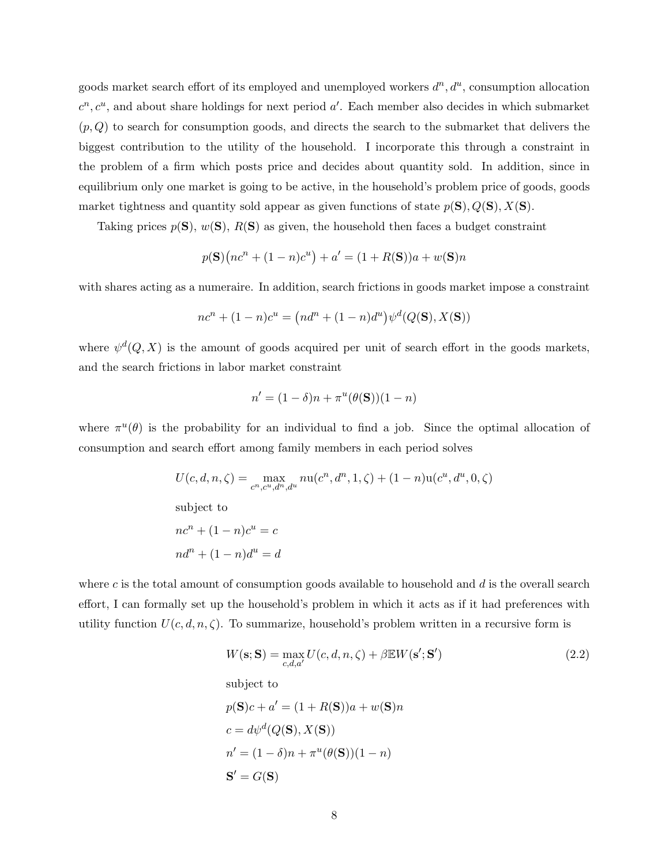goods market search effort of its employed and unemployed workers  $d^n, d^u$ , consumption allocation  $c^n, c^u$ , and about share holdings for next period  $a'$ . Each member also decides in which submarket  $(p, Q)$  to search for consumption goods, and directs the search to the submarket that delivers the biggest contribution to the utility of the household. I incorporate this through a constraint in the problem of a firm which posts price and decides about quantity sold. In addition, since in equilibrium only one market is going to be active, in the household's problem price of goods, goods market tightness and quantity sold appear as given functions of state  $p(S), Q(S), X(S)$ .

Taking prices  $p(S)$ ,  $w(S)$ ,  $R(S)$  as given, the household then faces a budget constraint

$$
p(S)(nc^{n} + (1 - n)c^{u}) + a' = (1 + R(S))a + w(S)n
$$

with shares acting as a numeraire. In addition, search frictions in goods market impose a constraint

$$
nc^{n} + (1 - n)c^{u} = (nd^{n} + (1 - n)d^{u})\psi^{d}(Q(\mathbf{S}), X(\mathbf{S}))
$$

where  $\psi^d(Q, X)$  is the amount of goods acquired per unit of search effort in the goods markets, and the search frictions in labor market constraint

$$
n' = (1 - \delta)n + \pi^u(\theta(\mathbf{S}))(1 - n)
$$

where  $\pi^u(\theta)$  is the probability for an individual to find a job. Since the optimal allocation of consumption and search effort among family members in each period solves

$$
U(c, d, n, \zeta) = \max_{c^n, c^u, d^n, d^u} nu(c^n, d^n, 1, \zeta) + (1 - n)u(c^u, d^u, 0, \zeta)
$$
  
subject to  

$$
nc^n + (1 - n)c^u = c
$$

$$
nd^n + (1 - n)d^u = d
$$

where c is the total amount of consumption goods available to household and  $d$  is the overall search effort, I can formally set up the household's problem in which it acts as if it had preferences with utility function  $U(c, d, n, \zeta)$ . To summarize, household's problem written in a recursive form is

<span id="page-8-0"></span>
$$
W(\mathbf{s}; \mathbf{S}) = \max_{c,d,a'} U(c,d,n,\zeta) + \beta \mathbb{E}W(\mathbf{s}'; \mathbf{S}')
$$
\nsubject to

\n
$$
p(\mathbf{S})c + a' = (1 + R(\mathbf{S}))a + w(\mathbf{S})n
$$
\n
$$
c = d\psi^d(Q(\mathbf{S}), X(\mathbf{S}))
$$
\n
$$
n' = (1 - \delta)n + \pi^u(\theta(\mathbf{S}))(1 - n)
$$
\n
$$
\mathbf{S}' = G(\mathbf{S})
$$
\n(2.2)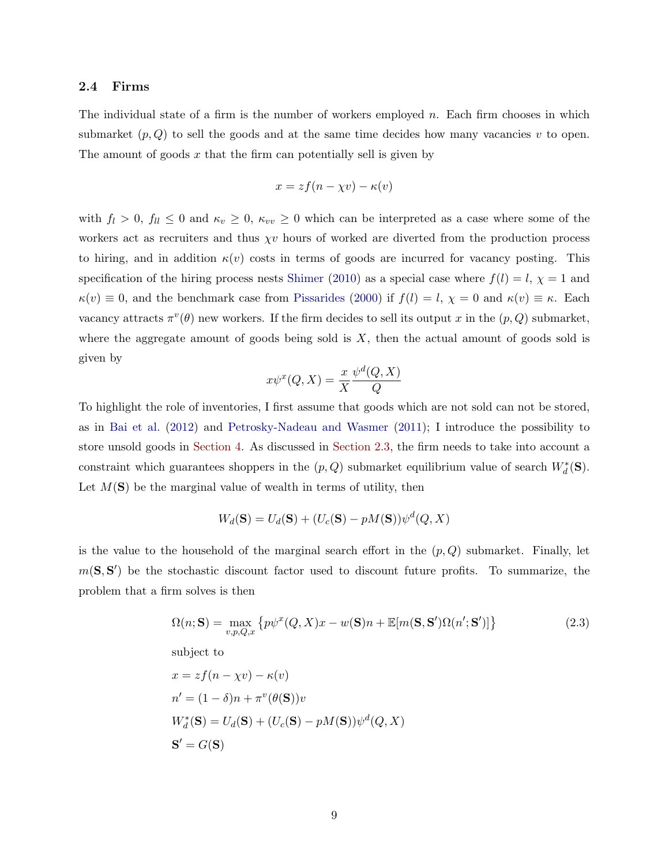#### <span id="page-9-1"></span>2.4 Firms

The individual state of a firm is the number of workers employed  $n$ . Each firm chooses in which submarket  $(p, Q)$  to sell the goods and at the same time decides how many vacancies v to open. The amount of goods  $x$  that the firm can potentially sell is given by

$$
x = zf(n - \chi v) - \kappa(v)
$$

with  $f_l > 0$ ,  $f_{ll} \leq 0$  and  $\kappa_v \geq 0$ ,  $\kappa_{vv} \geq 0$  which can be interpreted as a case where some of the workers act as recruiters and thus  $\chi v$  hours of worked are diverted from the production process to hiring, and in addition  $\kappa(v)$  costs in terms of goods are incurred for vacancy posting. This specification of the hiring process nests [Shimer](#page-37-6) [\(2010\)](#page-37-6) as a special case where  $f(l) = l$ ,  $\chi = 1$  and  $\kappa(v) \equiv 0$ , and the benchmark case from [Pissarides](#page-37-0) [\(2000\)](#page-37-0) if  $f(l) = l$ ,  $\chi = 0$  and  $\kappa(v) \equiv \kappa$ . Each vacancy attracts  $\pi^v(\theta)$  new workers. If the firm decides to sell its output x in the  $(p, Q)$  submarket, where the aggregate amount of goods being sold is  $X$ , then the actual amount of goods sold is given by

$$
x\psi^x(Q, X) = \frac{x}{X} \frac{\psi^d(Q, X)}{Q}
$$

To highlight the role of inventories, I first assume that goods which are not sold can not be stored, as in [Bai et al.](#page-35-8) [\(2012\)](#page-35-8) and [Petrosky-Nadeau and Wasmer](#page-36-9) [\(2011\)](#page-36-9); I introduce the possibility to store unsold goods in [Section 4.](#page-18-0) As discussed in [Section 2.3,](#page-7-0) the firm needs to take into account a constraint which guarantees shoppers in the  $(p, Q)$  submarket equilibrium value of search  $W_d^*(\mathbf{S})$ . Let  $M(\mathbf{S})$  be the marginal value of wealth in terms of utility, then

<span id="page-9-0"></span>
$$
W_d(\mathbf{S}) = U_d(\mathbf{S}) + (U_c(\mathbf{S}) - pM(\mathbf{S}))\psi^d(Q, X)
$$

is the value to the household of the marginal search effort in the  $(p, Q)$  submarket. Finally, let  $m(S, S')$  be the stochastic discount factor used to discount future profits. To summarize, the problem that a firm solves is then

$$
\Omega(n; \mathbf{S}) = \max_{v, p, Q, x} \left\{ p\psi^x(Q, X)x - w(\mathbf{S})n + \mathbb{E}[m(\mathbf{S}, \mathbf{S}')\Omega(n'; \mathbf{S}')] \right\}
$$
\nsubject to

\n
$$
x = z f(n - \chi v) - \kappa(v)
$$
\n
$$
n' = (1 - \delta)n + \pi^v(\theta(\mathbf{S}))v
$$
\n
$$
W_d^*(\mathbf{S}) = U_d(\mathbf{S}) + (U_c(\mathbf{S}) - pM(\mathbf{S}))\psi^d(Q, X)
$$
\n(2.3)

 $S' = G(S)$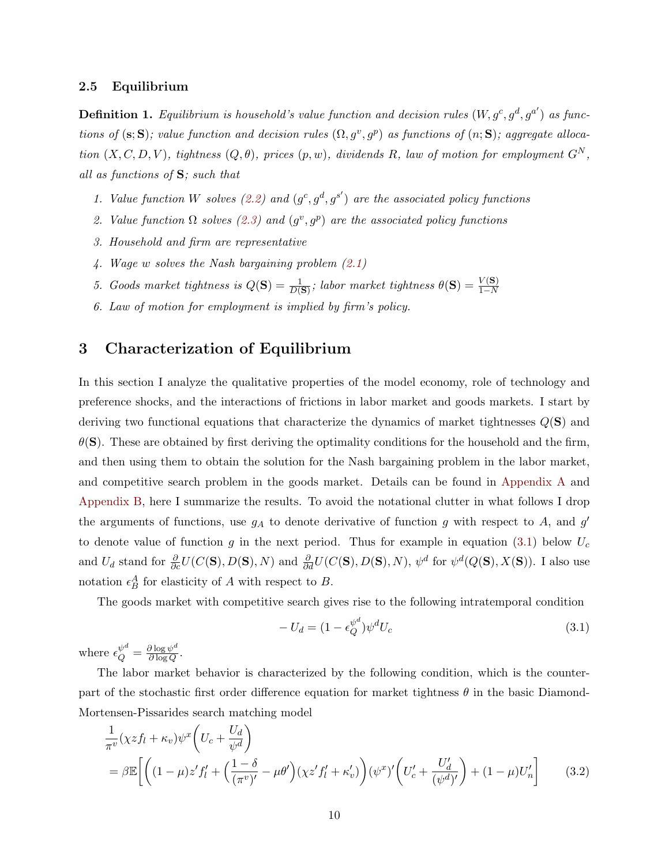#### 2.5 Equilibrium

**Definition 1.** Equilibrium is household's value function and decision rules  $(W, g^c, g^d, g^{a'})$  as functions of (s; S); value function and decision rules  $(\Omega, g^v, g^p)$  as functions of  $(n; S)$ ; aggregate allocation  $(X, C, D, V)$ , tightness  $(Q, \theta)$ , prices  $(p, w)$ , dividends R, law of motion for employment  $G<sup>N</sup>$ , all as functions of S; such that

- 1. Value function W solves [\(2.2\)](#page-8-0) and  $(g^c, g^d, g^{s'})$  are the associated policy functions
- 2. Value function  $\Omega$  solves [\(2.3\)](#page-9-0) and  $(g^v, g^p)$  are the associated policy functions
- 3. Household and firm are representative
- 4. Wage w solves the Nash bargaining problem [\(2.1\)](#page-6-1)
- 5. Goods market tightness is  $Q(S) = \frac{1}{D(S)}$ ; labor market tightness  $\theta(S) = \frac{V(S)}{1-N}$
- 6. Law of motion for employment is implied by firm's policy.

### <span id="page-10-0"></span>3 Characterization of Equilibrium

In this section I analyze the qualitative properties of the model economy, role of technology and preference shocks, and the interactions of frictions in labor market and goods markets. I start by deriving two functional equations that characterize the dynamics of market tightnesses  $Q(\mathbf{S})$  and  $\theta(S)$ . These are obtained by first deriving the optimality conditions for the household and the firm, and then using them to obtain the solution for the Nash bargaining problem in the labor market, and competitive search problem in the goods market. Details can be found in [Appendix A](#page-38-0) and [Appendix B,](#page-40-0) here I summarize the results. To avoid the notational clutter in what follows I drop the arguments of functions, use  $g_A$  to denote derivative of function g with respect to A, and g' to denote value of function g in the next period. Thus for example in equation [\(3.1\)](#page-10-1) below  $U_c$ and  $U_d$  stand for  $\frac{\partial}{\partial c}U(C(\mathbf{S}), D(\mathbf{S}), N)$  and  $\frac{\partial}{\partial d}U(C(\mathbf{S}), D(\mathbf{S}), N)$ ,  $\psi^d$  for  $\psi^d(Q(\mathbf{S}), X(\mathbf{S}))$ . I also use notation  $\epsilon_B^A$  for elasticity of A with respect to B.

The goods market with competitive search gives rise to the following intratemporal condition

<span id="page-10-2"></span><span id="page-10-1"></span>
$$
-U_d = (1 - \epsilon_Q^{\psi^d}) \psi^d U_c \tag{3.1}
$$

where  $\epsilon_Q^{\psi^d} = \frac{\partial \log \psi^d}{\partial \log Q}$  $\frac{\partial \log \psi^{\alpha}}{\partial \log Q}$ .

The labor market behavior is characterized by the following condition, which is the counterpart of the stochastic first order difference equation for market tightness  $\theta$  in the basic Diamond-Mortensen-Pissarides search matching model

$$
\frac{1}{\pi^v}(\chi z f_l + \kappa_v)\psi^x \left(U_c + \frac{U_d}{\psi^d}\right)
$$
\n
$$
= \beta \mathbb{E}\left[\left((1-\mu)z' f_l' + \left(\frac{1-\delta}{(\pi^v)'} - \mu\theta'\right)(\chi z' f_l' + \kappa'_v)\right)(\psi^x)'\left(U_c' + \frac{U_d'}{(\psi^d)'}\right) + (1-\mu)U_n'\right] \tag{3.2}
$$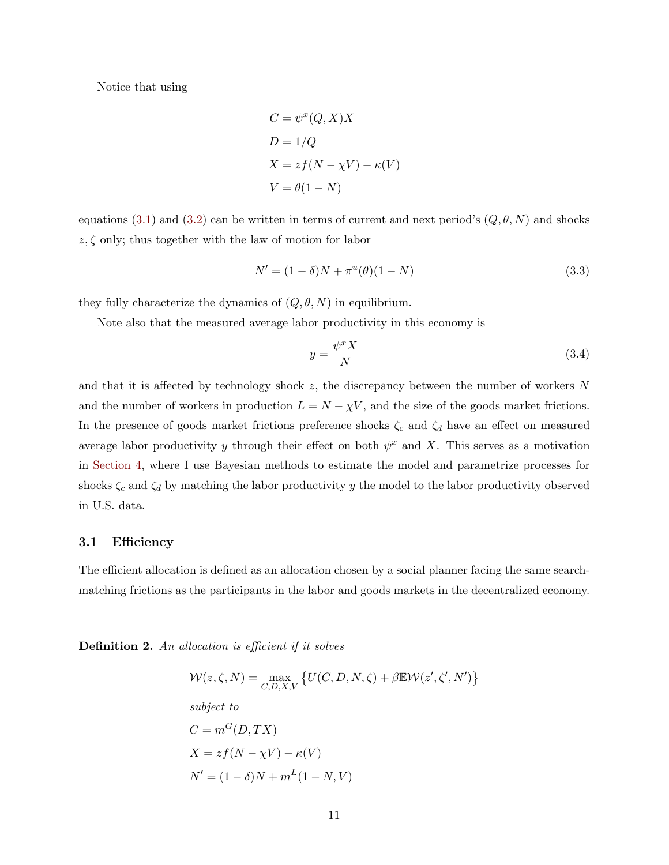Notice that using

$$
C = \psi^x(Q, X)X
$$
  
\n
$$
D = 1/Q
$$
  
\n
$$
X = zf(N - \chi V) - \kappa(V)
$$
  
\n
$$
V = \theta(1 - N)
$$

equations [\(3.1\)](#page-10-1) and [\(3.2\)](#page-10-2) can be written in terms of current and next period's  $(Q, \theta, N)$  and shocks  $z, \zeta$  only; thus together with the law of motion for labor

<span id="page-11-1"></span>
$$
N' = (1 - \delta)N + \pi^{u}(\theta)(1 - N)
$$
\n(3.3)

they fully characterize the dynamics of  $(Q, \theta, N)$  in equilibrium.

Note also that the measured average labor productivity in this economy is

<span id="page-11-0"></span>
$$
y = \frac{\psi^x X}{N} \tag{3.4}
$$

and that it is affected by technology shock  $z$ , the discrepancy between the number of workers  $N$ and the number of workers in production  $L = N - \chi V$ , and the size of the goods market frictions. In the presence of goods market frictions preference shocks  $\zeta_c$  and  $\zeta_d$  have an effect on measured average labor productivity y through their effect on both  $\psi^x$  and X. This serves as a motivation in [Section 4,](#page-18-0) where I use Bayesian methods to estimate the model and parametrize processes for shocks  $\zeta_c$  and  $\zeta_d$  by matching the labor productivity y the model to the labor productivity observed in U.S. data.

#### 3.1 Efficiency

The efficient allocation is defined as an allocation chosen by a social planner facing the same searchmatching frictions as the participants in the labor and goods markets in the decentralized economy.

Definition 2. An allocation is efficient if it solves

$$
\mathcal{W}(z,\zeta,N) = \max_{C,D,X,V} \{ U(C,D,N,\zeta) + \beta \mathbb{E} \mathcal{W}(z',\zeta',N') \}
$$
  
subject to  

$$
C = m^G(D,TX)
$$

$$
X = zf(N - \chi V) - \kappa(V)
$$

$$
N' = (1 - \delta)N + m^L(1 - N, V)
$$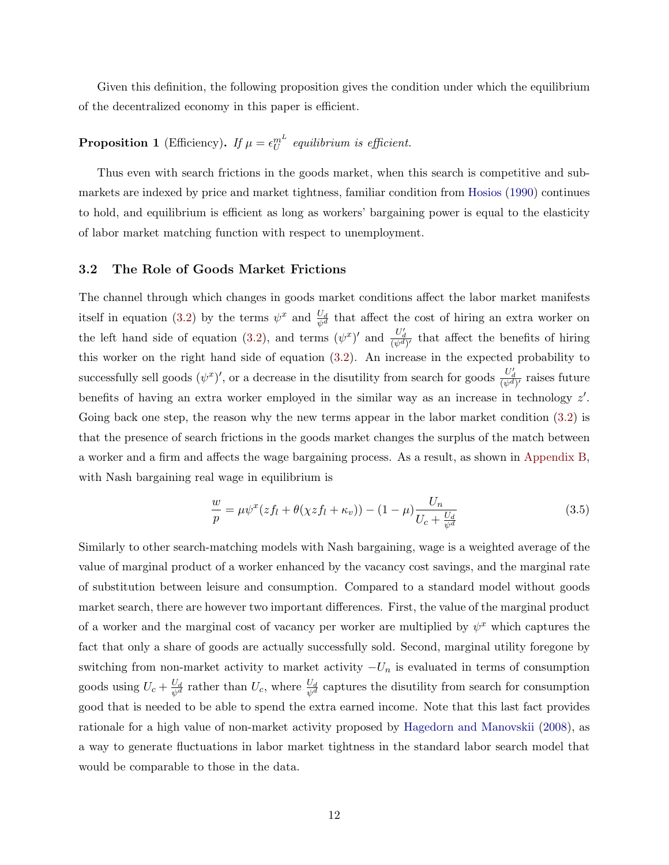<span id="page-12-1"></span>Given this definition, the following proposition gives the condition under which the equilibrium of the decentralized economy in this paper is efficient.

# <span id="page-12-2"></span>**Proposition 1** (Efficiency). If  $\mu = \epsilon_U^{m^L}$  equilibrium is efficient.

Thus even with search frictions in the goods market, when this search is competitive and submarkets are indexed by price and market tightness, familiar condition from [Hosios](#page-35-10) [\(1990\)](#page-35-10) continues to hold, and equilibrium is efficient as long as workers' bargaining power is equal to the elasticity of labor market matching function with respect to unemployment.

#### 3.2 The Role of Goods Market Frictions

The channel through which changes in goods market conditions affect the labor market manifests itself in equation [\(3.2\)](#page-10-2) by the terms  $\psi^x$  and  $\frac{U_d}{\psi^d}$  that affect the cost of hiring an extra worker on the left hand side of equation [\(3.2\)](#page-10-2), and terms  $(\psi^x)'$  and  $\frac{U'_d}{(\psi^d)'}$  that affect the benefits of hiring this worker on the right hand side of equation [\(3.2\)](#page-10-2). An increase in the expected probability to successfully sell goods  $(\psi^x)'$ , or a decrease in the disutility from search for goods  $\frac{U'_d}{(\psi^d)'}$  raises future benefits of having an extra worker employed in the similar way as an increase in technology  $z'$ . Going back one step, the reason why the new terms appear in the labor market condition  $(3.2)$  is that the presence of search frictions in the goods market changes the surplus of the match between a worker and a firm and affects the wage bargaining process. As a result, as shown in [Appendix B,](#page-40-0) with Nash bargaining real wage in equilibrium is

<span id="page-12-0"></span>
$$
\frac{w}{p} = \mu \psi^x (z f_l + \theta(\chi z f_l + \kappa_v)) - (1 - \mu) \frac{U_n}{U_c + \frac{U_d}{\psi^d}}
$$
(3.5)

Similarly to other search-matching models with Nash bargaining, wage is a weighted average of the value of marginal product of a worker enhanced by the vacancy cost savings, and the marginal rate of substitution between leisure and consumption. Compared to a standard model without goods market search, there are however two important differences. First, the value of the marginal product of a worker and the marginal cost of vacancy per worker are multiplied by  $\psi^x$  which captures the fact that only a share of goods are actually successfully sold. Second, marginal utility foregone by switching from non-market activity to market activity  $-U_n$  is evaluated in terms of consumption goods using  $U_c + \frac{U_d}{\psi^d}$  rather than  $U_c$ , where  $\frac{U_d}{\psi^d}$  captures the disutility from search for consumption good that is needed to be able to spend the extra earned income. Note that this last fact provides rationale for a high value of non-market activity proposed by [Hagedorn and Manovskii](#page-35-3) [\(2008\)](#page-35-3), as a way to generate fluctuations in labor market tightness in the standard labor search model that would be comparable to those in the data.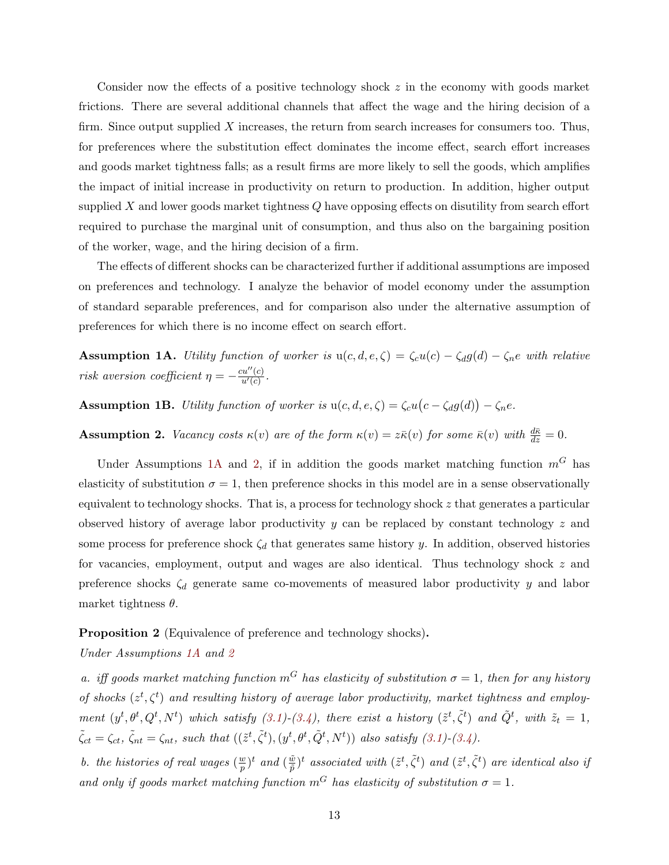Consider now the effects of a positive technology shock z in the economy with goods market frictions. There are several additional channels that affect the wage and the hiring decision of a firm. Since output supplied  $X$  increases, the return from search increases for consumers too. Thus, for preferences where the substitution effect dominates the income effect, search effort increases and goods market tightness falls; as a result firms are more likely to sell the goods, which amplifies the impact of initial increase in productivity on return to production. In addition, higher output supplied  $X$  and lower goods market tightness  $Q$  have opposing effects on disutility from search effort required to purchase the marginal unit of consumption, and thus also on the bargaining position of the worker, wage, and the hiring decision of a firm.

The effects of different shocks can be characterized further if additional assumptions are imposed on preferences and technology. I analyze the behavior of model economy under the assumption of standard separable preferences, and for comparison also under the alternative assumption of preferences for which there is no income effect on search effort.

<span id="page-13-0"></span>**Assumption 1A.** Utility function of worker is  $u(c, d, e, \zeta) = \zeta_c u(c) - \zeta_d g(d) - \zeta_n e$  with relative risk aversion coefficient  $\eta = -\frac{cu''(c)}{u'(c)}$  $\frac{cu^{\prime }(c)}{u^{\prime }(c)}$  .

<span id="page-13-2"></span>**Assumption 1B.** Utility function of worker is  $u(c, d, e, \zeta) = \zeta_c u(c - \zeta_d g(d)) - \zeta_n e$ .

<span id="page-13-1"></span>**Assumption 2.** Vacancy costs  $\kappa(v)$  are of the form  $\kappa(v) = z\bar{\kappa}(v)$  for some  $\bar{\kappa}(v)$  with  $\frac{d\bar{\kappa}}{dz} = 0$ .

Under Assumptions [1A](#page-13-0) and [2,](#page-13-1) if in addition the goods market matching function  $m<sup>G</sup>$  has elasticity of substitution  $\sigma = 1$ , then preference shocks in this model are in a sense observationally equivalent to technology shocks. That is, a process for technology shock z that generates a particular observed history of average labor productivity y can be replaced by constant technology  $z$  and some process for preference shock  $\zeta_d$  that generates same history y. In addition, observed histories for vacancies, employment, output and wages are also identical. Thus technology shock z and preference shocks  $\zeta_d$  generate same co-movements of measured labor productivity y and labor market tightness  $\theta$ .

<span id="page-13-3"></span>Proposition 2 (Equivalence of preference and technology shocks).

Under Assumptions [1A](#page-13-0) and [2](#page-13-1)

a. iff goods market matching function  $m<sup>G</sup>$  has elasticity of substitution  $\sigma = 1$ , then for any history of shocks  $(z^t, \zeta^t)$  and resulting history of average labor productivity, market tightness and employment  $(y^t, \theta^t, Q^t, N^t)$  which satisfy  $(3.1)-(3.4)$  $(3.1)-(3.4)$  $(3.1)-(3.4)$ , there exist a history  $(\tilde{z}^t, \tilde{\zeta}^t)$  and  $\tilde{Q}^t$ , with  $\tilde{z}_t = 1$ ,  $\tilde{\zeta}_{ct} = \zeta_{ct}, \ \tilde{\zeta}_{nt} = \zeta_{nt}, \ such \ that \ ((\tilde{z}^t, \tilde{\zeta}^t), (y^t, \theta^t, \tilde{Q}^t, N^t)) \ also \ satisfy (3.1)-(3.4).$  $\tilde{\zeta}_{ct} = \zeta_{ct}, \ \tilde{\zeta}_{nt} = \zeta_{nt}, \ such \ that \ ((\tilde{z}^t, \tilde{\zeta}^t), (y^t, \theta^t, \tilde{Q}^t, N^t)) \ also \ satisfy (3.1)-(3.4).$  $\tilde{\zeta}_{ct} = \zeta_{ct}, \ \tilde{\zeta}_{nt} = \zeta_{nt}, \ such \ that \ ((\tilde{z}^t, \tilde{\zeta}^t), (y^t, \theta^t, \tilde{Q}^t, N^t)) \ also \ satisfy (3.1)-(3.4).$  $\tilde{\zeta}_{ct} = \zeta_{ct}, \ \tilde{\zeta}_{nt} = \zeta_{nt}, \ such \ that \ ((\tilde{z}^t, \tilde{\zeta}^t), (y^t, \theta^t, \tilde{Q}^t, N^t)) \ also \ satisfy (3.1)-(3.4).$  $\tilde{\zeta}_{ct} = \zeta_{ct}, \ \tilde{\zeta}_{nt} = \zeta_{nt}, \ such \ that \ ((\tilde{z}^t, \tilde{\zeta}^t), (y^t, \theta^t, \tilde{Q}^t, N^t)) \ also \ satisfy (3.1)-(3.4).$ 

b. the histories of real wages  $(\frac{w}{n})$  $(\frac{w}{\tilde{p}})^t$  and  $(\frac{\tilde{w}}{\tilde{p}})$  $(\tilde{\tilde{x}}^t, \tilde{\zeta}^t)$  and  $(\tilde{z}^t, \tilde{\zeta}^t)$  are identical also if and only if goods market matching function  $m<sup>G</sup>$  has elasticity of substitution  $\sigma = 1$ .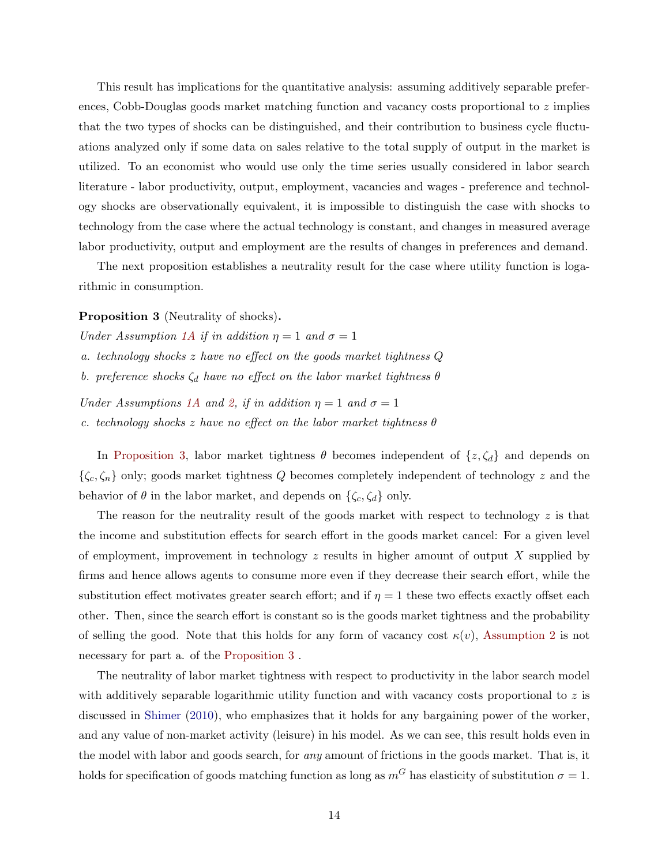<span id="page-14-1"></span>This result has implications for the quantitative analysis: assuming additively separable preferences, Cobb-Douglas goods market matching function and vacancy costs proportional to  $z$  implies that the two types of shocks can be distinguished, and their contribution to business cycle fluctuations analyzed only if some data on sales relative to the total supply of output in the market is utilized. To an economist who would use only the time series usually considered in labor search literature - labor productivity, output, employment, vacancies and wages - preference and technology shocks are observationally equivalent, it is impossible to distinguish the case with shocks to technology from the case where the actual technology is constant, and changes in measured average labor productivity, output and employment are the results of changes in preferences and demand.

The next proposition establishes a neutrality result for the case where utility function is logarithmic in consumption.

<span id="page-14-0"></span>Proposition 3 (Neutrality of shocks).

Under Assumption [1A](#page-13-0) if in addition  $\eta = 1$  and  $\sigma = 1$ 

a. technology shocks z have no effect on the goods market tightness Q

b. preference shocks  $\zeta_d$  have no effect on the labor market tightness  $\theta$ 

Under Assumptions [1A](#page-13-0) and [2,](#page-13-1) if in addition  $\eta = 1$  and  $\sigma = 1$ 

c. technology shocks z have no effect on the labor market tightness  $\theta$ 

In [Proposition 3,](#page-14-0) labor market tightness  $\theta$  becomes independent of  $\{z,\zeta_d\}$  and depends on  $\{\zeta_c, \zeta_n\}$  only; goods market tightness Q becomes completely independent of technology z and the behavior of  $\theta$  in the labor market, and depends on  $\{\zeta_c, \zeta_d\}$  only.

The reason for the neutrality result of the goods market with respect to technology  $z$  is that the income and substitution effects for search effort in the goods market cancel: For a given level of employment, improvement in technology  $z$  results in higher amount of output X supplied by firms and hence allows agents to consume more even if they decrease their search effort, while the substitution effect motivates greater search effort; and if  $\eta = 1$  these two effects exactly offset each other. Then, since the search effort is constant so is the goods market tightness and the probability of selling the good. Note that this holds for any form of vacancy cost  $\kappa(v)$ , [Assumption 2](#page-13-1) is not necessary for part a. of the [Proposition 3](#page-14-0) .

The neutrality of labor market tightness with respect to productivity in the labor search model with additively separable logarithmic utility function and with vacancy costs proportional to  $z$  is discussed in [Shimer](#page-37-6) [\(2010\)](#page-37-6), who emphasizes that it holds for any bargaining power of the worker, and any value of non-market activity (leisure) in his model. As we can see, this result holds even in the model with labor and goods search, for any amount of frictions in the goods market. That is, it holds for specification of goods matching function as long as  $m<sup>G</sup>$  has elasticity of substitution  $\sigma = 1$ .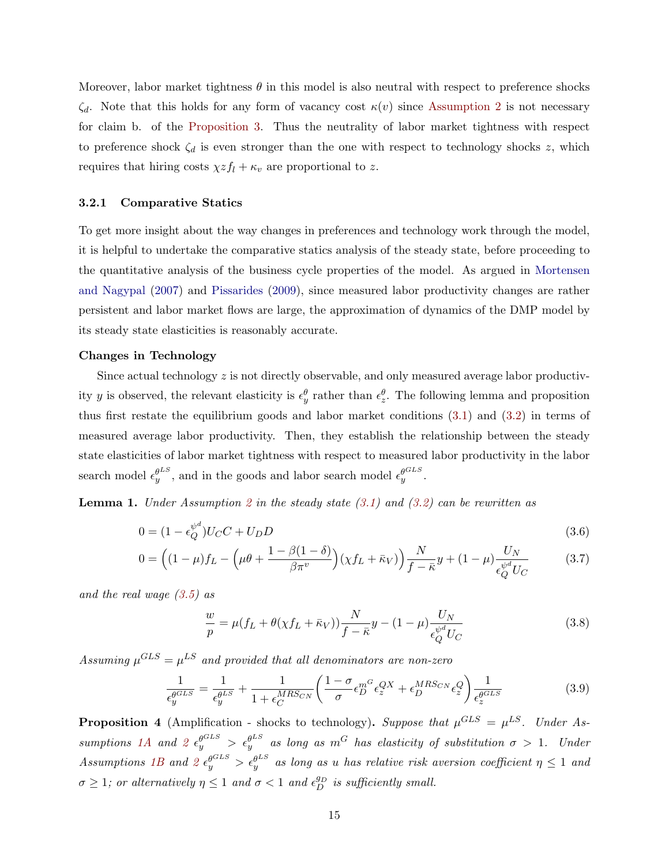<span id="page-15-3"></span>Moreover, labor market tightness  $\theta$  in this model is also neutral with respect to preference shocks  $\zeta_d$ . Note that this holds for any form of vacancy cost  $\kappa(v)$  since [Assumption 2](#page-13-1) is not necessary for claim b. of the [Proposition 3.](#page-14-0) Thus the neutrality of labor market tightness with respect to preference shock  $\zeta_d$  is even stronger than the one with respect to technology shocks z, which requires that hiring costs  $\chi z f_l + \kappa_v$  are proportional to z.

#### 3.2.1 Comparative Statics

To get more insight about the way changes in preferences and technology work through the model, it is helpful to undertake the comparative statics analysis of the steady state, before proceeding to the quantitative analysis of the business cycle properties of the model. As argued in [Mortensen](#page-36-2) [and Nagypal](#page-36-2) [\(2007\)](#page-36-2) and [Pissarides](#page-37-3) [\(2009\)](#page-37-3), since measured labor productivity changes are rather persistent and labor market flows are large, the approximation of dynamics of the DMP model by its steady state elasticities is reasonably accurate.

#### Changes in Technology

Since actual technology  $z$  is not directly observable, and only measured average labor productivity y is observed, the relevant elasticity is  $\epsilon_y^{\theta}$  rather than  $\epsilon_z^{\theta}$ . The following lemma and proposition thus first restate the equilibrium goods and labor market conditions [\(3.1\)](#page-10-1) and [\(3.2\)](#page-10-2) in terms of measured average labor productivity. Then, they establish the relationship between the steady state elasticities of labor market tightness with respect to measured labor productivity in the labor search model  $\epsilon_y^{\theta^{LS}}$ , and in the goods and labor search model  $\epsilon_y^{\theta^{GLS}}$ .

<span id="page-15-4"></span>**Lemma 1.** Under Assumption [2](#page-13-1) in the steady state  $(3.1)$  and  $(3.2)$  can be rewritten as

$$
0 = (1 - \epsilon_Q^{\psi^d})U_C C + U_D D \tag{3.6}
$$

$$
0 = \left( (1 - \mu)f_L - \left( \mu \theta + \frac{1 - \beta(1 - \delta)}{\beta \pi^v} \right) (\chi f_L + \bar{\kappa}_V) \right) \frac{N}{f - \bar{\kappa}} y + (1 - \mu) \frac{U_N}{\epsilon_Q^{\psi^d} U_C}
$$
(3.7)

and the real wage [\(3.5\)](#page-12-0) as

<span id="page-15-1"></span>
$$
\frac{w}{p} = \mu(f_L + \theta(\chi f_L + \bar{\kappa}_V)) \frac{N}{f - \bar{\kappa}} y - (1 - \mu) \frac{U_N}{\epsilon_Q^{\psi^d} U_C}
$$
(3.8)

Assuming  $\mu^{GLS} = \mu^{LS}$  and provided that all denominators are non-zero

<span id="page-15-0"></span>
$$
\frac{1}{\epsilon_y^{\theta^{GLS}}} = \frac{1}{\epsilon_y^{\theta^{LS}}} + \frac{1}{1 + \epsilon_C^{MRS_{CN}}} \left( \frac{1 - \sigma}{\sigma} \epsilon_D^{m^G} \epsilon_z^{QX} + \epsilon_D^{MRS_{CN}} \epsilon_z^Q \right) \frac{1}{\epsilon_z^{\theta^{GLS}}} \tag{3.9}
$$

<span id="page-15-2"></span>**Proposition 4** (Amplification - shocks to technology). Suppose that  $\mu^{GLS} = \mu^{LS}$ . Under As-sumptions [1A](#page-13-0) and [2](#page-13-1)  $\epsilon_y^{\theta^{GLS}} > \epsilon_y^{\theta^{LS}}$  as long as  $m^G$  has elasticity of substitution  $\sigma > 1$ . Under Assumptions [1B](#page-13-2) and [2](#page-13-1)  $\epsilon_y^{\theta^{GLS}} > \epsilon_y^{\theta^{LS}}$  as long as u has relative risk aversion coefficient  $\eta \leq 1$  and  $\sigma \geq 1$ ; or alternatively  $\eta \leq 1$  and  $\sigma < 1$  and  $\epsilon_D^{g_D}$  is sufficiently small.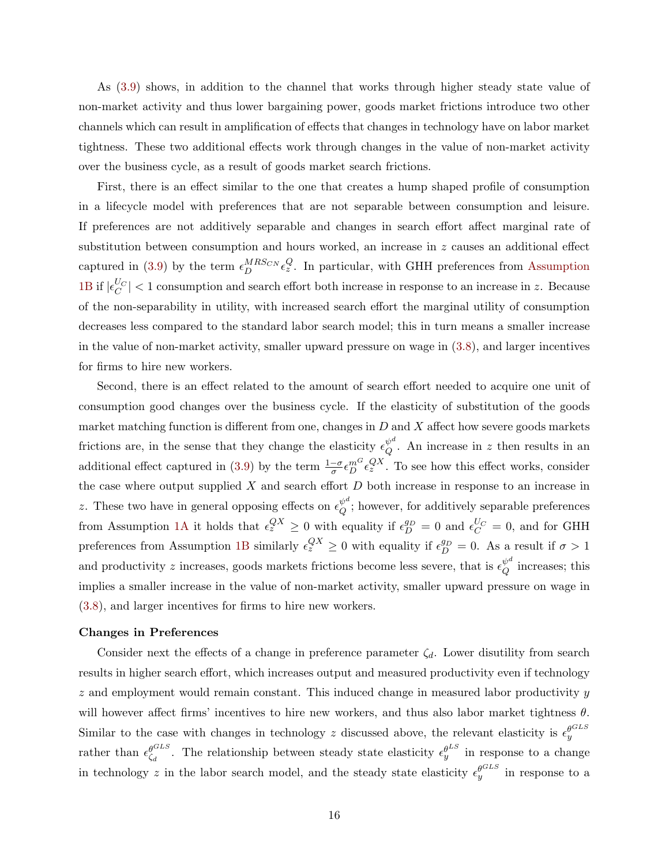As [\(3.9\)](#page-15-0) shows, in addition to the channel that works through higher steady state value of non-market activity and thus lower bargaining power, goods market frictions introduce two other channels which can result in amplification of effects that changes in technology have on labor market tightness. These two additional effects work through changes in the value of non-market activity over the business cycle, as a result of goods market search frictions.

First, there is an effect similar to the one that creates a hump shaped profile of consumption in a lifecycle model with preferences that are not separable between consumption and leisure. If preferences are not additively separable and changes in search effort affect marginal rate of substitution between consumption and hours worked, an increase in  $z$  causes an additional effect captured in [\(3.9\)](#page-15-0) by the term  $\epsilon_D^{MRS_{CN}} \epsilon_z^Q$ . In particular, with GHH preferences from [Assumption](#page-13-2) [1B](#page-13-2) if  $|\epsilon_C^{U_C}|$  < 1 consumption and search effort both increase in response to an increase in z. Because of the non-separability in utility, with increased search effort the marginal utility of consumption decreases less compared to the standard labor search model; this in turn means a smaller increase in the value of non-market activity, smaller upward pressure on wage in [\(3.8\)](#page-15-1), and larger incentives for firms to hire new workers.

Second, there is an effect related to the amount of search effort needed to acquire one unit of consumption good changes over the business cycle. If the elasticity of substitution of the goods market matching function is different from one, changes in  $D$  and  $X$  affect how severe goods markets frictions are, in the sense that they change the elasticity  $\epsilon_{\cal O}^{\psi^d}$  $_{Q}^{\psi^{\omega}}$ . An increase in z then results in an additional effect captured in [\(3.9\)](#page-15-0) by the term  $\frac{1-\sigma}{\sigma} \epsilon_D^{m} \epsilon_z^{QX}$ . To see how this effect works, consider the case where output supplied  $X$  and search effort  $D$  both increase in response to an increase in z. These two have in general opposing effects on  $\epsilon_{\Omega}^{\psi^d}$  $\varphi^{\omega}$ ; however, for additively separable preferences from Assumption [1A](#page-13-0) it holds that  $\epsilon_z^{QX} \ge 0$  with equality if  $\epsilon_D^{g_D} = 0$  and  $\epsilon_C^{U_C} = 0$ , and for GHH preferences from Assumption [1B](#page-13-2) similarly  $\epsilon_z^{QX} \geq 0$  with equality if  $\epsilon_D^{g_D} = 0$ . As a result if  $\sigma > 1$ and productivity z increases, goods markets frictions become less severe, that is  $\epsilon_Q^{\psi^d}$  $_{Q}^{\psi^{-}}$  increases; this implies a smaller increase in the value of non-market activity, smaller upward pressure on wage in [\(3.8\)](#page-15-1), and larger incentives for firms to hire new workers.

#### Changes in Preferences

Consider next the effects of a change in preference parameter  $\zeta_d$ . Lower disutility from search results in higher search effort, which increases output and measured productivity even if technology  $z$  and employment would remain constant. This induced change in measured labor productivity  $y$ will however affect firms' incentives to hire new workers, and thus also labor market tightness  $\theta$ . Similar to the case with changes in technology z discussed above, the relevant elasticity is  $\epsilon_y^{\theta^{GLS}}$ rather than  $\epsilon_{\epsilon}^{\theta^{GLS}}$  $\epsilon_{\zeta_d}^{\theta^{GLS}}$ . The relationship between steady state elasticity  $\epsilon_y^{\theta^{LS}}$  in response to a change in technology z in the labor search model, and the steady state elasticity  $\epsilon_y^{\theta^{GLS}}$  in response to a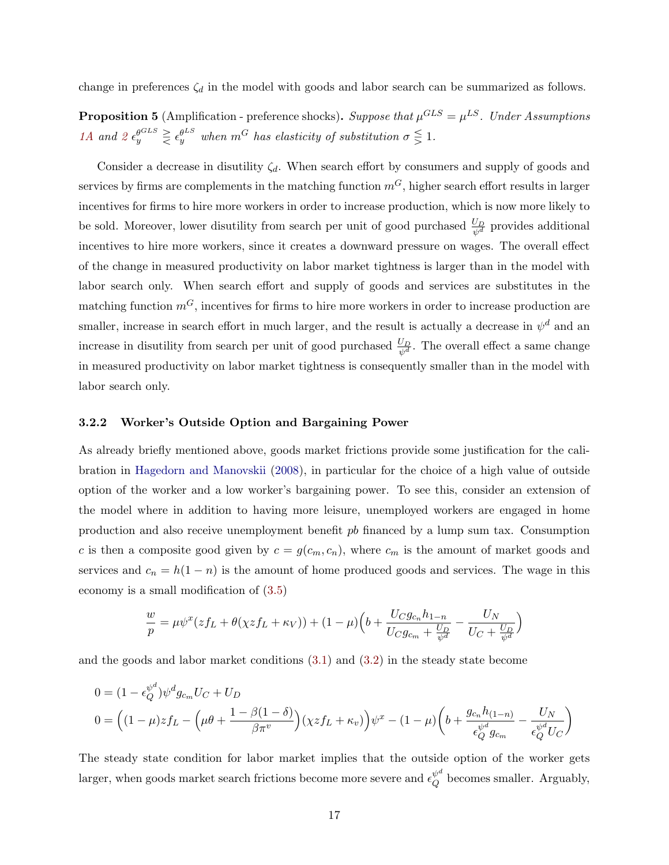<span id="page-17-1"></span>change in preferences  $\zeta_d$  in the model with goods and labor search can be summarized as follows.

<span id="page-17-0"></span>**Proposition 5** (Amplification - preference shocks). Suppose that  $\mu^{GLS} = \mu^{LS}$ . Under Assumptions [1A](#page-13-0) and  $2 \epsilon_y^{\theta^{CLS}} \geq \epsilon_y^{\theta^{LS}}$  $2 \epsilon_y^{\theta^{CLS}} \geq \epsilon_y^{\theta^{LS}}$  when  $m^G$  has elasticity of substitution  $\sigma \leq 1$ .

Consider a decrease in disutility  $\zeta_d$ . When search effort by consumers and supply of goods and services by firms are complements in the matching function  $m<sup>G</sup>$ , higher search effort results in larger incentives for firms to hire more workers in order to increase production, which is now more likely to be sold. Moreover, lower disutility from search per unit of good purchased  $\frac{U_D}{\psi^d}$  provides additional incentives to hire more workers, since it creates a downward pressure on wages. The overall effect of the change in measured productivity on labor market tightness is larger than in the model with labor search only. When search effort and supply of goods and services are substitutes in the matching function  $m<sup>G</sup>$ , incentives for firms to hire more workers in order to increase production are smaller, increase in search effort in much larger, and the result is actually a decrease in  $\psi^d$  and an increase in disutility from search per unit of good purchased  $\frac{U_D}{\psi^d}$ . The overall effect a same change in measured productivity on labor market tightness is consequently smaller than in the model with labor search only.

#### 3.2.2 Worker's Outside Option and Bargaining Power

As already briefly mentioned above, goods market frictions provide some justification for the calibration in [Hagedorn and Manovskii](#page-35-3) [\(2008\)](#page-35-3), in particular for the choice of a high value of outside option of the worker and a low worker's bargaining power. To see this, consider an extension of the model where in addition to having more leisure, unemployed workers are engaged in home production and also receive unemployment benefit pb financed by a lump sum tax. Consumption c is then a composite good given by  $c = g(c_m, c_n)$ , where  $c_m$  is the amount of market goods and services and  $c_n = h(1 - n)$  is the amount of home produced goods and services. The wage in this economy is a small modification of [\(3.5\)](#page-12-0)

$$
\frac{w}{p} = \mu \psi^x (zf_L + \theta(\chi z f_L + \kappa_V)) + (1 - \mu) \Big(b + \frac{U_C g_{c_n} h_{1-n}}{U_C g_{c_m} + \frac{U_D}{\psi^d}} - \frac{U_N}{U_C + \frac{U_D}{\psi^d}} \Big)
$$

and the goods and labor market conditions [\(3.1\)](#page-10-1) and [\(3.2\)](#page-10-2) in the steady state become

$$
0 = (1 - \epsilon_Q^{\psi^d}) \psi^d g_{c_m} U_C + U_D
$$
  
\n
$$
0 = \left( (1 - \mu) z f_L - \left( \mu \theta + \frac{1 - \beta (1 - \delta)}{\beta \pi^v} \right) \left( \chi z f_L + \kappa_v \right) \right) \psi^x - (1 - \mu) \left( b + \frac{g_{c_n} h_{(1 - n)}}{\epsilon_Q^{\psi^d} g_{c_m}} - \frac{U_N}{\epsilon_Q^{\psi^d} U_C} \right)
$$

The steady state condition for labor market implies that the outside option of the worker gets larger, when goods market search frictions become more severe and  $\epsilon_Q^{\psi^d}$  $_{Q}^{\psi}$  becomes smaller. Arguably,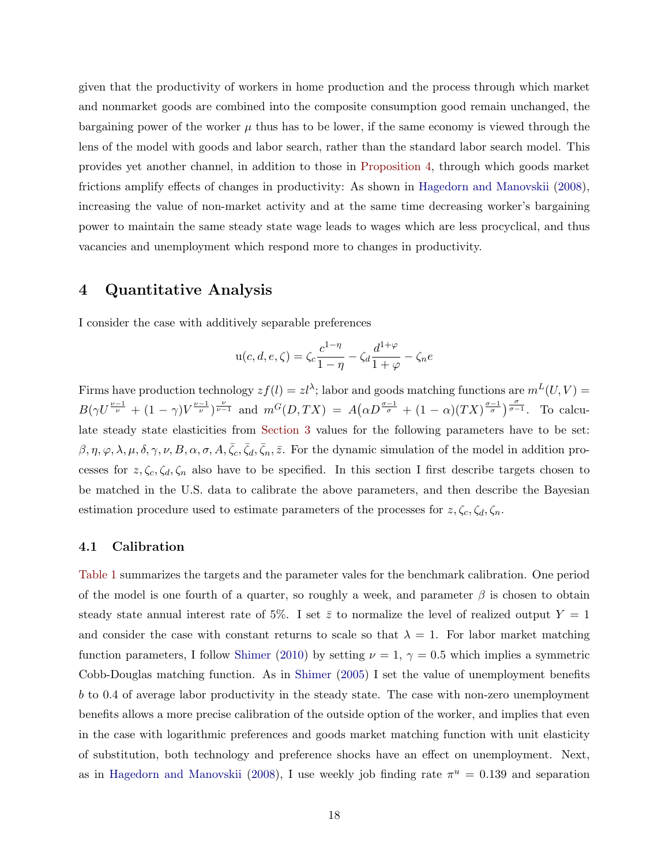<span id="page-18-1"></span>given that the productivity of workers in home production and the process through which market and nonmarket goods are combined into the composite consumption good remain unchanged, the bargaining power of the worker  $\mu$  thus has to be lower, if the same economy is viewed through the lens of the model with goods and labor search, rather than the standard labor search model. This provides yet another channel, in addition to those in [Proposition 4,](#page-15-2) through which goods market frictions amplify effects of changes in productivity: As shown in [Hagedorn and Manovskii](#page-35-3) [\(2008\)](#page-35-3), increasing the value of non-market activity and at the same time decreasing worker's bargaining power to maintain the same steady state wage leads to wages which are less procyclical, and thus vacancies and unemployment which respond more to changes in productivity.

# <span id="page-18-0"></span>4 Quantitative Analysis

I consider the case with additively separable preferences

$$
u(c, d, e, \zeta) = \zeta_c \frac{c^{1-\eta}}{1-\eta} - \zeta_d \frac{d^{1+\varphi}}{1+\varphi} - \zeta_n e
$$

Firms have production technology  $zf(l) = zl^{\lambda}$ ; labor and goods matching functions are  $m^{L}(U, V) =$  $B(\gamma U^{\frac{\nu-1}{\nu}}+(1-\gamma)V^{\frac{\nu-1}{\nu}})^{\frac{\nu}{\nu-1}}$  and  $m^G(D,TX) = A(\alpha D^{\frac{\sigma-1}{\sigma}}+(1-\alpha)(TX)^{\frac{\sigma-1}{\sigma}})^{\frac{\sigma}{\sigma-1}}$ . To calculate steady state elasticities from [Section 3](#page-10-0) values for the following parameters have to be set:  $\beta, \eta, \varphi, \lambda, \mu, \delta, \gamma, \nu, B, \alpha, \sigma, A, \bar{\zeta}_c, \bar{\zeta}_d, \bar{\zeta}_n, \bar{z}$ . For the dynamic simulation of the model in addition processes for  $z, \zeta_c, \zeta_d, \zeta_n$  also have to be specified. In this section I first describe targets chosen to be matched in the U.S. data to calibrate the above parameters, and then describe the Bayesian estimation procedure used to estimate parameters of the processes for  $z, \zeta_c, \zeta_d, \zeta_n$ .

#### 4.1 Calibration

[Table 1](#page-20-0) summarizes the targets and the parameter vales for the benchmark calibration. One period of the model is one fourth of a quarter, so roughly a week, and parameter  $\beta$  is chosen to obtain steady state annual interest rate of 5%. I set  $\bar{z}$  to normalize the level of realized output  $Y = 1$ and consider the case with constant returns to scale so that  $\lambda = 1$ . For labor market matching function parameters, I follow [Shimer](#page-37-6) [\(2010\)](#page-37-6) by setting  $\nu = 1, \gamma = 0.5$  which implies a symmetric Cobb-Douglas matching function. As in [Shimer](#page-37-2) [\(2005\)](#page-37-2) I set the value of unemployment benefits b to 0.4 of average labor productivity in the steady state. The case with non-zero unemployment benefits allows a more precise calibration of the outside option of the worker, and implies that even in the case with logarithmic preferences and goods market matching function with unit elasticity of substitution, both technology and preference shocks have an effect on unemployment. Next, as in [Hagedorn and Manovskii](#page-35-3) [\(2008\)](#page-35-3), I use weekly job finding rate  $\pi^u = 0.139$  and separation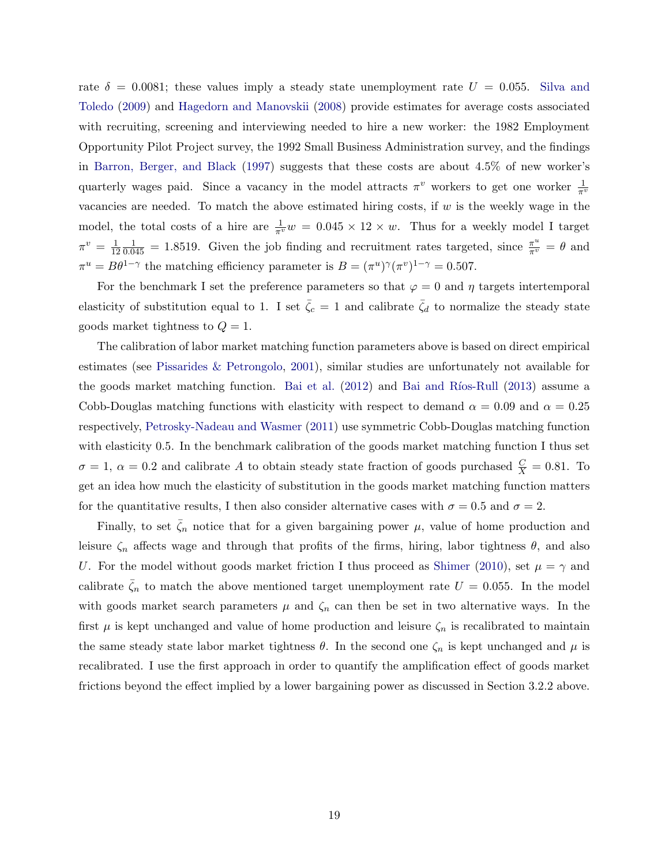<span id="page-19-0"></span>rate  $\delta = 0.0081$ ; these values imply a steady state unemployment rate  $U = 0.055$ . [Silva and](#page-37-7) [Toledo](#page-37-7) [\(2009\)](#page-37-7) and [Hagedorn and Manovskii](#page-35-3) [\(2008\)](#page-35-3) provide estimates for average costs associated with recruiting, screening and interviewing needed to hire a new worker: the 1982 Employment Opportunity Pilot Project survey, the 1992 Small Business Administration survey, and the findings in [Barron, Berger, and Black](#page-35-11) [\(1997\)](#page-35-11) suggests that these costs are about 4.5% of new worker's quarterly wages paid. Since a vacancy in the model attracts  $\pi^v$  workers to get one worker  $\frac{1}{\pi^v}$ vacancies are needed. To match the above estimated hiring costs, if  $w$  is the weekly wage in the model, the total costs of a hire are  $\frac{1}{\pi^v}w = 0.045 \times 12 \times w$ . Thus for a weekly model I target  $\pi^v = \frac{1}{12}$ 12  $\frac{1}{0.045}$  = 1.8519. Given the job finding and recruitment rates targeted, since  $\frac{\pi^u}{\pi^v} = \theta$  and  $\pi^u = B\theta^{1-\gamma}$  the matching efficiency parameter is  $B = (\pi^u)^\gamma (\pi^v)^{1-\gamma} = 0.507$ .

For the benchmark I set the preference parameters so that  $\varphi = 0$  and  $\eta$  targets intertemporal elasticity of substitution equal to 1. I set  $\bar{\zeta}_c = 1$  and calibrate  $\bar{\zeta}_d$  to normalize the steady state goods market tightness to  $Q = 1$ .

The calibration of labor market matching function parameters above is based on direct empirical estimates (see [Pissarides & Petrongolo,](#page-37-8) [2001\)](#page-37-8), similar studies are unfortunately not available for the goods market matching function. [Bai et al.](#page-35-8)  $(2012)$  and Bai and Ríos-Rull  $(2013)$  assume a Cobb-Douglas matching functions with elasticity with respect to demand  $\alpha = 0.09$  and  $\alpha = 0.25$ respectively, [Petrosky-Nadeau and Wasmer](#page-36-9) [\(2011\)](#page-36-9) use symmetric Cobb-Douglas matching function with elasticity 0.5. In the benchmark calibration of the goods market matching function I thus set  $\sigma = 1, \alpha = 0.2$  and calibrate A to obtain steady state fraction of goods purchased  $\frac{C}{X} = 0.81$ . To get an idea how much the elasticity of substitution in the goods market matching function matters for the quantitative results, I then also consider alternative cases with  $\sigma = 0.5$  and  $\sigma = 2$ .

Finally, to set  $\bar{\zeta}_n$  notice that for a given bargaining power  $\mu$ , value of home production and leisure  $\zeta_n$  affects wage and through that profits of the firms, hiring, labor tightness  $\theta$ , and also U. For the model without goods market friction I thus proceed as [Shimer](#page-37-6) [\(2010\)](#page-37-6), set  $\mu = \gamma$  and calibrate  $\bar{\zeta}_n$  to match the above mentioned target unemployment rate  $U = 0.055$ . In the model with goods market search parameters  $\mu$  and  $\zeta_n$  can then be set in two alternative ways. In the first  $\mu$  is kept unchanged and value of home production and leisure  $\zeta_n$  is recalibrated to maintain the same steady state labor market tightness  $\theta$ . In the second one  $\zeta_n$  is kept unchanged and  $\mu$  is recalibrated. I use the first approach in order to quantify the amplification effect of goods market frictions beyond the effect implied by a lower bargaining power as discussed in Section 3.2.2 above.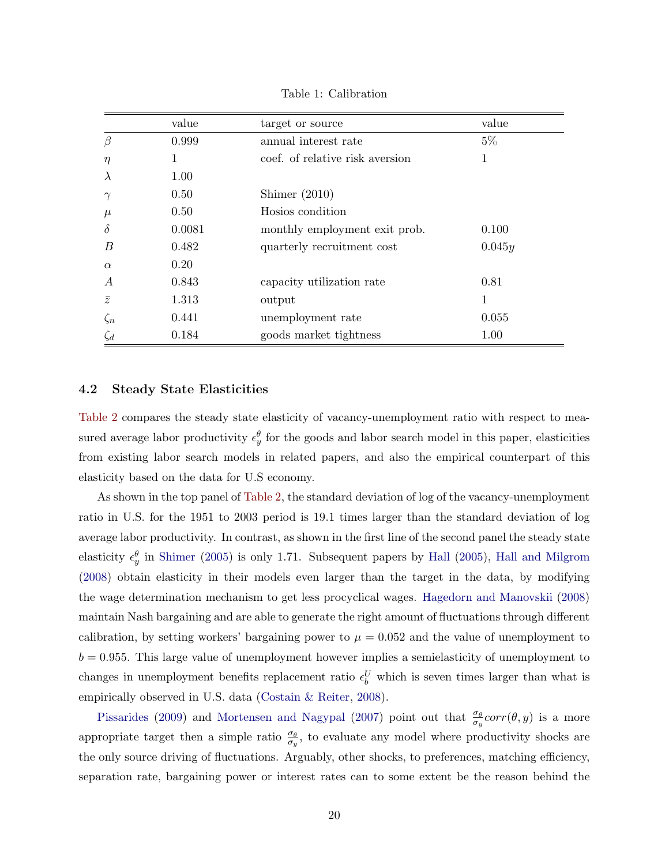<span id="page-20-1"></span>

|                | value  | target or source                | value  |
|----------------|--------|---------------------------------|--------|
| $\beta$        | 0.999  | annual interest rate            | $5\%$  |
| $\eta$         | 1      | coef, of relative risk aversion | 1      |
| $\lambda$      | 1.00   |                                 |        |
| $\gamma$       | 0.50   | Shimer $(2010)$                 |        |
| $\mu$          | 0.50   | Hosios condition                |        |
| $\delta$       | 0.0081 | monthly employment exit prob.   | 0.100  |
| B              | 0.482  | quarterly recruitment cost      | 0.045y |
| $\alpha$       | 0.20   |                                 |        |
| $\overline{A}$ | 0.843  | capacity utilization rate       | 0.81   |
| $\bar{z}$      | 1.313  | output                          | 1      |
| $\zeta_n$      | 0.441  | unemployment rate               | 0.055  |
| $\zeta_d$      | 0.184  | goods market tightness          | 1.00   |

<span id="page-20-0"></span>Table 1: Calibration

#### 4.2 Steady State Elasticities

[Table 2](#page-21-0) compares the steady state elasticity of vacancy-unemployment ratio with respect to measured average labor productivity  $\epsilon_y^{\theta}$  for the goods and labor search model in this paper, elasticities from existing labor search models in related papers, and also the empirical counterpart of this elasticity based on the data for U.S economy.

As shown in the top panel of [Table 2,](#page-21-0) the standard deviation of log of the vacancy-unemployment ratio in U.S. for the 1951 to 2003 period is 19.1 times larger than the standard deviation of log average labor productivity. In contrast, as shown in the first line of the second panel the steady state elasticity  $\epsilon_y^{\theta}$  in [Shimer](#page-37-2) [\(2005\)](#page-35-1) is only 1.71. Subsequent papers by [Hall](#page-35-1) (2005), [Hall and Milgrom](#page-35-2) [\(2008\)](#page-35-2) obtain elasticity in their models even larger than the target in the data, by modifying the wage determination mechanism to get less procyclical wages. [Hagedorn and Manovskii](#page-35-3) [\(2008\)](#page-35-3) maintain Nash bargaining and are able to generate the right amount of fluctuations through different calibration, by setting workers' bargaining power to  $\mu = 0.052$  and the value of unemployment to  $b = 0.955$ . This large value of unemployment however implies a semielasticity of unemployment to changes in unemployment benefits replacement ratio  $\epsilon_b^U$  which is seven times larger than what is empirically observed in U.S. data [\(Costain & Reiter,](#page-35-5) [2008\)](#page-35-5).

[Pissarides](#page-37-3) [\(2009\)](#page-37-3) and [Mortensen and Nagypal](#page-36-2) [\(2007\)](#page-36-2) point out that  $\frac{\sigma_{\theta}}{\sigma_y} corr(\theta, y)$  is a more appropriate target then a simple ratio  $\frac{\sigma_{\theta}}{\sigma_y}$ , to evaluate any model where productivity shocks are the only source driving of fluctuations. Arguably, other shocks, to preferences, matching efficiency, separation rate, bargaining power or interest rates can to some extent be the reason behind the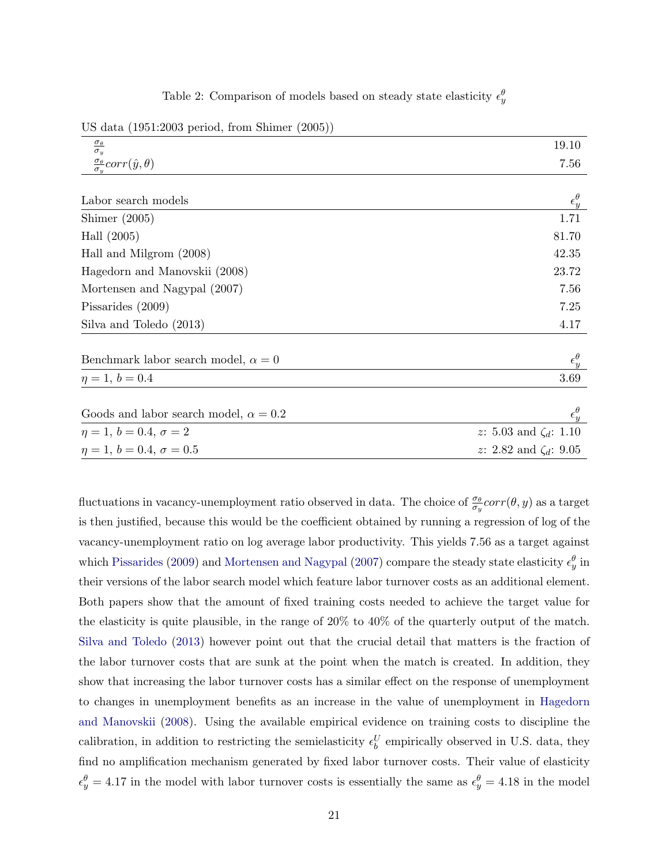<span id="page-21-0"></span>

|  | Table 2: Comparison of models based on steady state elasticity $\epsilon_y^{\theta}$ |  |  |  |  |  |  |  |
|--|--------------------------------------------------------------------------------------|--|--|--|--|--|--|--|
|--|--------------------------------------------------------------------------------------|--|--|--|--|--|--|--|

<span id="page-21-1"></span>US data (1951:2003 period, from Shimer (2005))

| $\frac{\sigma_{\theta}}{\sigma_{y}}$                            | 19.10                        |
|-----------------------------------------------------------------|------------------------------|
| $\frac{\sigma_{\theta}}{\sigma_{\theta}} corr(\hat{y}, \theta)$ | 7.56                         |
|                                                                 |                              |
| Labor search models                                             | $\epsilon^{\theta}_y$        |
| Shimer $(2005)$                                                 | 1.71                         |
| Hall $(2005)$                                                   | 81.70                        |
| Hall and Milgrom (2008)                                         | 42.35                        |
| Hagedorn and Manovskii (2008)                                   | 23.72                        |
| Mortensen and Nagypal (2007)                                    | 7.56                         |
| Pissarides (2009)                                               | 7.25                         |
| Silva and Toledo (2013)                                         | 4.17                         |
| Benchmark labor search model, $\alpha = 0$                      | $\epsilon_y^{\theta}$        |
| $\eta = 1, b = 0.4$                                             | 3.69                         |
| Goods and labor search model, $\alpha = 0.2$                    | $\epsilon_y^{\theta}$        |
| $\eta = 1, b = 0.4, \sigma = 2$                                 | z: 5.03 and $\zeta_d$ : 1.10 |
| $\eta = 1, b = 0.4, \sigma = 0.5$                               | z: 2.82 and $\zeta_d$ : 9.05 |

fluctuations in vacancy-unemployment ratio observed in data. The choice of  $\frac{\sigma_\theta}{\sigma_y} corr(\theta, y)$  as a target is then justified, because this would be the coefficient obtained by running a regression of log of the vacancy-unemployment ratio on log average labor productivity. This yields 7.56 as a target against which [Pissarides](#page-37-3) [\(2009\)](#page-37-3) and [Mortensen and Nagypal](#page-36-2) [\(2007\)](#page-36-2) compare the steady state elasticity  $\epsilon_y^{\theta}$  in their versions of the labor search model which feature labor turnover costs as an additional element. Both papers show that the amount of fixed training costs needed to achieve the target value for the elasticity is quite plausible, in the range of 20% to 40% of the quarterly output of the match. [Silva and Toledo](#page-37-4) [\(2013\)](#page-37-4) however point out that the crucial detail that matters is the fraction of the labor turnover costs that are sunk at the point when the match is created. In addition, they show that increasing the labor turnover costs has a similar effect on the response of unemployment to changes in unemployment benefits as an increase in the value of unemployment in [Hagedorn](#page-35-3) [and Manovskii](#page-35-3) [\(2008\)](#page-35-3). Using the available empirical evidence on training costs to discipline the calibration, in addition to restricting the semielasticity  $\epsilon_b^U$  empirically observed in U.S. data, they find no amplification mechanism generated by fixed labor turnover costs. Their value of elasticity  $\epsilon_y^{\theta} = 4.17$  in the model with labor turnover costs is essentially the same as  $\epsilon_y^{\theta} = 4.18$  in the model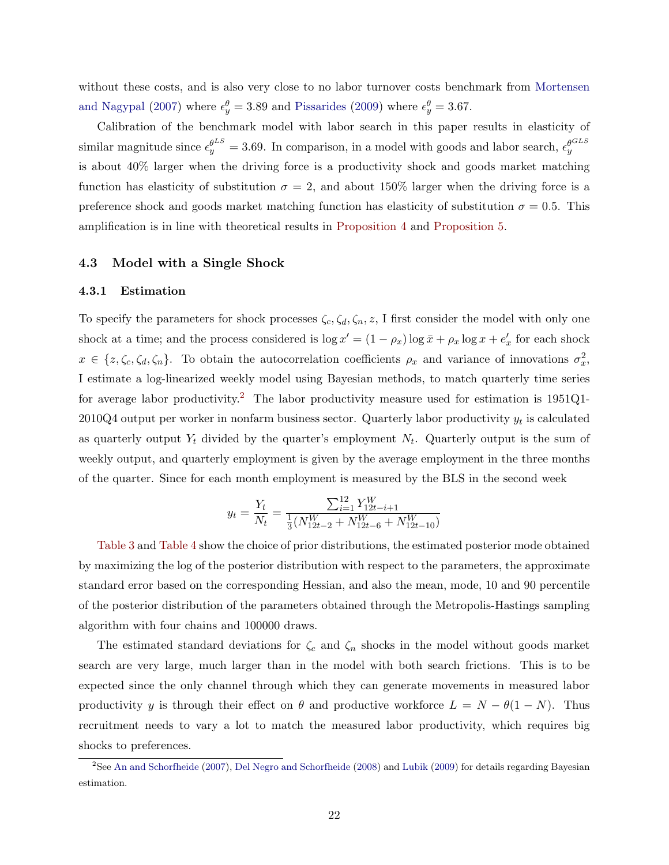<span id="page-22-1"></span>without these costs, and is also very close to no labor turnover costs benchmark from [Mortensen](#page-36-2) [and Nagypal](#page-36-2) [\(2007\)](#page-36-2) where  $\epsilon_y^{\theta} = 3.89$  and [Pissarides](#page-37-3) [\(2009\)](#page-37-3) where  $\epsilon_y^{\theta} = 3.67$ .

Calibration of the benchmark model with labor search in this paper results in elasticity of similar magnitude since  $\epsilon_y^{\theta^{LS}} = 3.69$ . In comparison, in a model with goods and labor search,  $\epsilon_y^{\theta^{GLS}}$ is about 40% larger when the driving force is a productivity shock and goods market matching function has elasticity of substitution  $\sigma = 2$ , and about 150% larger when the driving force is a preference shock and goods market matching function has elasticity of substitution  $\sigma = 0.5$ . This amplification is in line with theoretical results in [Proposition 4](#page-15-2) and [Proposition 5.](#page-17-0)

#### 4.3 Model with a Single Shock

#### 4.3.1 Estimation

To specify the parameters for shock processes  $\zeta_c, \zeta_d, \zeta_n, z$ , I first consider the model with only one shock at a time; and the process considered is  $\log x' = (1 - \rho_x) \log \bar{x} + \rho_x \log x + e'_x$  for each shock  $x \in \{z, \zeta_c, \zeta_d, \zeta_n\}.$  To obtain the autocorrelation coefficients  $\rho_x$  and variance of innovations  $\sigma_x^2$ , I estimate a log-linearized weekly model using Bayesian methods, to match quarterly time series for average labor productivity.[2](#page-22-0) The labor productivity measure used for estimation is 1951Q1-  $2010Q4$  output per worker in nonfarm business sector. Quarterly labor productivity  $y_t$  is calculated as quarterly output  $Y_t$  divided by the quarter's employment  $N_t$ . Quarterly output is the sum of weekly output, and quarterly employment is given by the average employment in the three months of the quarter. Since for each month employment is measured by the BLS in the second week

$$
y_t = \frac{Y_t}{N_t} = \frac{\sum_{i=1}^{12} Y_{12t-i+1}^W}{\frac{1}{3}(N_{12t-2}^W + N_{12t-6}^W + N_{12t-10}^W)}
$$

[Table 3](#page-23-0) and [Table 4](#page-23-1) show the choice of prior distributions, the estimated posterior mode obtained by maximizing the log of the posterior distribution with respect to the parameters, the approximate standard error based on the corresponding Hessian, and also the mean, mode, 10 and 90 percentile of the posterior distribution of the parameters obtained through the Metropolis-Hastings sampling algorithm with four chains and 100000 draws.

The estimated standard deviations for  $\zeta_c$  and  $\zeta_n$  shocks in the model without goods market search are very large, much larger than in the model with both search frictions. This is to be expected since the only channel through which they can generate movements in measured labor productivity y is through their effect on  $\theta$  and productive workforce  $L = N - \theta(1 - N)$ . Thus recruitment needs to vary a lot to match the measured labor productivity, which requires big shocks to preferences.

<span id="page-22-0"></span><sup>&</sup>lt;sup>2</sup>See [An and Schorfheide](#page-35-13) [\(2007\)](#page-35-13), [Del Negro and Schorfheide](#page-35-14) [\(2008\)](#page-35-14) and [Lubik](#page-36-14) [\(2009\)](#page-36-14) for details regarding Bayesian estimation.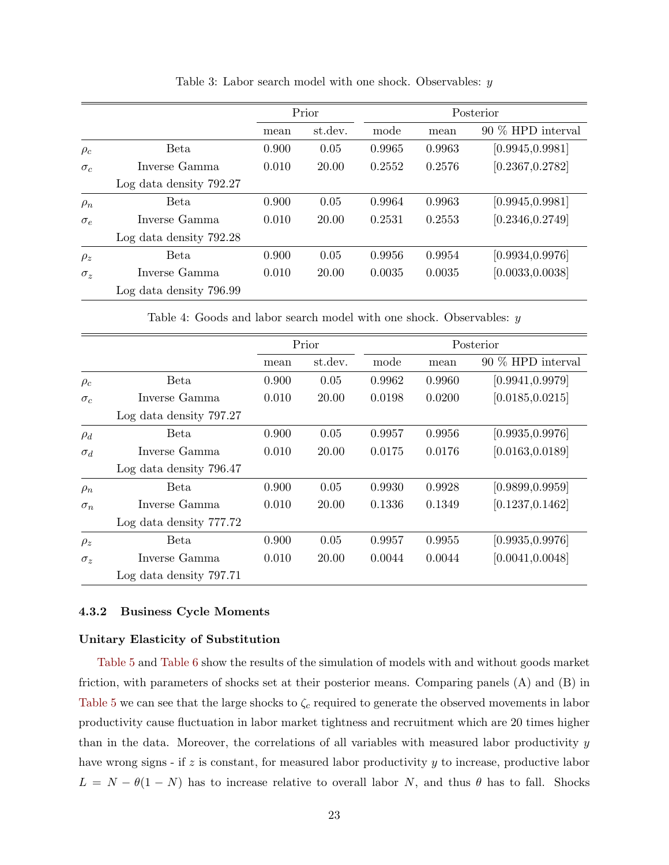|            |                         |       | Prior   |        | Posterior |                   |  |
|------------|-------------------------|-------|---------|--------|-----------|-------------------|--|
|            |                         | mean  | st.dev. | mode   | mean      | 90 % HPD interval |  |
| $\rho_c$   | Beta                    | 0.900 | 0.05    | 0.9965 | 0.9963    | [0.9945, 0.9981]  |  |
| $\sigma_c$ | Inverse Gamma           | 0.010 | 20.00   | 0.2552 | 0.2576    | [0.2367, 0.2782]  |  |
|            | Log data density 792.27 |       |         |        |           |                   |  |
| $\rho_n$   | Beta                    | 0.900 | 0.05    | 0.9964 | 0.9963    | [0.9945, 0.9981]  |  |
| $\sigma_e$ | Inverse Gamma           | 0.010 | 20.00   | 0.2531 | 0.2553    | [0.2346, 0.2749]  |  |
|            | Log data density 792.28 |       |         |        |           |                   |  |
| $\rho_z$   | Beta                    | 0.900 | 0.05    | 0.9956 | 0.9954    | [0.9934, 0.9976]  |  |
| $\sigma_z$ | Inverse Gamma           | 0.010 | 20.00   | 0.0035 | 0.0035    | [0.0033, 0.0038]  |  |
|            | Log data density 796.99 |       |         |        |           |                   |  |

<span id="page-23-0"></span>Table 3: Labor search model with one shock. Observables: y

<span id="page-23-1"></span>Table 4: Goods and labor search model with one shock. Observables: y

|            |                         |       | Prior   |        | Posterior |                   |  |
|------------|-------------------------|-------|---------|--------|-----------|-------------------|--|
|            |                         | mean  | st.dev. | mode   | mean      | 90 % HPD interval |  |
| $\rho_c$   | Beta                    | 0.900 | 0.05    | 0.9962 | 0.9960    | [0.9941, 0.9979]  |  |
| $\sigma_c$ | Inverse Gamma           | 0.010 | 20.00   | 0.0198 | 0.0200    | [0.0185, 0.0215]  |  |
|            | Log data density 797.27 |       |         |        |           |                   |  |
| $\rho_d$   | <b>Beta</b>             | 0.900 | 0.05    | 0.9957 | 0.9956    | [0.9935, 0.9976]  |  |
| $\sigma_d$ | Inverse Gamma           | 0.010 | 20.00   | 0.0175 | 0.0176    | [0.0163, 0.0189]  |  |
|            | Log data density 796.47 |       |         |        |           |                   |  |
| $\rho_n$   | Beta                    | 0.900 | 0.05    | 0.9930 | 0.9928    | [0.9899, 0.9959]  |  |
| $\sigma_n$ | Inverse Gamma           | 0.010 | 20.00   | 0.1336 | 0.1349    | [0.1237, 0.1462]  |  |
|            | Log data density 777.72 |       |         |        |           |                   |  |
| $\rho_z$   | Beta                    | 0.900 | 0.05    | 0.9957 | 0.9955    | [0.9935, 0.9976]  |  |
| $\sigma_z$ | Inverse Gamma           | 0.010 | 20.00   | 0.0044 | 0.0044    | [0.0041, 0.0048]  |  |
|            | Log data density 797.71 |       |         |        |           |                   |  |

#### 4.3.2 Business Cycle Moments

#### Unitary Elasticity of Substitution

[Table 5](#page-24-0) and [Table 6](#page-24-1) show the results of the simulation of models with and without goods market friction, with parameters of shocks set at their posterior means. Comparing panels (A) and (B) in [Table 5](#page-24-0) we can see that the large shocks to  $\zeta_c$  required to generate the observed movements in labor productivity cause fluctuation in labor market tightness and recruitment which are 20 times higher than in the data. Moreover, the correlations of all variables with measured labor productivity y have wrong signs - if  $z$  is constant, for measured labor productivity  $y$  to increase, productive labor  $L = N - \theta(1 - N)$  has to increase relative to overall labor N, and thus  $\theta$  has to fall. Shocks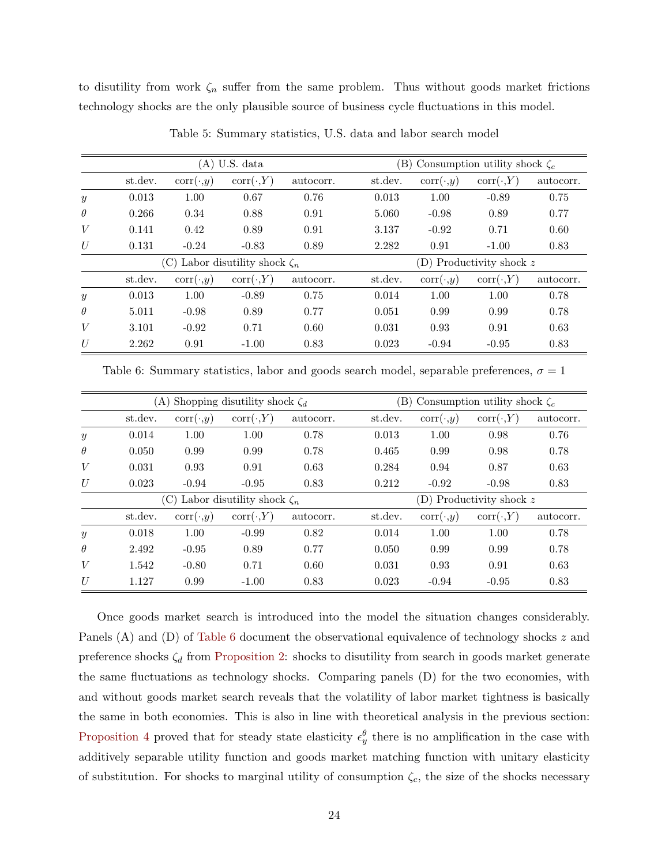to disutility from work  $\zeta_n$  suffer from the same problem. Thus without goods market frictions technology shocks are the only plausible source of business cycle fluctuations in this model.

|                  |         |                 | $(A)$ U.S. data                  |           | (B) Consumption utility shock $\zeta_c$ |                            |                  |           |  |  |
|------------------|---------|-----------------|----------------------------------|-----------|-----------------------------------------|----------------------------|------------------|-----------|--|--|
|                  | st.dev. | $corr(\cdot,y)$ | $corr(\cdot, Y)$                 | autocorr. | st.dev.                                 | $corr(\cdot,y)$            | $corr(\cdot, Y)$ | autocorr. |  |  |
| $\boldsymbol{y}$ | 0.013   | 1.00            | 0.67                             | 0.76      | 0.013                                   | 1.00                       | $-0.89$          | 0.75      |  |  |
| $\theta$         | 0.266   | 0.34            | 0.88                             | 0.91      | 5.060                                   | $-0.98$                    | 0.89             | 0.77      |  |  |
| V                | 0.141   | 0.42            | 0.89                             | 0.91      | 3.137                                   | $-0.92$                    | 0.71             | 0.60      |  |  |
| U                | 0.131   | $-0.24$         | $-0.83$                          | 0.89      | 2.282                                   | 0.91                       | $-1.00$          | 0.83      |  |  |
|                  |         | (C)             | Labor disutility shock $\zeta_n$ |           |                                         | (D) Productivity shock $z$ |                  |           |  |  |
|                  | st.dev. | $corr(\cdot,y)$ | $corr(\cdot, Y)$                 | autocorr. | st.dev.                                 | $corr(\cdot,y)$            | $corr(\cdot, Y)$ | autocorr. |  |  |
| $\boldsymbol{y}$ | 0.013   | 1.00            | $-0.89$                          | 0.75      | 0.014                                   | 1.00                       | 1.00             | 0.78      |  |  |
| $\theta$         | 5.011   | $-0.98$         | 0.89                             | 0.77      | 0.051                                   | 0.99                       | 0.99             | 0.78      |  |  |
| V                | 3.101   | $-0.92$         | 0.71                             | 0.60      | 0.031                                   | 0.93                       | 0.91             | 0.63      |  |  |
| U                | 2.262   | 0.91            | $-1.00$                          | 0.83      | 0.023                                   | $-0.94$                    | $-0.95$          | 0.83      |  |  |

<span id="page-24-0"></span>Table 5: Summary statistics, U.S. data and labor search model

<span id="page-24-1"></span>Table 6: Summary statistics, labor and goods search model, separable preferences,  $\sigma = 1$ 

|                  |         |                 | (A) Shopping disutility shock $\zeta_d$ |           |         | (B) Consumption utility shock $\zeta_c$ |                  |           |  |  |
|------------------|---------|-----------------|-----------------------------------------|-----------|---------|-----------------------------------------|------------------|-----------|--|--|
|                  | st.dev. | $corr(\cdot,y)$ | $corr(\cdot, Y)$                        | autocorr. | st.dev. | $corr(\cdot,y)$                         | $corr(\cdot, Y)$ | autocorr. |  |  |
| $\boldsymbol{y}$ | 0.014   | 1.00            | 1.00                                    | 0.78      | 0.013   | 1.00                                    | 0.98             | 0.76      |  |  |
| $\theta$         | 0.050   | 0.99            | 0.99                                    | 0.78      | 0.465   | 0.99                                    | 0.98             | 0.78      |  |  |
| V                | 0.031   | 0.93            | 0.91                                    | 0.63      | 0.284   | 0.94                                    | 0.87             | 0.63      |  |  |
| U                | 0.023   | $-0.94$         | $-0.95$                                 | 0.83      | 0.212   | $-0.92$                                 | $-0.98$          | 0.83      |  |  |
|                  |         | $(\mathrm{C})$  | Labor disutility shock $\zeta_n$        |           |         | (D) Productivity shock z                |                  |           |  |  |
|                  | st.dev. | $corr(\cdot,y)$ | $corr(\cdot, Y)$                        | autocorr. | st.dev. | $corr(\cdot,y)$                         | $corr(\cdot, Y)$ | autocorr. |  |  |
| $\boldsymbol{y}$ | 0.018   | 1.00            | $-0.99$                                 | 0.82      | 0.014   | 1.00                                    | 1.00             | 0.78      |  |  |
| $\theta$         | 2.492   | $-0.95$         | 0.89                                    | 0.77      | 0.050   | 0.99                                    | 0.99             | 0.78      |  |  |
| V                | 1.542   | $-0.80$         | 0.71                                    | 0.60      | 0.031   | 0.93                                    | 0.91             | 0.63      |  |  |
| U                | 1.127   | 0.99            | $-1.00$                                 | 0.83      | 0.023   | $-0.94$                                 | $-0.95$          | 0.83      |  |  |

Once goods market search is introduced into the model the situation changes considerably. Panels (A) and (D) of [Table 6](#page-24-1) document the observational equivalence of technology shocks z and preference shocks  $\zeta_d$  from [Proposition 2:](#page-13-3) shocks to disutility from search in goods market generate the same fluctuations as technology shocks. Comparing panels (D) for the two economies, with and without goods market search reveals that the volatility of labor market tightness is basically the same in both economies. This is also in line with theoretical analysis in the previous section: [Proposition 4](#page-15-2) proved that for steady state elasticity  $\epsilon_y^{\theta}$  there is no amplification in the case with additively separable utility function and goods market matching function with unitary elasticity of substitution. For shocks to marginal utility of consumption  $\zeta_c$ , the size of the shocks necessary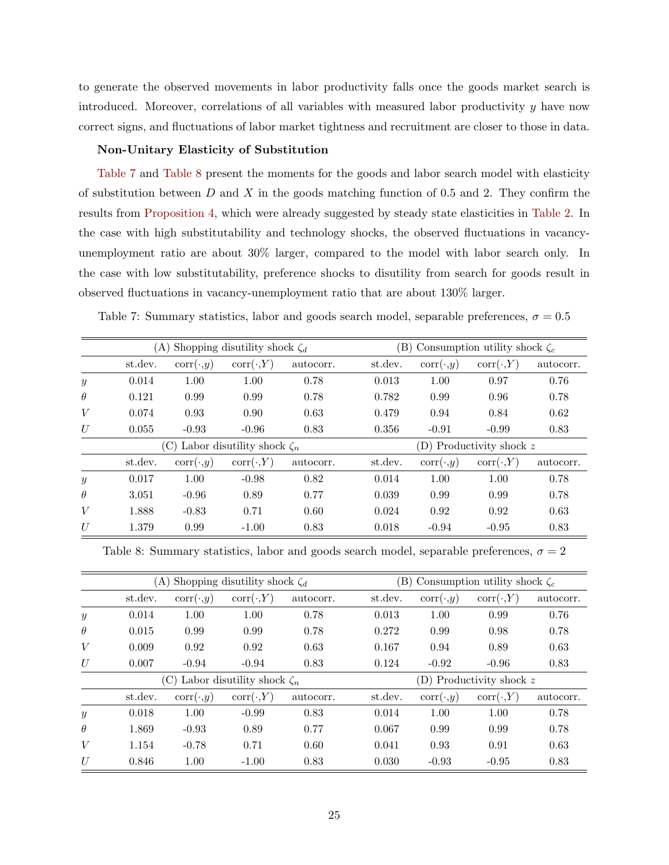to generate the observed movements in labor productivity falls once the goods market search is introduced. Moreover, correlations of all variables with measured labor productivity  $y$  have now correct signs, and fluctuations of labor market tightness and recruitment are closer to those in data.

#### Non-Unitary Elasticity of Substitution

[Table 7](#page-25-0) and [Table 8](#page-25-1) present the moments for the goods and labor search model with elasticity of substitution between  $D$  and  $X$  in the goods matching function of 0.5 and 2. They confirm the results from [Proposition 4,](#page-15-2) which were already suggested by steady state elasticities in [Table 2.](#page-21-0) In the case with high substitutability and technology shocks, the observed fluctuations in vacancyunemployment ratio are about 30% larger, compared to the model with labor search only. In the case with low substitutability, preference shocks to disutility from search for goods result in observed fluctuations in vacancy-unemployment ratio that are about 130% larger.

<span id="page-25-0"></span>

|  | Table 7: Summary statistics, labor and goods search model, separable preferences, $\sigma = 0.5$ |  |  |  |  |  |  |  |
|--|--------------------------------------------------------------------------------------------------|--|--|--|--|--|--|--|
|--|--------------------------------------------------------------------------------------------------|--|--|--|--|--|--|--|

|                  | (A)     |                 | Shopping disutility shock $\zeta_d$  |           |         |                            | (B) Consumption utility shock $\zeta_c$ |           |  |  |
|------------------|---------|-----------------|--------------------------------------|-----------|---------|----------------------------|-----------------------------------------|-----------|--|--|
|                  | st.dev. | $corr(\cdot,y)$ | $corr(\cdot, Y)$                     | autocorr. | st.dev. | $corr(\cdot,y)$            | $corr(\cdot, Y)$                        | autocorr. |  |  |
| $\mathcal{Y}$    | 0.014   | 1.00            | 1.00                                 | 0.78      | 0.013   | 1.00                       | 0.97                                    | 0.76      |  |  |
| $\theta$         | 0.121   | 0.99            | 0.99                                 | 0.78      | 0.782   | 0.99                       | 0.96                                    | 0.78      |  |  |
| V                | 0.074   | 0.93            | 0.90                                 | 0.63      | 0.479   | 0.94                       | 0.84                                    | 0.62      |  |  |
| U                | 0.055   | $-0.93$         | $-0.96$                              | 0.83      | 0.356   | $-0.91$                    | $-0.99$                                 | 0.83      |  |  |
|                  |         |                 | (C) Labor disutility shock $\zeta_n$ |           |         | (D) Productivity shock $z$ |                                         |           |  |  |
|                  | st.dev. | $corr(\cdot,y)$ | $corr(\cdot, Y)$                     | autocorr. | st.dev. | $corr(\cdot,y)$            | $corr(\cdot, Y)$                        | autocorr. |  |  |
| $\boldsymbol{y}$ | 0.017   | 1.00            | $-0.98$                              | 0.82      | 0.014   | 1.00                       | 1.00                                    | 0.78      |  |  |
| $\theta$         | 3.051   | $-0.96$         | 0.89                                 | 0.77      | 0.039   | 0.99                       | 0.99                                    | 0.78      |  |  |
| V                | 1.888   | $-0.83$         | 0.71                                 | 0.60      | 0.024   | 0.92                       | 0.92                                    | 0.63      |  |  |
| U                | 1.379   | 0.99            | $-1.00$                              | 0.83      | 0.018   | $-0.94$                    | $-0.95$                                 | 0.83      |  |  |

<span id="page-25-1"></span>Table 8: Summary statistics, labor and goods search model, separable preferences,  $\sigma = 2$ 

|                  | (A)     |                 | Shopping disutility shock $\zeta_d$ |           |         | (B)<br>Consumption utility shock $\zeta_c$ |                  |           |  |  |
|------------------|---------|-----------------|-------------------------------------|-----------|---------|--------------------------------------------|------------------|-----------|--|--|
|                  | st.dev. | $corr(\cdot,y)$ | $corr(\cdot, Y)$                    | autocorr. | st.dev. | $corr(\cdot,y)$                            | $corr(\cdot, Y)$ | autocorr. |  |  |
| $\boldsymbol{y}$ | 0.014   | 1.00            | 1.00                                | 0.78      | 0.013   | 1.00                                       | 0.99             | 0.76      |  |  |
| $\theta$         | 0.015   | 0.99            | 0.99                                | 0.78      | 0.272   | 0.99                                       | 0.98             | 0.78      |  |  |
| V                | 0.009   | 0.92            | 0.92                                | 0.63      | 0.167   | 0.94                                       | 0.89             | 0.63      |  |  |
| U                | 0.007   | $-0.94$         | $-0.94$                             | 0.83      | 0.124   | $-0.92$                                    | $-0.96$          | 0.83      |  |  |
|                  |         | (C)             | Labor disutility shock $\zeta_n$    |           |         | (D) Productivity shock $z$                 |                  |           |  |  |
|                  | st.dev. | $corr(\cdot,y)$ | $corr(\cdot, Y)$                    | autocorr. | st.dev. | $corr(\cdot,y)$                            | $corr(\cdot, Y)$ | autocorr. |  |  |
| $\boldsymbol{y}$ | 0.018   | 1.00            | $-0.99$                             | 0.83      | 0.014   | 1.00                                       | 1.00             | 0.78      |  |  |
| $\theta$         | 1.869   | $-0.93$         | 0.89                                | 0.77      | 0.067   | 0.99                                       | 0.99             | 0.78      |  |  |
| V                | 1.154   | $-0.78$         | 0.71                                | 0.60      | 0.041   | 0.93                                       | 0.91             | 0.63      |  |  |
| U                | 0.846   | 1.00            | $-1.00$                             | 0.83      | 0.030   | $-0.93$                                    | $-0.95$          | 0.83      |  |  |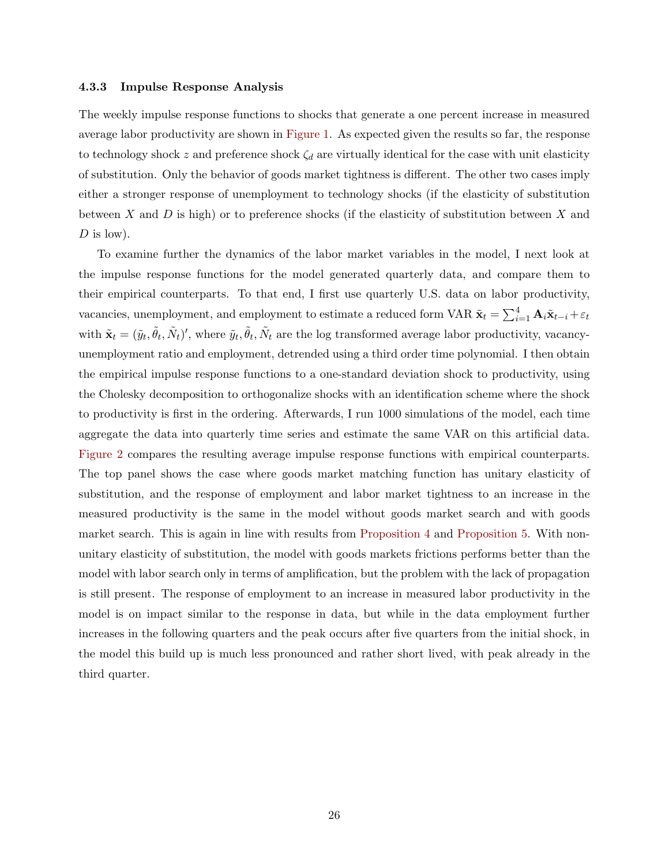#### 4.3.3 Impulse Response Analysis

The weekly impulse response functions to shocks that generate a one percent increase in measured average labor productivity are shown in [Figure 1.](#page-27-0) As expected given the results so far, the response to technology shock z and preference shock  $\zeta_d$  are virtually identical for the case with unit elasticity of substitution. Only the behavior of goods market tightness is different. The other two cases imply either a stronger response of unemployment to technology shocks (if the elasticity of substitution between  $X$  and  $D$  is high) or to preference shocks (if the elasticity of substitution between  $X$  and  $D$  is low).

To examine further the dynamics of the labor market variables in the model, I next look at the impulse response functions for the model generated quarterly data, and compare them to their empirical counterparts. To that end, I first use quarterly U.S. data on labor productivity, vacancies, unemployment, and employment to estimate a reduced form VAR  $\tilde{\mathbf{x}}_t = \sum_{i=1}^4 \mathbf{A}_i \tilde{\mathbf{x}}_{t-i} + \varepsilon_t$ with  $\tilde{\mathbf{x}}_t = (\tilde{y}_t, \tilde{\theta}_t, \tilde{N}_t)$ ', where  $\tilde{y}_t, \tilde{\theta}_t, \tilde{N}_t$  are the log transformed average labor productivity, vacancyunemployment ratio and employment, detrended using a third order time polynomial. I then obtain the empirical impulse response functions to a one-standard deviation shock to productivity, using the Cholesky decomposition to orthogonalize shocks with an identification scheme where the shock to productivity is first in the ordering. Afterwards, I run 1000 simulations of the model, each time aggregate the data into quarterly time series and estimate the same VAR on this artificial data. [Figure 2](#page-28-0) compares the resulting average impulse response functions with empirical counterparts. The top panel shows the case where goods market matching function has unitary elasticity of substitution, and the response of employment and labor market tightness to an increase in the measured productivity is the same in the model without goods market search and with goods market search. This is again in line with results from [Proposition 4](#page-15-2) and [Proposition 5.](#page-17-0) With nonunitary elasticity of substitution, the model with goods markets frictions performs better than the model with labor search only in terms of amplification, but the problem with the lack of propagation is still present. The response of employment to an increase in measured labor productivity in the model is on impact similar to the response in data, but while in the data employment further increases in the following quarters and the peak occurs after five quarters from the initial shock, in the model this build up is much less pronounced and rather short lived, with peak already in the third quarter.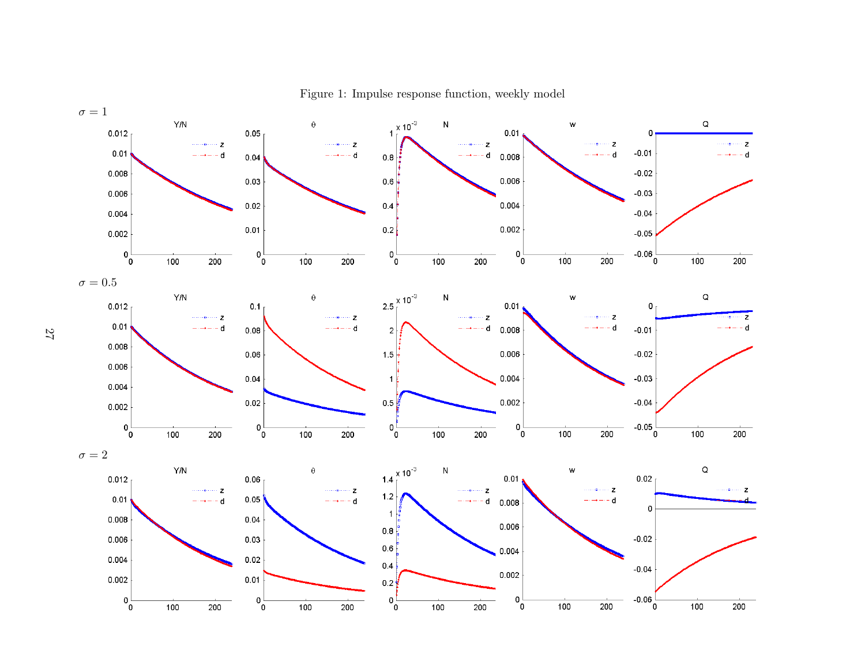

<span id="page-27-0"></span>Figure 1: Impulse response function, weekly model

27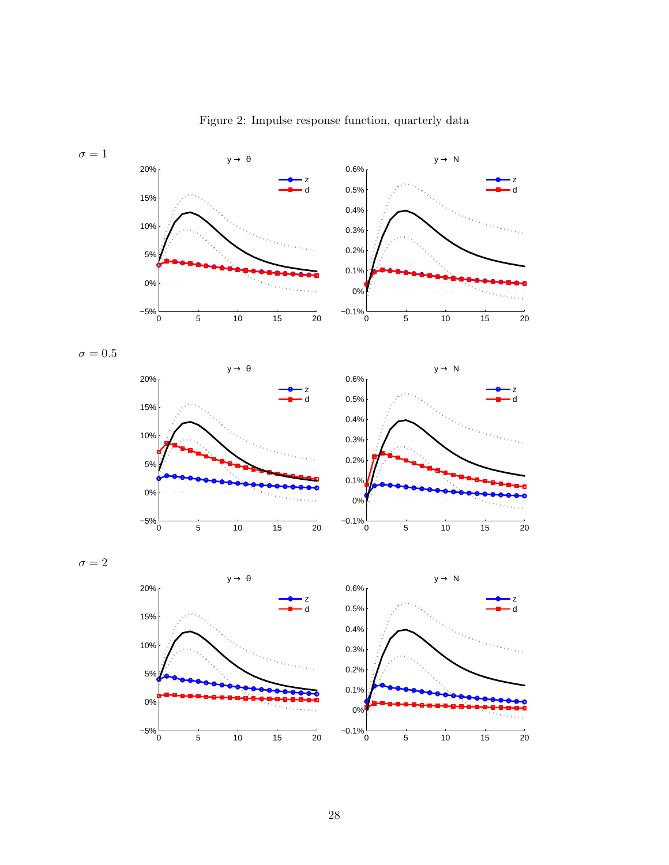

<span id="page-28-0"></span>Figure 2: Impulse response function, quarterly data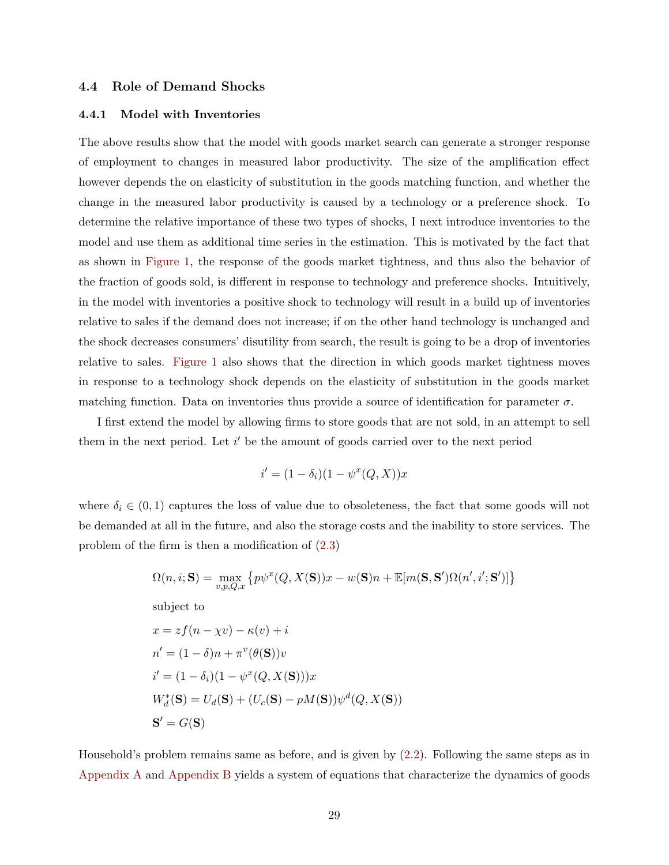#### 4.4 Role of Demand Shocks

#### 4.4.1 Model with Inventories

The above results show that the model with goods market search can generate a stronger response of employment to changes in measured labor productivity. The size of the amplification effect however depends the on elasticity of substitution in the goods matching function, and whether the change in the measured labor productivity is caused by a technology or a preference shock. To determine the relative importance of these two types of shocks, I next introduce inventories to the model and use them as additional time series in the estimation. This is motivated by the fact that as shown in [Figure 1,](#page-27-0) the response of the goods market tightness, and thus also the behavior of the fraction of goods sold, is different in response to technology and preference shocks. Intuitively, in the model with inventories a positive shock to technology will result in a build up of inventories relative to sales if the demand does not increase; if on the other hand technology is unchanged and the shock decreases consumers' disutility from search, the result is going to be a drop of inventories relative to sales. [Figure 1](#page-27-0) also shows that the direction in which goods market tightness moves in response to a technology shock depends on the elasticity of substitution in the goods market matching function. Data on inventories thus provide a source of identification for parameter  $\sigma$ .

I first extend the model by allowing firms to store goods that are not sold, in an attempt to sell them in the next period. Let  $i'$  be the amount of goods carried over to the next period

$$
i' = (1 - \delta_i)(1 - \psi^x(Q, X))x
$$

where  $\delta_i \in (0,1)$  captures the loss of value due to obsoleteness, the fact that some goods will not be demanded at all in the future, and also the storage costs and the inability to store services. The problem of the firm is then a modification of [\(2.3\)](#page-9-0)

$$
\Omega(n, i; \mathbf{S}) = \max_{v, p, Q, x} \left\{ p\psi^x(Q, X(\mathbf{S}))x - w(\mathbf{S})n + \mathbb{E}[m(\mathbf{S}, \mathbf{S}')\Omega(n', i'; \mathbf{S}')]\right\}
$$

subject to

$$
x = zf(n - \chi v) - \kappa(v) + i
$$
  
\n
$$
n' = (1 - \delta)n + \pi^v(\theta(\mathbf{S}))v
$$
  
\n
$$
i' = (1 - \delta_i)(1 - \psi^x(Q, X(\mathbf{S})))x
$$
  
\n
$$
W_d^*(\mathbf{S}) = U_d(\mathbf{S}) + (U_c(\mathbf{S}) - pM(\mathbf{S}))\psi^d(Q, X(\mathbf{S}))
$$
  
\n
$$
\mathbf{S}' = G(\mathbf{S})
$$

Household's problem remains same as before, and is given by [\(2.2\)](#page-8-0). Following the same steps as in [Appendix A](#page-38-0) and [Appendix B](#page-40-0) yields a system of equations that characterize the dynamics of goods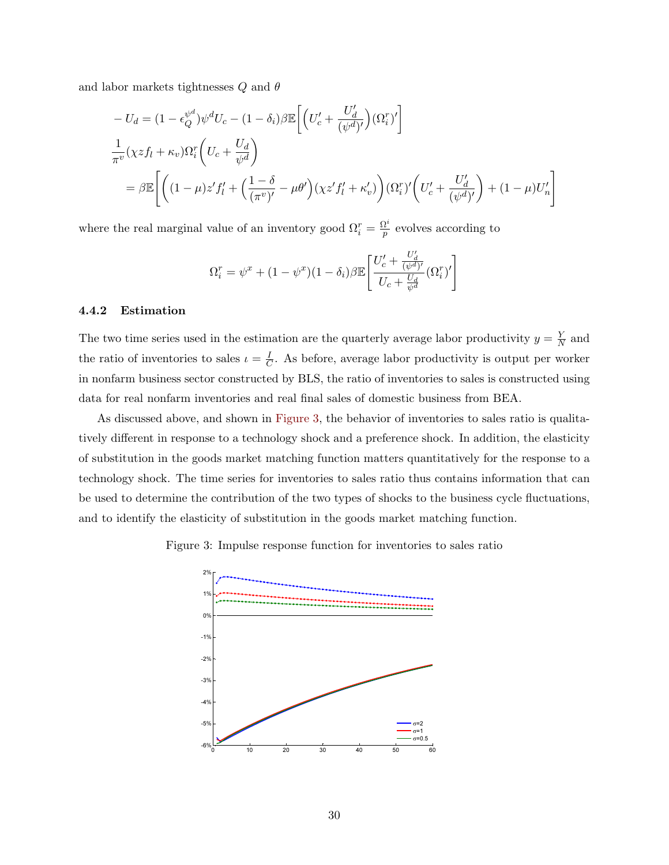and labor markets tightnesses  $Q$  and  $\theta$ 

$$
-U_d = (1 - \epsilon_Q^{\psi^d}) \psi^d U_c - (1 - \delta_i) \beta \mathbb{E} \left[ \left( U_c' + \frac{U_d'}{(\psi^d)'} \right) (\Omega_i^r)' \right]
$$
  

$$
\frac{1}{\pi^v} (\chi z f_l + \kappa_v) \Omega_i^r \left( U_c + \frac{U_d}{\psi^d} \right)
$$
  

$$
= \beta \mathbb{E} \left[ \left( (1 - \mu) z' f_l' + \left( \frac{1 - \delta}{(\pi^v)'} - \mu \theta' \right) (\chi z' f_l' + \kappa_v') \right) (\Omega_i^r)' \left( U_c' + \frac{U_d'}{(\psi^d)'} \right) + (1 - \mu) U_n' \right]
$$

where the real marginal value of an inventory good  $\Omega_i^r = \frac{\Omega^i}{p}$  $\frac{p}{p}$  evolves according to

$$
\Omega_i^r = \psi^x + (1 - \psi^x)(1 - \delta_i) \beta \mathbb{E}\left[\frac{U_c' + \frac{U_d'}{(\psi^d)'} }{U_c + \frac{U_d}{\psi^d}} (\Omega_i^r)'\right]
$$

#### 4.4.2 Estimation

The two time series used in the estimation are the quarterly average labor productivity  $y = \frac{Y}{N}$  $\frac{Y}{N}$  and the ratio of inventories to sales  $\iota = \frac{I}{C}$  $\frac{1}{C}$ . As before, average labor productivity is output per worker in nonfarm business sector constructed by BLS, the ratio of inventories to sales is constructed using data for real nonfarm inventories and real final sales of domestic business from BEA.

As discussed above, and shown in [Figure 3,](#page-30-0) the behavior of inventories to sales ratio is qualitatively different in response to a technology shock and a preference shock. In addition, the elasticity of substitution in the goods market matching function matters quantitatively for the response to a technology shock. The time series for inventories to sales ratio thus contains information that can be used to determine the contribution of the two types of shocks to the business cycle fluctuations, and to identify the elasticity of substitution in the goods market matching function.

#### Figure 3: Impulse response function for inventories to sales ratio

<span id="page-30-0"></span>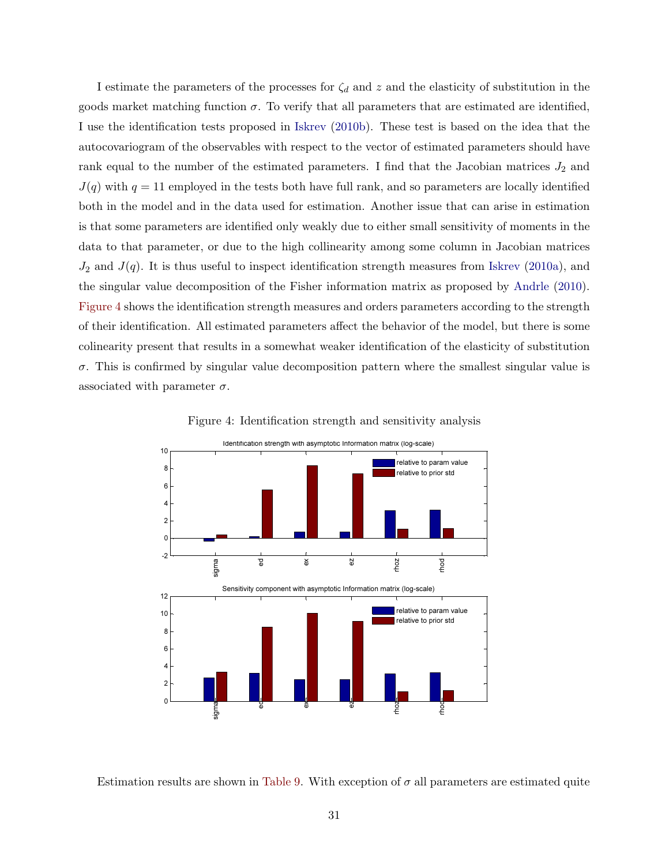<span id="page-31-1"></span>I estimate the parameters of the processes for  $\zeta_d$  and z and the elasticity of substitution in the goods market matching function  $\sigma$ . To verify that all parameters that are estimated are identified, I use the identification tests proposed in [Iskrev](#page-36-15) [\(2010b\)](#page-36-15). These test is based on the idea that the autocovariogram of the observables with respect to the vector of estimated parameters should have rank equal to the number of the estimated parameters. I find that the Jacobian matrices  $J_2$  and  $J(q)$  with  $q = 11$  employed in the tests both have full rank, and so parameters are locally identified both in the model and in the data used for estimation. Another issue that can arise in estimation is that some parameters are identified only weakly due to either small sensitivity of moments in the data to that parameter, or due to the high collinearity among some column in Jacobian matrices  $J_2$  and  $J(q)$ . It is thus useful to inspect identification strength measures from [Iskrev](#page-36-16) [\(2010a\)](#page-36-16), and the singular value decomposition of the Fisher information matrix as proposed by [Andrle](#page-35-15) [\(2010\)](#page-35-15). [Figure 4](#page-31-0) shows the identification strength measures and orders parameters according to the strength of their identification. All estimated parameters affect the behavior of the model, but there is some colinearity present that results in a somewhat weaker identification of the elasticity of substitution  $\sigma$ . This is confirmed by singular value decomposition pattern where the smallest singular value is associated with parameter  $\sigma$ .



<span id="page-31-0"></span>Figure 4: Identification strength and sensitivity analysis

Estimation results are shown in [Table 9.](#page-32-0) With exception of  $\sigma$  all parameters are estimated quite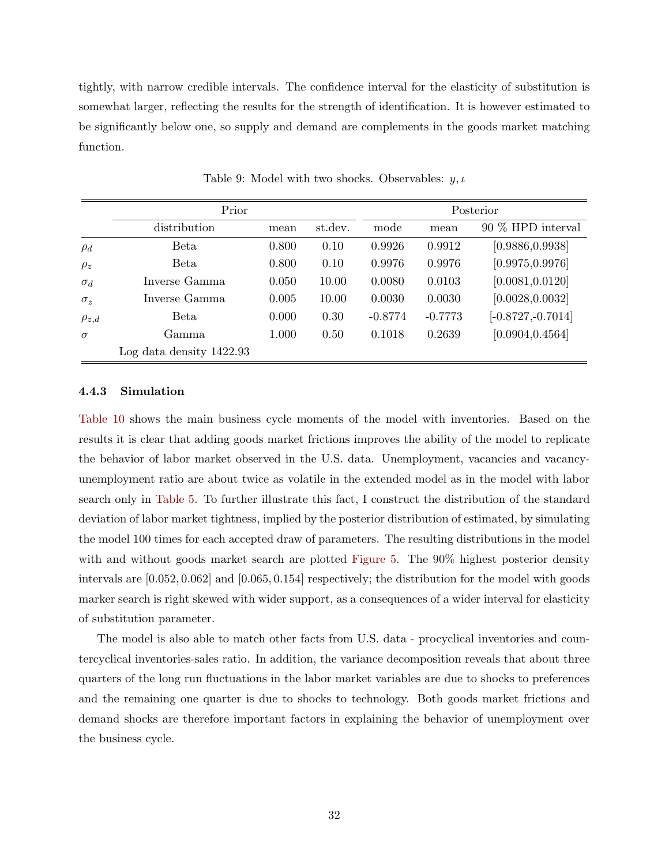tightly, with narrow credible intervals. The confidence interval for the elasticity of substitution is somewhat larger, reflecting the results for the strength of identification. It is however estimated to be significantly below one, so supply and demand are complements in the goods market matching function.

|              | Prior                      |       |         | Posterior |           |                      |  |
|--------------|----------------------------|-------|---------|-----------|-----------|----------------------|--|
|              | distribution               | mean  | st.dev. | mode      | mean      | 90 % HPD interval    |  |
| $\rho_d$     | Beta                       | 0.800 | 0.10    | 0.9926    | 0.9912    | [0.9886, 0.9938]     |  |
| $\rho_z$     | Beta                       | 0.800 | 0.10    | 0.9976    | 0.9976    | [0.9975, 0.9976]     |  |
| $\sigma_d$   | Inverse Gamma              | 0.050 | 10.00   | 0.0080    | 0.0103    | [0.0081, 0.0120]     |  |
| $\sigma_z$   | Inverse Gamma              | 0.005 | 10.00   | 0.0030    | 0.0030    | [0.0028, 0.0032]     |  |
| $\rho_{z,d}$ | Beta                       | 0.000 | 0.30    | $-0.8774$ | $-0.7773$ | $[-0.8727, -0.7014]$ |  |
| $\sigma$     | Gamma                      | 1.000 | 0.50    | 0.1018    | 0.2639    | [0.0904, 0.4564]     |  |
|              | Log data density $1422.93$ |       |         |           |           |                      |  |

<span id="page-32-0"></span>Table 9: Model with two shocks. Observables:  $y, \iota$ 

#### 4.4.3 Simulation

[Table 10](#page-33-0) shows the main business cycle moments of the model with inventories. Based on the results it is clear that adding goods market frictions improves the ability of the model to replicate the behavior of labor market observed in the U.S. data. Unemployment, vacancies and vacancyunemployment ratio are about twice as volatile in the extended model as in the model with labor search only in [Table 5.](#page-24-0) To further illustrate this fact, I construct the distribution of the standard deviation of labor market tightness, implied by the posterior distribution of estimated, by simulating the model 100 times for each accepted draw of parameters. The resulting distributions in the model with and without goods market search are plotted [Figure 5.](#page-33-1) The 90% highest posterior density intervals are [0.052, 0.062] and [0.065, 0.154] respectively; the distribution for the model with goods marker search is right skewed with wider support, as a consequences of a wider interval for elasticity of substitution parameter.

The model is also able to match other facts from U.S. data - procyclical inventories and countercyclical inventories-sales ratio. In addition, the variance decomposition reveals that about three quarters of the long run fluctuations in the labor market variables are due to shocks to preferences and the remaining one quarter is due to shocks to technology. Both goods market frictions and demand shocks are therefore important factors in explaining the behavior of unemployment over the business cycle.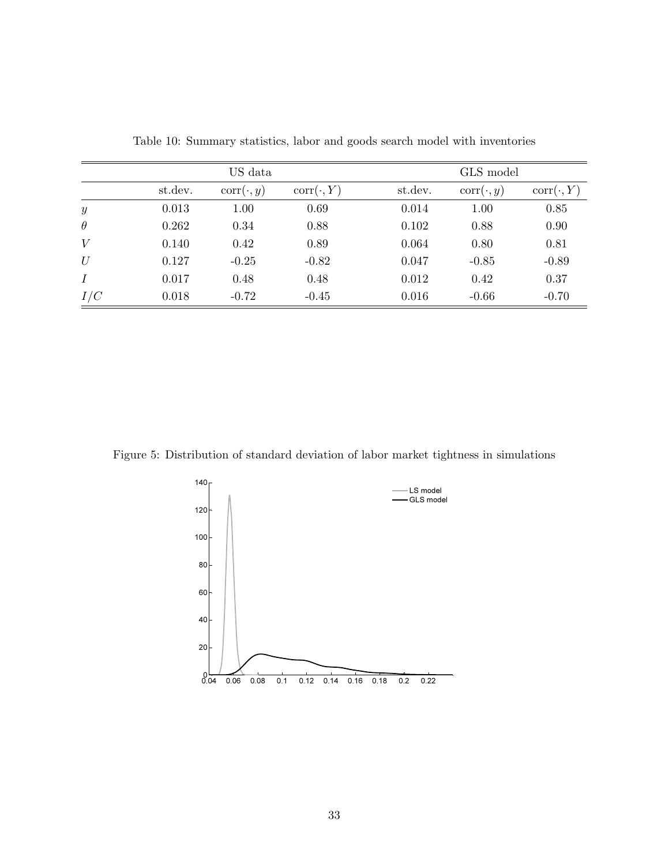|                  |         | US data          |                  | GLS model |                  |                  |  |  |
|------------------|---------|------------------|------------------|-----------|------------------|------------------|--|--|
|                  | st.dev. | $corr(\cdot, y)$ | $corr(\cdot, Y)$ | st.dev.   | $corr(\cdot, y)$ | $corr(\cdot, Y)$ |  |  |
| $\boldsymbol{y}$ | 0.013   | 1.00             | 0.69             | 0.014     | 1.00             | 0.85             |  |  |
| $\theta$         | 0.262   | 0.34             | 0.88             | 0.102     | 0.88             | 0.90             |  |  |
| V                | 0.140   | 0.42             | 0.89             | 0.064     | 0.80             | 0.81             |  |  |
| $\mathcal U$     | 0.127   | $-0.25$          | $-0.82$          | 0.047     | $-0.85$          | $-0.89$          |  |  |
| $\boldsymbol{I}$ | 0.017   | 0.48             | 0.48             | 0.012     | 0.42             | 0.37             |  |  |
| I/C              | 0.018   | $-0.72$          | $-0.45$          | 0.016     | $-0.66$          | $-0.70$          |  |  |

<span id="page-33-0"></span>Table 10: Summary statistics, labor and goods search model with inventories

Figure 5: Distribution of standard deviation of labor market tightness in simulations

<span id="page-33-1"></span>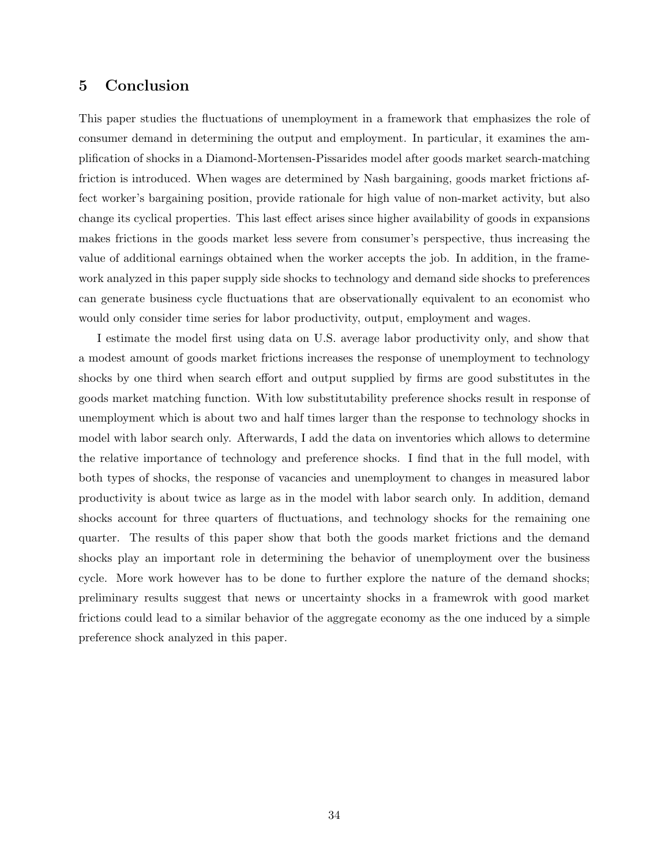# <span id="page-34-0"></span>5 Conclusion

This paper studies the fluctuations of unemployment in a framework that emphasizes the role of consumer demand in determining the output and employment. In particular, it examines the amplification of shocks in a Diamond-Mortensen-Pissarides model after goods market search-matching friction is introduced. When wages are determined by Nash bargaining, goods market frictions affect worker's bargaining position, provide rationale for high value of non-market activity, but also change its cyclical properties. This last effect arises since higher availability of goods in expansions makes frictions in the goods market less severe from consumer's perspective, thus increasing the value of additional earnings obtained when the worker accepts the job. In addition, in the framework analyzed in this paper supply side shocks to technology and demand side shocks to preferences can generate business cycle fluctuations that are observationally equivalent to an economist who would only consider time series for labor productivity, output, employment and wages.

I estimate the model first using data on U.S. average labor productivity only, and show that a modest amount of goods market frictions increases the response of unemployment to technology shocks by one third when search effort and output supplied by firms are good substitutes in the goods market matching function. With low substitutability preference shocks result in response of unemployment which is about two and half times larger than the response to technology shocks in model with labor search only. Afterwards, I add the data on inventories which allows to determine the relative importance of technology and preference shocks. I find that in the full model, with both types of shocks, the response of vacancies and unemployment to changes in measured labor productivity is about twice as large as in the model with labor search only. In addition, demand shocks account for three quarters of fluctuations, and technology shocks for the remaining one quarter. The results of this paper show that both the goods market frictions and the demand shocks play an important role in determining the behavior of unemployment over the business cycle. More work however has to be done to further explore the nature of the demand shocks; preliminary results suggest that news or uncertainty shocks in a framewrok with good market frictions could lead to a similar behavior of the aggregate economy as the one induced by a simple preference shock analyzed in this paper.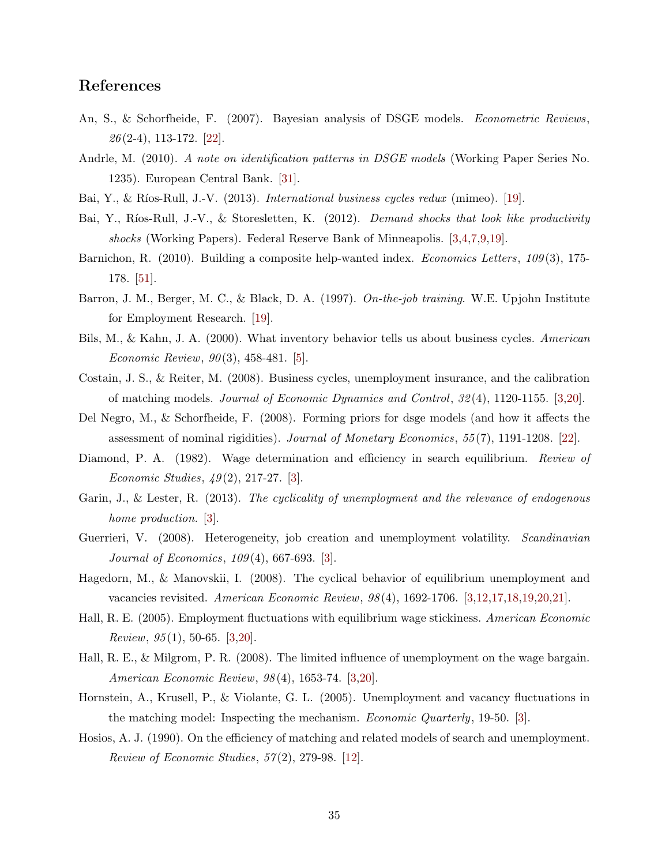# References

- <span id="page-35-13"></span>An, S., & Schorfheide, F. (2007). Bayesian analysis of DSGE models. Econometric Reviews,  $26(2-4), 113-172.$  [\[22\]](#page-22-1).
- <span id="page-35-15"></span>Andrle, M. (2010). A note on identification patterns in DSGE models (Working Paper Series No. 1235). European Central Bank. [\[31\]](#page-31-1).
- <span id="page-35-12"></span><span id="page-35-8"></span>Bai, Y., & Ríos-Rull, J.-V.  $(2013)$ . *International business cycles redux* (mimeo). [\[19\]](#page-19-0).
- Bai, Y., Ríos-Rull, J.-V., & Storesletten, K. (2012). Demand shocks that look like productivity shocks (Working Papers). Federal Reserve Bank of Minneapolis. [\[3,](#page-3-0)[4,](#page-4-0)[7,](#page-7-1)[9,](#page-9-1)[19\]](#page-19-0).
- <span id="page-35-16"></span>Barnichon, R. (2010). Building a composite help-wanted index. Economics Letters, 109(3), 175-178. [\[51\]](#page-51-0).
- <span id="page-35-11"></span>Barron, J. M., Berger, M. C., & Black, D. A. (1997). On-the-job training. W.E. Upjohn Institute for Employment Research. [\[19\]](#page-19-0).
- <span id="page-35-9"></span>Bils, M., & Kahn, J. A. (2000). What inventory behavior tells us about business cycles. American Economic Review,  $90(3)$ , 458-481. [\[5\]](#page-5-1).
- <span id="page-35-5"></span>Costain, J. S., & Reiter, M. (2008). Business cycles, unemployment insurance, and the calibration of matching models. Journal of Economic Dynamics and Control, 32 (4), 1120-1155. [\[3,](#page-3-0)[20\]](#page-20-1).
- <span id="page-35-14"></span>Del Negro, M., & Schorfheide, F. (2008). Forming priors for dsge models (and how it affects the assessment of nominal rigidities). Journal of Monetary Economics, 55 (7), 1191-1208. [\[22\]](#page-22-1).
- <span id="page-35-0"></span>Diamond, P. A. (1982). Wage determination and efficiency in search equilibrium. Review of Economic Studies,  $49(2)$ , 217-27. [\[3\]](#page-3-0).
- <span id="page-35-7"></span>Garin, J., & Lester, R. (2013). The cyclicality of unemployment and the relevance of endogenous home production. [\[3\]](#page-3-0).
- <span id="page-35-6"></span>Guerrieri, V. (2008). Heterogeneity, job creation and unemployment volatility. *Scandinavian* Journal of Economics, 109 (4), 667-693. [\[3\]](#page-3-0).
- <span id="page-35-3"></span>Hagedorn, M., & Manovskii, I. (2008). The cyclical behavior of equilibrium unemployment and vacancies revisited. American Economic Review, 98 (4), 1692-1706. [\[3](#page-3-0)[,12,](#page-12-1)[17,](#page-17-1)[18,](#page-18-1)[19,](#page-19-0)[20,](#page-20-1)[21\]](#page-21-1).
- <span id="page-35-1"></span>Hall, R. E. (2005). Employment fluctuations with equilibrium wage stickiness. American Economic *Review*,  $95(1)$ , 50-65. [\[3](#page-3-0)[,20\]](#page-20-1).
- <span id="page-35-2"></span>Hall, R. E., & Milgrom, P. R. (2008). The limited influence of unemployment on the wage bargain. American Economic Review, 98 (4), 1653-74. [\[3](#page-3-0)[,20\]](#page-20-1).
- <span id="page-35-4"></span>Hornstein, A., Krusell, P., & Violante, G. L. (2005). Unemployment and vacancy fluctuations in the matching model: Inspecting the mechanism. Economic Quarterly, 19-50. [\[3\]](#page-3-0).
- <span id="page-35-10"></span>Hosios, A. J. (1990). On the efficiency of matching and related models of search and unemployment. *Review of Economic Studies,*  $57(2)$ ,  $279-98$ . [\[12\]](#page-12-1).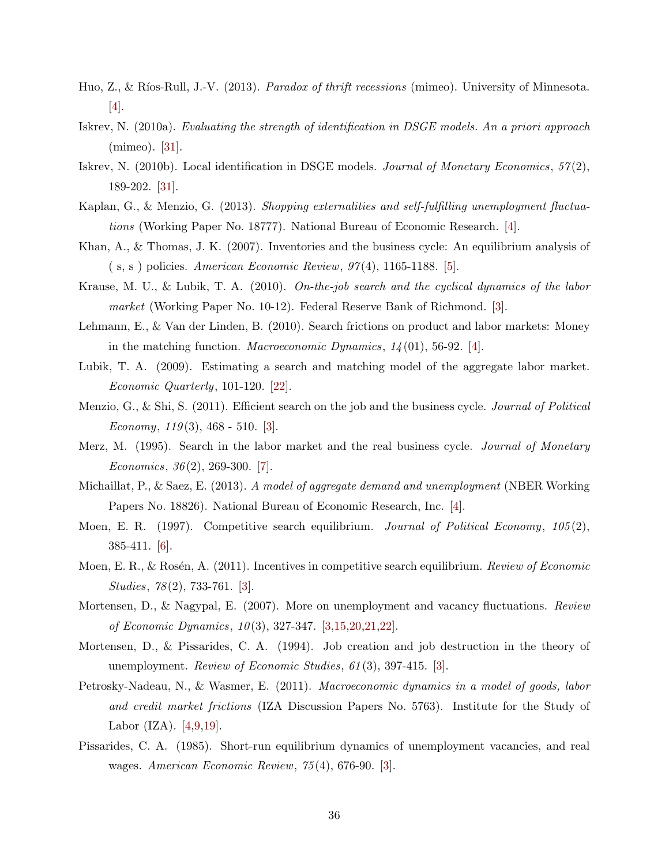- <span id="page-36-8"></span>Huo, Z., & Ríos-Rull, J.-V. (2013). *Paradox of thrift recessions* (mimeo). University of Minnesota. [\[4\]](#page-4-0).
- <span id="page-36-16"></span>Iskrev, N. (2010a). Evaluating the strength of identification in DSGE models. An a priori approach (mimeo). [\[31\]](#page-31-1).
- <span id="page-36-15"></span>Iskrev, N. (2010b). Local identification in DSGE models. Journal of Monetary Economics,  $57(2)$ , 189-202. [\[31\]](#page-31-1).
- <span id="page-36-7"></span>Kaplan, G., & Menzio, G. (2013). Shopping externalities and self-fulfilling unemployment fluctuations (Working Paper No. 18777). National Bureau of Economic Research. [\[4\]](#page-4-0).
- <span id="page-36-11"></span>Khan, A., & Thomas, J. K. (2007). Inventories and the business cycle: An equilibrium analysis of  $(s, s)$  policies. American Economic Review,  $97(4)$ , 1165-1188. [\[5\]](#page-5-1).
- <span id="page-36-4"></span>Krause, M. U., & Lubik, T. A. (2010). On-the-job search and the cyclical dynamics of the labor market (Working Paper No. 10-12). Federal Reserve Bank of Richmond. [\[3\]](#page-3-0).
- <span id="page-36-6"></span>Lehmann, E., & Van der Linden, B. (2010). Search frictions on product and labor markets: Money in the matching function. *Macroeconomic Dynamics*,  $1/4(01)$ , 56-92. [\[4\]](#page-4-0).
- <span id="page-36-14"></span>Lubik, T. A. (2009). Estimating a search and matching model of the aggregate labor market. Economic Quarterly, 101-120. [\[22\]](#page-22-1).
- <span id="page-36-5"></span>Menzio, G., & Shi, S. (2011). Efficient search on the job and the business cycle. *Journal of Political* Economy,  $119(3)$ ,  $468 - 510$ . [\[3\]](#page-3-0).
- <span id="page-36-13"></span>Merz, M. (1995). Search in the labor market and the real business cycle. *Journal of Monetary* Economics,  $36(2)$ ,  $269-300$ . [\[7\]](#page-7-1).
- <span id="page-36-10"></span>Michaillat, P., & Saez, E. (2013). A model of aggregate demand and unemployment (NBER Working Papers No. 18826). National Bureau of Economic Research, Inc. [\[4\]](#page-4-0).
- <span id="page-36-12"></span>Moen, E. R. (1997). Competitive search equilibrium. Journal of Political Economy,  $105(2)$ , 385-411. [\[6\]](#page-6-2).
- <span id="page-36-3"></span>Moen, E. R., & Rosén, A. (2011). Incentives in competitive search equilibrium. Review of Economic Studies, 78(2), 733-761. [\[3\]](#page-3-0).
- <span id="page-36-2"></span>Mortensen, D., & Nagypal, E. (2007). More on unemployment and vacancy fluctuations. Review of Economic Dynamics, 10 (3), 327-347. [\[3,](#page-3-0)[15,](#page-15-3)[20,](#page-20-1)[21,](#page-21-1)[22\]](#page-22-1).
- <span id="page-36-1"></span>Mortensen, D., & Pissarides, C. A. (1994). Job creation and job destruction in the theory of unemployment. Review of Economic Studies, 61(3), 397-415. [\[3\]](#page-3-0).
- <span id="page-36-9"></span>Petrosky-Nadeau, N., & Wasmer, E. (2011). Macroeconomic dynamics in a model of goods, labor and credit market frictions (IZA Discussion Papers No. 5763). Institute for the Study of Labor (IZA). [\[4,](#page-4-0)[9](#page-9-1)[,19\]](#page-19-0).
- <span id="page-36-0"></span>Pissarides, C. A. (1985). Short-run equilibrium dynamics of unemployment vacancies, and real wages. American Economic Review, 75 (4), 676-90. [\[3\]](#page-3-0).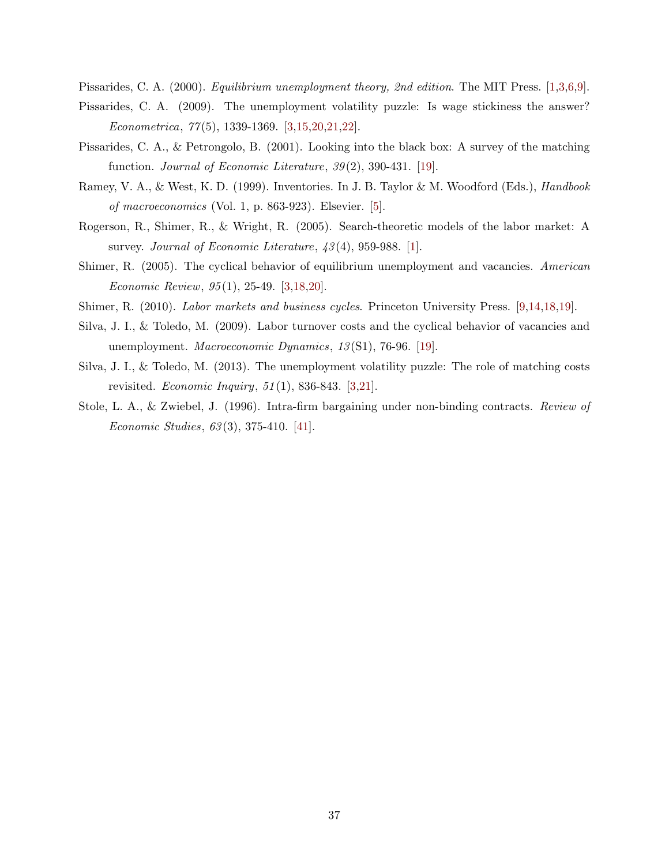<span id="page-37-3"></span><span id="page-37-0"></span>Pissarides, C. A. (2000). Equilibrium unemployment theory, 2nd edition. The MIT Press. [\[1,](#page-1-0)[3,](#page-3-0)[6](#page-6-2)[,9\]](#page-9-1).

- Pissarides, C. A. (2009). The unemployment volatility puzzle: Is wage stickiness the answer? Econometrica, 77 (5), 1339-1369. [\[3](#page-3-0)[,15](#page-15-3)[,20](#page-20-1)[,21](#page-21-1)[,22\]](#page-22-1).
- <span id="page-37-8"></span>Pissarides, C. A., & Petrongolo, B. (2001). Looking into the black box: A survey of the matching function. Journal of Economic Literature,  $39(2)$ , 390-431. [\[19\]](#page-19-0).
- <span id="page-37-5"></span>Ramey, V. A., & West, K. D. (1999). Inventories. In J. B. Taylor & M. Woodford (Eds.), Handbook of macroeconomics (Vol. 1, p. 863-923). Elsevier. [\[5\]](#page-5-1).
- <span id="page-37-1"></span>Rogerson, R., Shimer, R., & Wright, R. (2005). Search-theoretic models of the labor market: A survey. Journal of Economic Literature,  $\frac{43(4)}{959}$ -988. [\[1\]](#page-1-0).
- <span id="page-37-2"></span>Shimer, R. (2005). The cyclical behavior of equilibrium unemployment and vacancies. American Economic Review, 95 (1), 25-49. [\[3,](#page-3-0)[18,](#page-18-1)[20\]](#page-20-1).
- <span id="page-37-7"></span><span id="page-37-6"></span>Shimer, R. (2010). Labor markets and business cycles. Princeton University Press. [\[9,](#page-9-1)[14,](#page-14-1)[18,](#page-18-1)[19\]](#page-19-0).
- Silva, J. I., & Toledo, M. (2009). Labor turnover costs and the cyclical behavior of vacancies and unemployment. *Macroeconomic Dynamics*, 13(S1), 76-96. [\[19\]](#page-19-0).
- <span id="page-37-4"></span>Silva, J. I., & Toledo, M. (2013). The unemployment volatility puzzle: The role of matching costs revisited. Economic Inquiry, 51 (1), 836-843. [\[3,](#page-3-0)[21\]](#page-21-1).
- <span id="page-37-9"></span>Stole, L. A., & Zwiebel, J. (1996). Intra-firm bargaining under non-binding contracts. Review of Economic Studies, 63 (3), 375-410. [\[41\]](#page-41-0).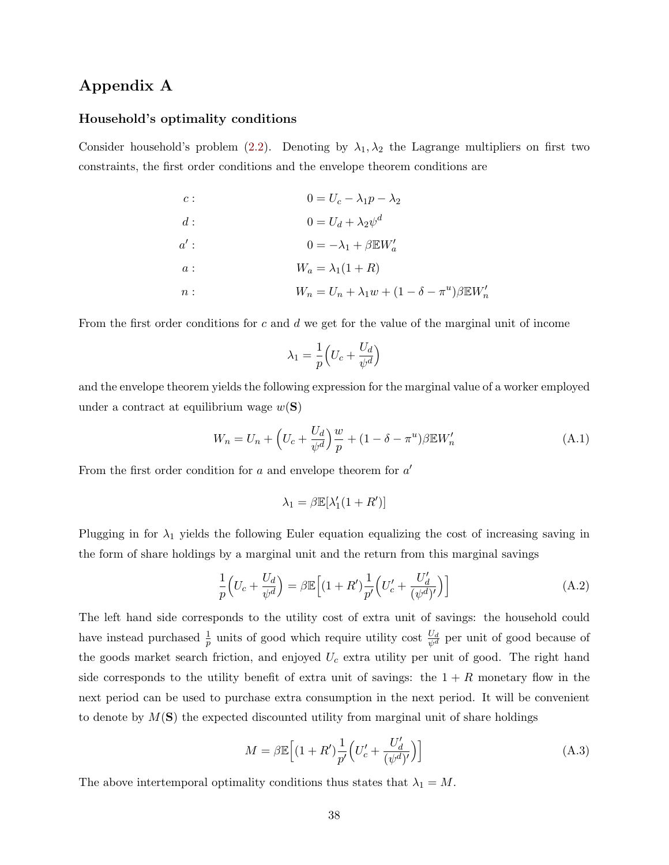## <span id="page-38-0"></span>Appendix A

#### Household's optimality conditions

Consider household's problem [\(2.2\)](#page-8-0). Denoting by  $\lambda_1, \lambda_2$  the Lagrange multipliers on first two constraints, the first order conditions and the envelope theorem conditions are

| $c$ :  | $0 = U_c - \lambda_1 p - \lambda_2$                          |
|--------|--------------------------------------------------------------|
| d:     | $0 = U_d + \lambda_2 \psi^d$                                 |
| $a'$ : | $0 = -\lambda_1 + \beta E W'_a$                              |
| a :    | $W_a = \lambda_1(1+R)$                                       |
| n:     | $W_n = U_n + \lambda_1 w + (1 - \delta - \pi^u)\beta E W'_n$ |

From the first order conditions for  $c$  and  $d$  we get for the value of the marginal unit of income

$$
\lambda_1 = \frac{1}{p} \Big(U_c + \frac{U_d}{\psi^d}\Big)
$$

and the envelope theorem yields the following expression for the marginal value of a worker employed under a contract at equilibrium wage  $w(S)$ 

<span id="page-38-3"></span>
$$
W_n = U_n + \left( U_c + \frac{U_d}{\psi^d} \right) \frac{w}{p} + (1 - \delta - \pi^u) \beta \mathbb{E} W'_n \tag{A.1}
$$

From the first order condition for  $a$  and envelope theorem for  $a'$ 

$$
\lambda_1 = \beta \mathbb{E}[\lambda'_1(1 + R')]
$$

Plugging in for  $\lambda_1$  yields the following Euler equation equalizing the cost of increasing saving in the form of share holdings by a marginal unit and the return from this marginal savings

<span id="page-38-1"></span>
$$
\frac{1}{p}\left(U_c + \frac{U_d}{\psi^d}\right) = \beta \mathbb{E}\left[(1+R')\frac{1}{p'}\left(U_c' + \frac{U_d'}{(\psi^d)'}\right)\right]
$$
\n(A.2)

The left hand side corresponds to the utility cost of extra unit of savings: the household could have instead purchased  $\frac{1}{p}$  units of good which require utility cost  $\frac{U_d}{\psi^d}$  per unit of good because of the goods market search friction, and enjoyed  $U_c$  extra utility per unit of good. The right hand side corresponds to the utility benefit of extra unit of savings: the  $1 + R$  monetary flow in the next period can be used to purchase extra consumption in the next period. It will be convenient to denote by  $M(\mathbf{S})$  the expected discounted utility from marginal unit of share holdings

<span id="page-38-2"></span>
$$
M = \beta \mathbb{E}\Big[ (1 + R') \frac{1}{p'} \Big( U_c' + \frac{U_d'}{(\psi^d)'} \Big) \Big] \tag{A.3}
$$

The above intertemporal optimality conditions thus states that  $\lambda_1 = M$ .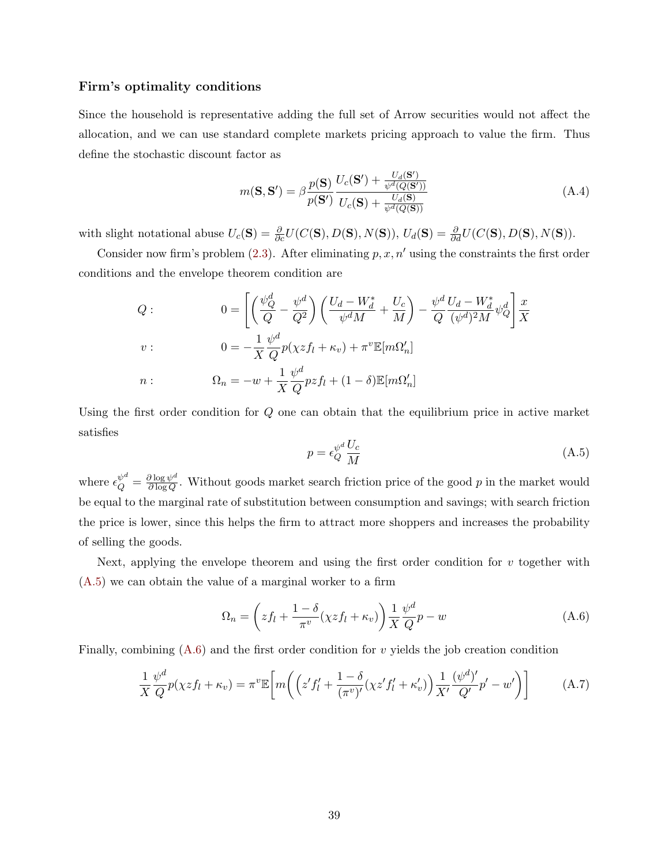#### Firm's optimality conditions

Since the household is representative adding the full set of Arrow securities would not affect the allocation, and we can use standard complete markets pricing approach to value the firm. Thus define the stochastic discount factor as

<span id="page-39-2"></span>
$$
m(\mathbf{S}, \mathbf{S}') = \beta \frac{p(\mathbf{S})}{p(\mathbf{S}')} \frac{U_c(\mathbf{S}') + \frac{U_d(\mathbf{S}')}{\psi^d(Q(\mathbf{S}'))}}{U_c(\mathbf{S}) + \frac{U_d(\mathbf{S})}{\psi^d(Q(\mathbf{S}))}}
$$
(A.4)

with slight notational abuse  $U_c(\mathbf{S}) = \frac{\partial}{\partial c} U(C(\mathbf{S}), D(\mathbf{S}), N(\mathbf{S})), U_d(\mathbf{S}) = \frac{\partial}{\partial d} U(C(\mathbf{S}), D(\mathbf{S}), N(\mathbf{S})).$ 

Consider now firm's problem [\(2.3\)](#page-9-0). After eliminating  $p, x, n'$  using the constraints the first order conditions and the envelope theorem condition are

$$
Q: \qquad 0 = \left[ \left( \frac{\psi_Q^d}{Q} - \frac{\psi^d}{Q^2} \right) \left( \frac{U_d - W_d^*}{\psi^d M} + \frac{U_c}{M} \right) - \frac{\psi^d}{Q} \frac{U_d - W_d^*}{(\psi^d)^2 M} \psi_Q^d \right] \frac{x}{X}
$$
  

$$
v: \qquad 0 = -\frac{1}{X} \frac{\psi^d}{Q} p(\chi z f_l + \kappa_v) + \pi^v \mathbb{E}[m \Omega_n']
$$
  

$$
n: \qquad \Omega_n = -w + \frac{1}{X} \frac{\psi^d}{Q} p z f_l + (1 - \delta) \mathbb{E}[m \Omega_n']
$$

Using the first order condition for Q one can obtain that the equilibrium price in active market satisfies

<span id="page-39-1"></span><span id="page-39-0"></span>
$$
p = \epsilon_Q^{\psi^d} \frac{U_c}{M} \tag{A.5}
$$

where  $\epsilon_Q^{\psi^d} = \frac{\partial \log \psi^d}{\partial \log Q}$  $\frac{\partial \log \psi^{\alpha}}{\partial \log Q}$ . Without goods market search friction price of the good p in the market would be equal to the marginal rate of substitution between consumption and savings; with search friction the price is lower, since this helps the firm to attract more shoppers and increases the probability of selling the goods.

Next, applying the envelope theorem and using the first order condition for  $v$  together with [\(A.5\)](#page-39-0) we can obtain the value of a marginal worker to a firm

$$
\Omega_n = \left( z f_l + \frac{1 - \delta}{\pi^v} (\chi z f_l + \kappa_v) \right) \frac{1}{X} \frac{\psi^d}{Q} p - w \tag{A.6}
$$

Finally, combining  $(A.6)$  and the first order condition for v yields the job creation condition

<span id="page-39-3"></span>
$$
\frac{1}{X}\frac{\psi^d}{Q}p(\chi z f_l + \kappa_v) = \pi^v \mathbb{E}\bigg[m\bigg(\bigg(z' f_l' + \frac{1-\delta}{(\pi^v)'}(\chi z' f_l' + \kappa_v')\bigg)\frac{1}{X'}\frac{(\psi^d)'}{Q'}p' - w'\bigg)\bigg] \tag{A.7}
$$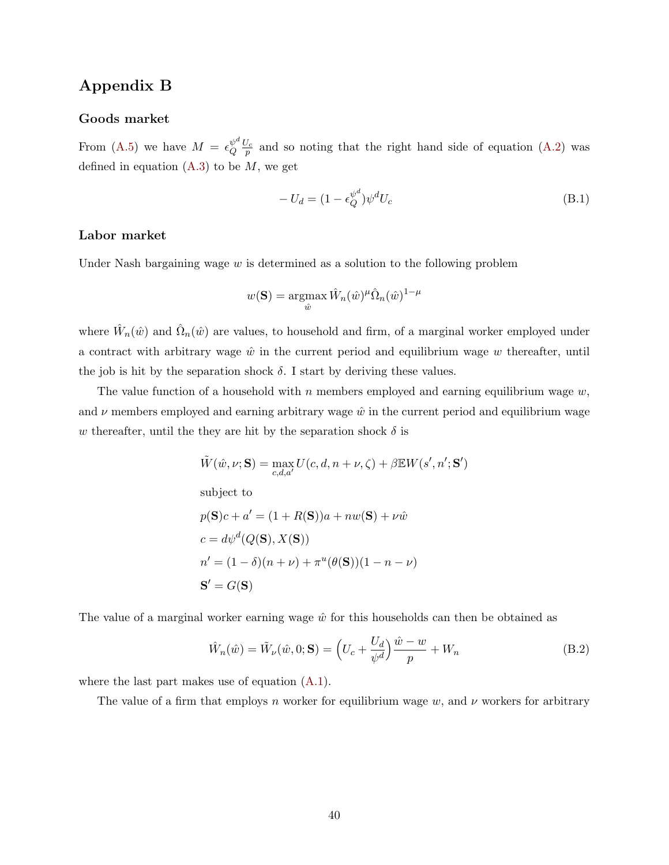# <span id="page-40-0"></span>Appendix B

#### Goods market

From [\(A.5\)](#page-39-0) we have  $M = \epsilon_0^{\psi^d}$  $\frac{\psi^a}{Q} \frac{U_c}{p}$  and so noting that the right hand side of equation [\(A.2\)](#page-38-1) was defined in equation  $(A.3)$  to be  $M$ , we get

<span id="page-40-2"></span>
$$
-U_d = (1 - \epsilon_Q^{\psi^d}) \psi^d U_c \tag{B.1}
$$

#### Labor market

Under Nash bargaining wage  $w$  is determined as a solution to the following problem

$$
w(\mathbf{S}) = \operatorname*{argmax}_{\hat{w}} \hat{W}_n(\hat{w})^{\mu} \hat{\Omega}_n(\hat{w})^{1-\mu}
$$

where  $\hat{W}_n(\hat{w})$  and  $\hat{\Omega}_n(\hat{w})$  are values, to household and firm, of a marginal worker employed under a contract with arbitrary wage  $\hat{w}$  in the current period and equilibrium wage w thereafter, until the job is hit by the separation shock  $\delta$ . I start by deriving these values.

The value function of a household with n members employed and earning equilibrium wage  $w$ , and  $\nu$  members employed and earning arbitrary wage  $\hat{w}$  in the current period and equilibrium wage w thereafter, until the they are hit by the separation shock  $\delta$  is

$$
\tilde{W}(\hat{w}, \nu; \mathbf{S}) = \max_{c, d, a'} U(c, d, n + \nu, \zeta) + \beta \mathbb{E} W(s', n'; \mathbf{S}')
$$
  
subject to  

$$
p(\mathbf{S})c + a' = (1 + R(\mathbf{S}))a + nw(\mathbf{S}) + \nu \hat{w}
$$

$$
c = d\psi^d(Q(\mathbf{S}), X(\mathbf{S}))
$$

$$
n' = (1 - \delta)(n + \nu) + \pi^u(\theta(\mathbf{S}))(1 - n - \nu)
$$

$$
\mathbf{S}' = G(\mathbf{S})
$$

The value of a marginal worker earning wage  $\hat{w}$  for this households can then be obtained as

<span id="page-40-1"></span>
$$
\hat{W}_n(\hat{w}) = \tilde{W}_\nu(\hat{w}, 0; \mathbf{S}) = \left(U_c + \frac{U_d}{\psi^d}\right) \frac{\hat{w} - w}{p} + W_n \tag{B.2}
$$

where the last part makes use of equation [\(A.1\)](#page-38-3).

The value of a firm that employs n worker for equilibrium wage w, and  $\nu$  workers for arbitrary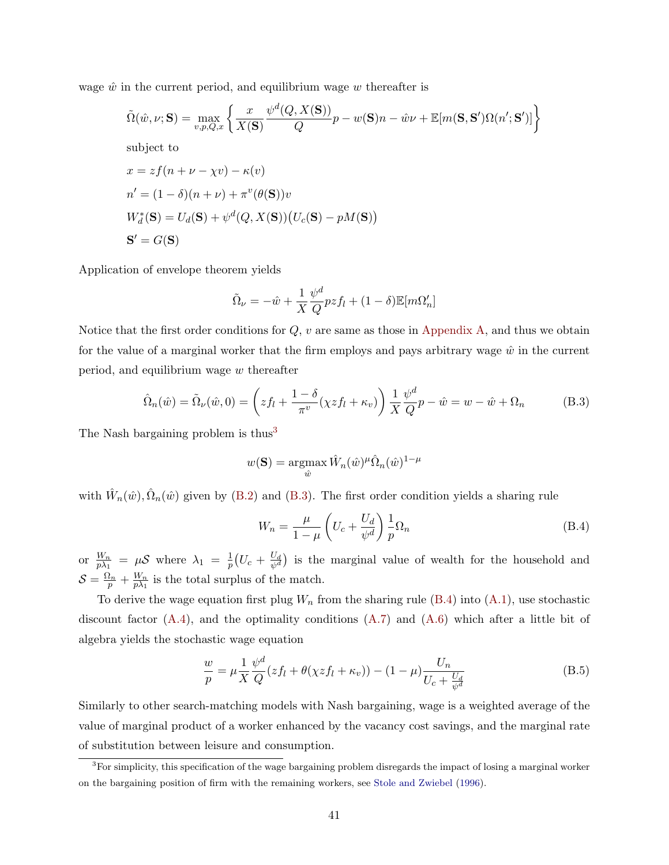<span id="page-41-0"></span>wage  $\hat{w}$  in the current period, and equilibrium wage w thereafter is

$$
\tilde{\Omega}(\hat{w}, \nu; \mathbf{S}) = \max_{v, p, Q, x} \left\{ \frac{x}{X(\mathbf{S})} \frac{\psi^d(Q, X(\mathbf{S}))}{Q} p - w(\mathbf{S})n - \hat{w}\nu + \mathbb{E}[m(\mathbf{S}, \mathbf{S}')\Omega(n'; \mathbf{S}')] \right\}
$$
\nsubject to\n
$$
x = z f(n + \nu - \chi v) - \kappa(v)
$$
\n
$$
n' = (1 - \delta)(n + \nu) + \pi^v(\theta(\mathbf{S}))v
$$
\n
$$
W_d^*(\mathbf{S}) = U_d(\mathbf{S}) + \psi^d(Q, X(\mathbf{S})) (U_c(\mathbf{S}) - pM(\mathbf{S}))
$$
\n
$$
\mathbf{S}' = G(\mathbf{S})
$$

Application of envelope theorem yields

$$
\tilde{\Omega}_{\nu} = -\hat{w} + \frac{1}{X} \frac{\psi^d}{Q} p z f_l + (1 - \delta) \mathbb{E}[m \Omega_n']
$$

Notice that the first order conditions for  $Q$ ,  $v$  are same as those in [Appendix A,](#page-38-0) and thus we obtain for the value of a marginal worker that the firm employs and pays arbitrary wage  $\hat{w}$  in the current period, and equilibrium wage  $w$  thereafter

<span id="page-41-2"></span>
$$
\hat{\Omega}_n(\hat{w}) = \tilde{\Omega}_\nu(\hat{w}, 0) = \left( z f_l + \frac{1 - \delta}{\pi^v} (\chi z f_l + \kappa_v) \right) \frac{1}{X} \frac{\psi^d}{Q} p - \hat{w} = w - \hat{w} + \Omega_n \tag{B.3}
$$

The Nash bargaining problem is thus<sup>[3](#page-41-1)</sup>

$$
w(\mathbf{S}) = \operatorname*{argmax}_{\hat{w}} \hat{W}_n(\hat{w})^{\mu} \hat{\Omega}_n(\hat{w})^{1-\mu}
$$

with  $\hat{W}_n(\hat{w}), \hat{\Omega}_n(\hat{w})$  given by [\(B.2\)](#page-40-1) and [\(B.3\)](#page-41-2). The first order condition yields a sharing rule

<span id="page-41-3"></span>
$$
W_n = \frac{\mu}{1 - \mu} \left( U_c + \frac{U_d}{\psi^d} \right) \frac{1}{p} \Omega_n \tag{B.4}
$$

or  $\frac{W_n}{p\lambda_1} = \mu \mathcal{S}$  where  $\lambda_1 = \frac{1}{p}$  $\frac{1}{p}\big(U_c + \frac{U_d}{\psi^d}$  $\frac{U_d}{\psi^d}$  is the marginal value of wealth for the household and  $\mathcal{S} = \frac{\Omega_n}{p} + \frac{W_n}{p\lambda_1}$  $\frac{W_n}{p\lambda_1}$  is the total surplus of the match.

To derive the wage equation first plug  $W_n$  from the sharing rule [\(B.4\)](#page-41-3) into [\(A.1\)](#page-38-3), use stochastic discount factor [\(A.4\)](#page-39-2), and the optimality conditions [\(A.7\)](#page-39-3) and [\(A.6\)](#page-39-1) which after a little bit of algebra yields the stochastic wage equation

<span id="page-41-4"></span>
$$
\frac{w}{p} = \mu \frac{1}{X} \frac{\psi^d}{Q} (z f_l + \theta(\chi z f_l + \kappa_v)) - (1 - \mu) \frac{U_n}{U_c + \frac{U_d}{\psi^d}}
$$
(B.5)

Similarly to other search-matching models with Nash bargaining, wage is a weighted average of the value of marginal product of a worker enhanced by the vacancy cost savings, and the marginal rate of substitution between leisure and consumption.

<span id="page-41-1"></span> $3$ For simplicity, this specification of the wage bargaining problem disregards the impact of losing a marginal worker on the bargaining position of firm with the remaining workers, see [Stole and Zwiebel](#page-37-9) [\(1996\)](#page-37-9).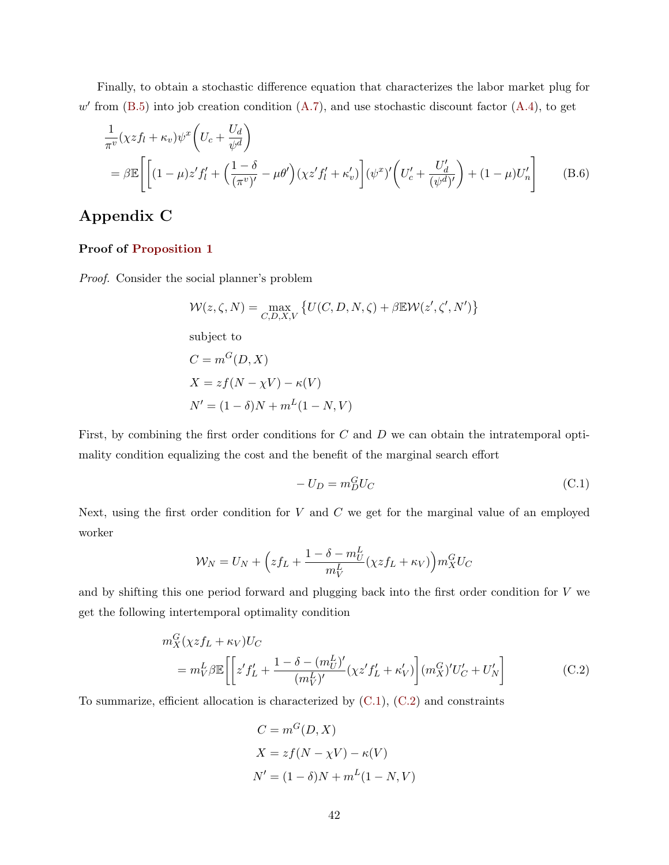Finally, to obtain a stochastic difference equation that characterizes the labor market plug for  $w'$  from [\(B.5\)](#page-41-4) into job creation condition [\(A.7\)](#page-39-3), and use stochastic discount factor [\(A.4\)](#page-39-2), to get

$$
\frac{1}{\pi^v}(\chi z f_l + \kappa_v)\psi^x \left(U_c + \frac{U_d}{\psi^d}\right)
$$
\n
$$
= \beta \mathbb{E}\left[\left[(1-\mu)z' f'_l + \left(\frac{1-\delta}{(\pi^v)'} - \mu\theta'\right)(\chi z' f'_l + \kappa'_v)\right](\psi^x)'\left(U'_c + \frac{U'_d}{(\psi^d)'}\right) + (1-\mu)U'_n\right] \tag{B.6}
$$

# Appendix C

#### Proof of [Proposition 1](#page-12-2)

Proof. Consider the social planner's problem

<span id="page-42-2"></span>
$$
\mathcal{W}(z,\zeta,N) = \max_{C,D,X,V} \left\{ U(C,D,N,\zeta) + \beta \mathbb{E} \mathcal{W}(z',\zeta',N') \right\}
$$

subject to

$$
C = mG(D, X)
$$
  
\n
$$
X = zf(N - \chi V) - \kappa(V)
$$
  
\n
$$
N' = (1 - \delta)N + mL(1 - N, V)
$$

First, by combining the first order conditions for C and D we can obtain the intratemporal optimality condition equalizing the cost and the benefit of the marginal search effort

<span id="page-42-1"></span><span id="page-42-0"></span>
$$
-U_D = m_D^G U_C \tag{C.1}
$$

Next, using the first order condition for  $V$  and  $C$  we get for the marginal value of an employed worker

$$
\mathcal{W}_N = U_N + \left( z f_L + \frac{1 - \delta - m_U^L}{m_V^L} (\chi z f_L + \kappa_V) \right) m_X^G U_C
$$

and by shifting this one period forward and plugging back into the first order condition for V we get the following intertemporal optimality condition

$$
m_X^G(\chi z f_L + \kappa_V)U_C
$$
  
= 
$$
m_V^L \beta \mathbb{E}\left[\left[z' f_L' + \frac{1 - \delta - (m_U^L)'}{(m_V^L)'}(\chi z' f_L' + \kappa_V')\right](m_X^G)'U_C' + U_N'\right]
$$
(C.2)

To summarize, efficient allocation is characterized by  $(C.1)$ ,  $(C.2)$  and constraints

$$
C = mG(D, X)
$$
  
\n
$$
X = zf(N - \chi V) - \kappa(V)
$$
  
\n
$$
N' = (1 - \delta)N + mL(1 - N, V)
$$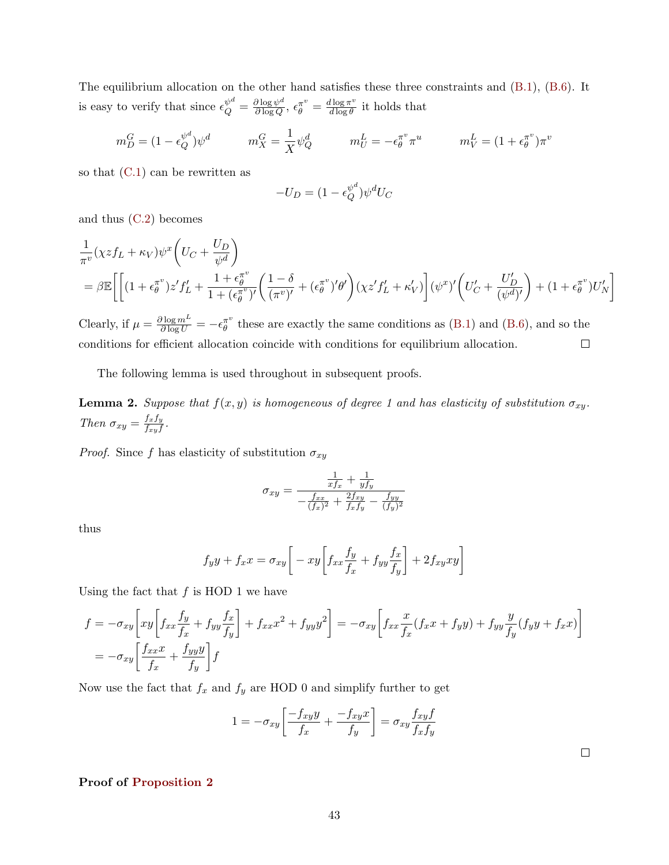The equilibrium allocation on the other hand satisfies these three constraints and [\(B.1\)](#page-40-2), [\(B.6\)](#page-42-2). It is easy to verify that since  $\epsilon_Q^{\psi^d} = \frac{\partial \log \psi^d}{\partial \log Q}$  $\frac{\partial \log \psi^d}{\partial \log Q}, \epsilon_{\theta}^{\pi^v} = \frac{d \log \pi^v}{d \log \theta}$  $\frac{d \log \pi}{d \log \theta}$  it holds that

$$
m_D^G = (1 - \epsilon_Q^{\psi^d}) \psi^d \qquad m_X^G = \frac{1}{X} \psi_Q^d \qquad m_U^L = -\epsilon_{\theta}^{\pi^v} \pi^u \qquad m_V^L = (1 + \epsilon_{\theta}^{\pi^v}) \pi^v
$$

so that  $(C.1)$  can be rewritten as

$$
-U_D = (1 - \epsilon_Q^{\psi^d}) \psi^d U_C
$$

and thus [\(C.2\)](#page-42-1) becomes

$$
\frac{1}{\pi^v} (\chi z f_L + \kappa_V) \psi^x \left( U_C + \frac{U_D}{\psi^d} \right)
$$
\n
$$
= \beta \mathbb{E} \left[ \left[ (1 + \epsilon_\theta^{\pi^v}) z' f_L' + \frac{1 + \epsilon_\theta^{\pi^v}}{1 + (\epsilon_\theta^{\pi^v})'} \left( \frac{1 - \delta}{(\pi^v)'} + (\epsilon_\theta^{\pi^v})' \theta' \right) (\chi z' f_L' + \kappa_V') \right] (\psi^x)' \left( U_C' + \frac{U_D'}{(\psi^d)'} \right) + (1 + \epsilon_\theta^{\pi^v}) U_N' \right]
$$

Clearly, if  $\mu = \frac{\partial \log m^L}{\partial \log U} = -\epsilon_{\theta}^{\pi^v}$  $\bar{\theta}^{\pi}$  these are exactly the same conditions as [\(B.1\)](#page-40-2) and [\(B.6\)](#page-42-2), and so the conditions for efficient allocation coincide with conditions for equilibrium allocation.  $\Box$ 

The following lemma is used throughout in subsequent proofs.

**Lemma 2.** Suppose that  $f(x, y)$  is homogeneous of degree 1 and has elasticity of substitution  $\sigma_{xy}$ . Then  $\sigma_{xy} = \frac{f_x f_y}{f_{xy} f_y}$  $\frac{JxJy}{fxyf}$  .

*Proof.* Since f has elasticity of substitution  $\sigma_{xy}$ 

$$
\sigma_{xy} = \frac{\frac{1}{xf_x} + \frac{1}{yf_y}}{ - \frac{f_{xx}}{(f_x)^2} + \frac{2f_{xy}}{f_xf_y} - \frac{f_{yy}}{(f_y)^2}}
$$

thus

$$
f_y y + f_x x = \sigma_{xy} \bigg[ -xy \bigg[ f_{xx} \frac{f_y}{f_x} + f_{yy} \frac{f_x}{f_y} \bigg] + 2 f_{xy} xy \bigg]
$$

Using the fact that  $f$  is HOD 1 we have

$$
f = -\sigma_{xy} \left[ xy \left[ f_{xx} \frac{f_y}{f_x} + f_{yy} \frac{f_x}{f_y} \right] + f_{xx} x^2 + f_{yy} y^2 \right] = -\sigma_{xy} \left[ f_{xx} \frac{x}{f_x} (f_x x + f_y y) + f_{yy} \frac{y}{f_y} (f_y y + f_x x) \right]
$$
  
=  $-\sigma_{xy} \left[ \frac{f_{xx} x}{f_x} + \frac{f_{yy} y}{f_y} \right] f$ 

Now use the fact that  $f_x$  and  $f_y$  are HOD 0 and simplify further to get

$$
1=-\sigma_{xy}\bigg[\frac{-f_{xy}y}{f_x}+\frac{-f_{xy}x}{f_y}\bigg]=\sigma_{xy}\frac{f_{xy}f}{f_xf_y}
$$

#### Proof of [Proposition 2](#page-13-3)

 $\Box$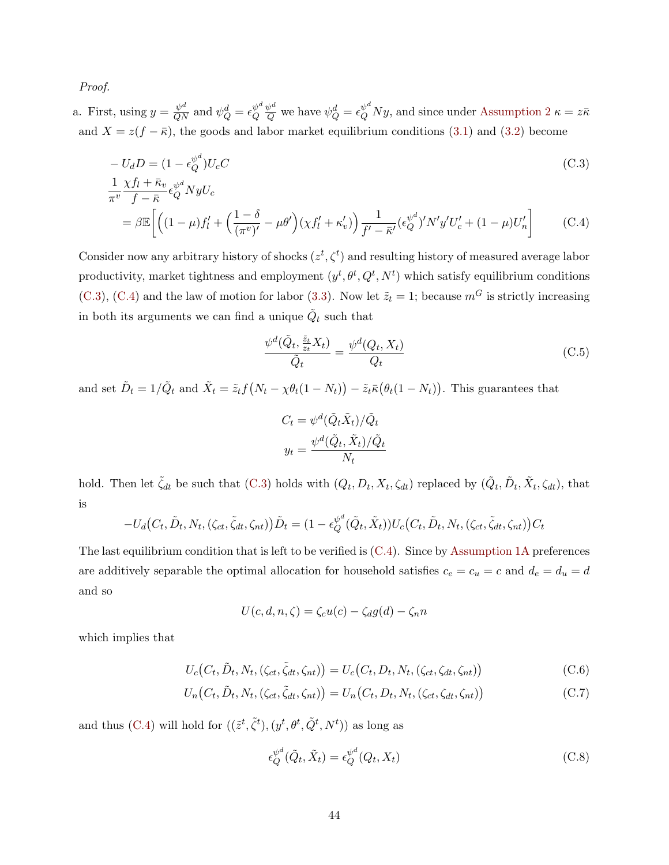Proof.

a. First, using  $y = \frac{\psi^d}{QN}$  and  $\psi_Q^d = \epsilon_Q^{\psi^d}$ Q  $\frac{\psi^d}{Q}$  we have  $\psi^d_Q = \epsilon_Q^{\psi^d} Ny$ , and since under [Assumption 2](#page-13-1)  $\kappa = z\bar{\kappa}$ and  $X = z(f - \bar{\kappa})$ , the goods and labor market equilibrium conditions [\(3.1\)](#page-10-1) and [\(3.2\)](#page-10-2) become

$$
-U_d D = (1 - \epsilon_Q^{\psi^d}) U_c C
$$
  
1  $\chi f_l + \bar{\kappa}_{v}{}_{z} \psi^d{}_{Mz} I_l$  (C.3)

$$
\frac{1}{\pi^v} \frac{\chi f_l + \kappa_v}{f - \bar{\kappa}} \epsilon_Q^{\psi^d} N y U_c
$$
\n
$$
= \beta \mathbb{E} \left[ \left( (1 - \mu) f_l' + \left( \frac{1 - \delta}{(\pi^v)'} - \mu \theta' \right) (\chi f_l' + \kappa_v') \right) \frac{1}{f' - \bar{\kappa}'} (\epsilon_Q^{\psi^d})' N' y' U_c' + (1 - \mu) U_n' \right] \tag{C.4}
$$

Consider now any arbitrary history of shocks  $(z^t, \zeta^t)$  and resulting history of measured average labor productivity, market tightness and employment  $(y^t, \theta^t, Q^t, N^t)$  which satisfy equilibrium conditions [\(C.3\)](#page-44-0), [\(C.4\)](#page-44-1) and the law of motion for labor [\(3.3\)](#page-11-1). Now let  $\tilde{z}_t = 1$ ; because  $m<sup>G</sup>$  is strictly increasing in both its arguments we can find a unique  $\tilde{Q}_t$  such that

<span id="page-44-3"></span><span id="page-44-1"></span><span id="page-44-0"></span>
$$
\frac{\psi^d(\tilde{Q}_t, \frac{\tilde{z}_t}{z_t}X_t)}{\tilde{Q}_t} = \frac{\psi^d(Q_t, X_t)}{Q_t}
$$
\n(C.5)

and set  $\tilde{D}_t = 1/\tilde{Q}_t$  and  $\tilde{X}_t = \tilde{z}_t f(N_t - \chi \theta_t (1 - N_t)) - \tilde{z}_t \bar{\kappa} (\theta_t (1 - N_t)).$  This guarantees that

$$
C_t = \psi^d(\tilde{Q}_t \tilde{X}_t) / \tilde{Q}_t
$$

$$
y_t = \frac{\psi^d(\tilde{Q}_t, \tilde{X}_t) / \tilde{Q}_t}{N_t}
$$

hold. Then let  $\tilde{\zeta}_{dt}$  be such that [\(C.3\)](#page-44-0) holds with  $(Q_t, D_t, X_t, \zeta_{dt})$  replaced by  $(\tilde{Q}_t, \tilde{D}_t, \tilde{X}_t, \zeta_{dt})$ , that is

$$
-U_d(C_t, \tilde{D}_t, N_t, (\zeta_{ct}, \tilde{\zeta}_{dt}, \zeta_{nt}))\tilde{D}_t = (1 - \epsilon_Q^{\psi^d}(\tilde{Q}_t, \tilde{X}_t))U_c(C_t, \tilde{D}_t, N_t, (\zeta_{ct}, \tilde{\zeta}_{dt}, \zeta_{nt}))C_t
$$

The last equilibrium condition that is left to be verified is [\(C.4\)](#page-44-1). Since by [Assumption 1A](#page-13-0) preferences are additively separable the optimal allocation for household satisfies  $c_e = c_u = c$  and  $d_e = d_u = d$ and so

$$
U(c, d, n, \zeta) = \zeta_c u(c) - \zeta_d g(d) - \zeta_n n
$$

which implies that

$$
U_c(C_t, \tilde{D}_t, N_t, (\zeta_{ct}, \tilde{\zeta}_{dt}, \zeta_{nt})) = U_c(C_t, D_t, N_t, (\zeta_{ct}, \zeta_{dt}, \zeta_{nt}))
$$
(C.6)

$$
U_n(C_t, \tilde{D}_t, N_t, (\zeta_{ct}, \tilde{\zeta}_{dt}, \zeta_{nt})) = U_n(C_t, D_t, N_t, (\zeta_{ct}, \zeta_{dt}, \zeta_{nt}))
$$
(C.7)

and thus [\(C.4\)](#page-44-1) will hold for  $((\tilde{z}^t, \tilde{\zeta}^t), (y^t, \theta^t, \tilde{Q}^t, N^t))$  as long as

<span id="page-44-5"></span><span id="page-44-4"></span><span id="page-44-2"></span>
$$
\epsilon_Q^{\psi^d}(\tilde{Q}_t, \tilde{X}_t) = \epsilon_Q^{\psi^d}(Q_t, X_t)
$$
\n(C.8)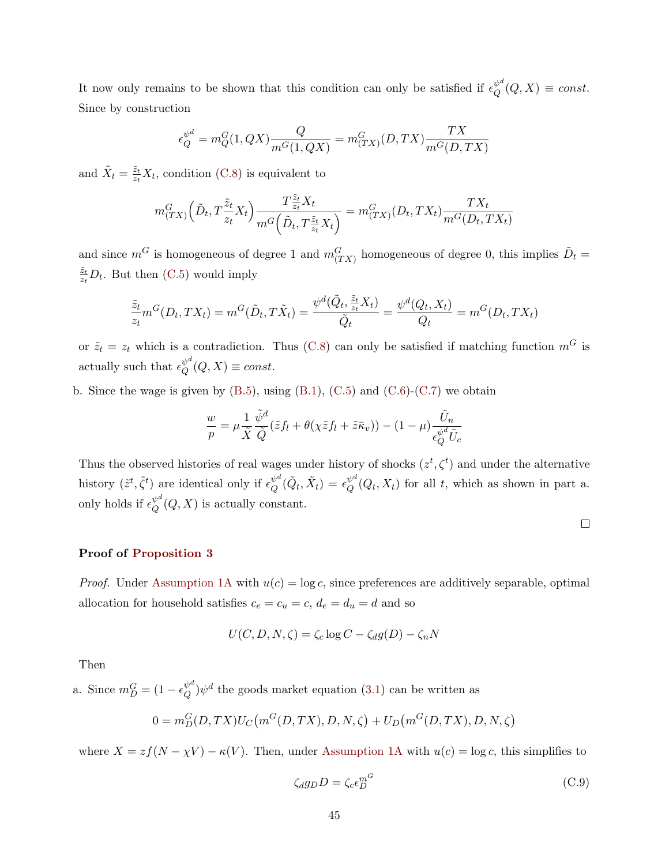It now only remains to be shown that this condition can only be satisfied if  $\epsilon_O^{\psi^d}$  $_{Q}^{\psi^{\omega}}(Q,X)\equiv const.$ Since by construction

$$
\epsilon_{Q}^{\psi^{d}} = m_{Q}^{G}(1, QX) \frac{Q}{m^{G}(1, QX)} = m_{(TX)}^{G}(D, TX) \frac{TX}{m^{G}(D, TX)}
$$

and  $\tilde{X}_t = \frac{\tilde{z}_t}{z_t}$  $\frac{z_t}{z_t}X_t$ , condition [\(C.8\)](#page-44-2) is equivalent to

$$
m_{(TX)}^G\left(\tilde{D}_t, T\frac{\tilde{z}_t}{z_t}X_t\right) \frac{T\frac{\tilde{z}_t}{z_t}X_t}{m^G\left(\tilde{D}_t, T\frac{\tilde{z}_t}{z_t}X_t\right)} = m_{(TX)}^G(D_t, TX_t) \frac{TX_t}{m^G(D_t, TX_t)}
$$

and since  $m^G$  is homogeneous of degree 1 and  $m_{(TX)}^G$  homogeneous of degree 0, this implies  $\tilde{D}_t$  =  $\tilde{z}_t$  $\frac{z_t}{z_t}D_t$ . But then [\(C.5\)](#page-44-3) would imply

$$
\frac{\tilde{z}_t}{z_t} m^G(D_t, TX_t) = m^G(\tilde{D}_t, T\tilde{X}_t) = \frac{\psi^d(\tilde{Q}_t, \frac{\tilde{z}_t}{z_t} X_t)}{\tilde{Q}_t} = \frac{\psi^d(Q_t, X_t)}{Q_t} = m^G(D_t, TX_t)
$$

or  $\tilde{z}_t = z_t$  which is a contradiction. Thus [\(C.8\)](#page-44-2) can only be satisfied if matching function  $m<sup>G</sup>$  is actually such that  $\epsilon^{\psi^d}_{\mathcal{O}}$  $_{Q}^{\psi^{\omega}}(Q,X)\equiv const.$ 

b. Since the wage is given by  $(B.5)$ , using  $(B.1)$ ,  $(C.5)$  and  $(C.6)$ - $(C.7)$  we obtain

$$
\frac{w}{p} = \mu \frac{1}{\tilde{X}} \frac{\tilde{\psi}^d}{\tilde{Q}} (\tilde{z} f_l + \theta(\chi \tilde{z} f_l + \tilde{z} \bar{\kappa}_v)) - (1 - \mu) \frac{\tilde{U}_n}{\epsilon_Q^{\psi^d} \tilde{U}_c}
$$

Thus the observed histories of real wages under history of shocks  $(z^t, \zeta^t)$  and under the alternative history  $(\tilde{z}^t, \tilde{\zeta}^t)$  are identical only if  $\epsilon_Q^{\psi^d}$  $\overset{\psi^d}{\boldsymbol{Q}}(\tilde{\boldsymbol{Q}}_t,\tilde{\boldsymbol{X}}_t)=\epsilon_{\boldsymbol{Q}}^{\psi^d}$  $Q_{Q}^{\psi^{-}}(Q_t, X_t)$  for all t, which as shown in part a. only holds if  $\epsilon_{\Omega}^{\psi^d}$  $_{Q}^{\psi^{-}}(Q,X)$  is actually constant.

#### Proof of [Proposition 3](#page-14-0)

*Proof.* Under [Assumption 1A](#page-13-0) with  $u(c) = \log c$ , since preferences are additively separable, optimal allocation for household satisfies  $c_e = c_u = c$ ,  $d_e = d_u = d$  and so

$$
U(C, D, N, \zeta) = \zeta_c \log C - \zeta_d g(D) - \zeta_n N
$$

Then

a. Since  $m_D^G = (1 - \epsilon_Q^{\psi^d})$  $\varphi^{\omega}$  $(\varphi^{\omega})\psi^{d}$  the goods market equation [\(3.1\)](#page-10-1) can be written as

$$
0 = m_D^G(D, TX)U_C(m^G(D, TX), D, N, \zeta) + U_D(m^G(D, TX), D, N, \zeta)
$$

where  $X = zf(N - \chi V) - \kappa(V)$ . Then, under [Assumption 1A](#page-13-0) with  $u(c) = \log c$ , this simplifies to

<span id="page-45-0"></span>
$$
\zeta_d g_D D = \zeta_c \epsilon_D^{m^G} \tag{C.9}
$$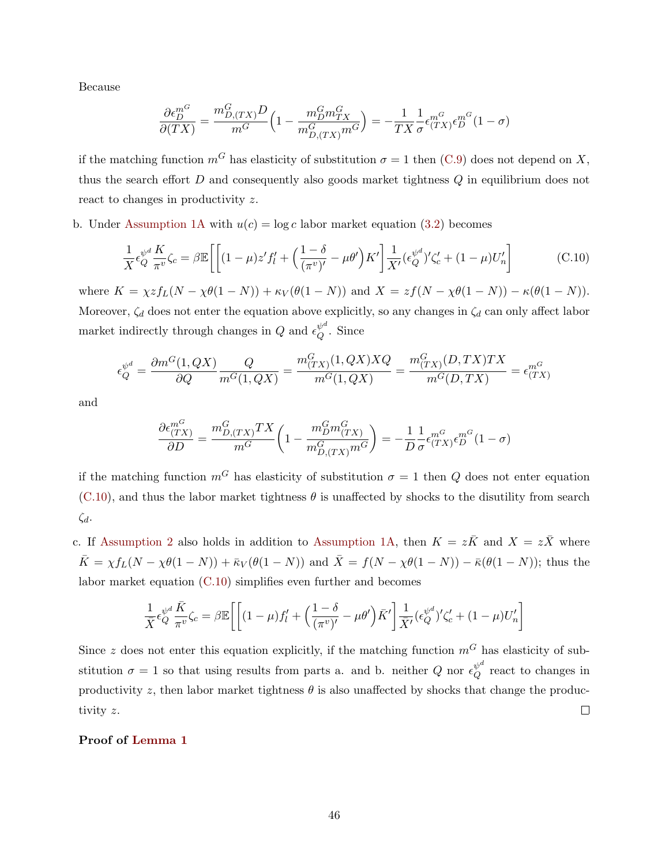Because

<span id="page-46-0"></span>
$$
\frac{\partial \epsilon_D^{m^G}}{\partial (TX)} = \frac{m_{D,(TX)}^G D}{m^G} \left(1 - \frac{m_D^G m_{TX}^G}{m_{D,(TX)}^G m^G}\right) = -\frac{1}{TX} \frac{1}{\sigma} \epsilon_{(TX)}^{m^G} \epsilon_D^{m^G} (1 - \sigma)
$$

if the matching function  $m<sup>G</sup>$  has elasticity of substitution  $\sigma = 1$  then [\(C.9\)](#page-45-0) does not depend on X, thus the search effort  $D$  and consequently also goods market tightness  $Q$  in equilibrium does not react to changes in productivity z.

b. Under [Assumption 1A](#page-13-0) with  $u(c) = \log c$  labor market equation [\(3.2\)](#page-10-2) becomes

$$
\frac{1}{X}\epsilon_Q^{\psi^d}\frac{K}{\pi^v}\zeta_c = \beta \mathbb{E}\left[\left[(1-\mu)z'f'_l + \left(\frac{1-\delta}{(\pi^v)'} - \mu\theta'\right)K'\right]\frac{1}{X'}\left(\epsilon_Q^{\psi^d}\right)'\zeta'_c + (1-\mu)U'_n\right] \tag{C.10}
$$

where  $K = \chi z f_L(N - \chi \theta(1 - N)) + \kappa_V(\theta(1 - N))$  and  $X = z f(N - \chi \theta(1 - N)) - \kappa(\theta(1 - N)).$ Moreover,  $\zeta_d$  does not enter the equation above explicitly, so any changes in  $\zeta_d$  can only affect labor market indirectly through changes in Q and  $\epsilon_O^{\psi^d}$  $_{Q}^{\psi^{\alpha}}$ . Since

$$
\epsilon_Q^{\psi^d} = \frac{\partial m^G(1, QX)}{\partial Q} \frac{Q}{m^G(1, QX)} = \frac{m^G_{(TX)}(1, QX)XQ}{m^G(1, QX)} = \frac{m^G_{(TX)}(D, TX)TX}{m^G(D, TX)} = \epsilon_{(TX)}^{m^G}
$$

and

$$
\frac{\partial \epsilon_{(TX)}^{m^G}}{\partial D} = \frac{m_{D,(TX)}^G TX}{m^G} \left(1 - \frac{m_D^G m_{(TX)}^G}{m_{D,(TX)}^G m^G}\right) = -\frac{1}{D} \frac{1}{\sigma} \epsilon_{(TX)}^{m^G} \epsilon_D^{m^G} (1 - \sigma)
$$

if the matching function  $m<sup>G</sup>$  has elasticity of substitution  $\sigma = 1$  then Q does not enter equation  $(C.10)$ , and thus the labor market tightness  $\theta$  is unaffected by shocks to the disutility from search  $\zeta_d$ .

c. If [Assumption 2](#page-13-1) also holds in addition to [Assumption 1A,](#page-13-0) then  $K = z\overline{K}$  and  $X = z\overline{X}$  where  $\overline{K} = \chi f_L(N - \chi\theta(1 - N)) + \overline{\kappa}_V(\theta(1 - N))$  and  $\overline{X} = f(N - \chi\theta(1 - N)) - \overline{\kappa}(\theta(1 - N))$ ; thus the labor market equation [\(C.10\)](#page-46-0) simplifies even further and becomes

$$
\frac{1}{\bar{X}} \epsilon_Q^{\psi^d} \frac{\bar{K}}{\pi^v} \zeta_c = \beta \mathbb{E} \left[ \left[ (1 - \mu) f'_l + \left( \frac{1 - \delta}{(\pi^v)'} - \mu \theta' \right) \bar{K}' \right] \frac{1}{\bar{X}'} (\epsilon_Q^{\psi^d})' \zeta_c' + (1 - \mu) U_n' \right]
$$

Since z does not enter this equation explicitly, if the matching function  $m<sup>G</sup>$  has elasticity of substitution  $\sigma = 1$  so that using results from parts a. and b. neither Q nor  $\epsilon_0^{\psi^d}$  $_{Q}^{\psi^{\alpha}}$  react to changes in productivity z, then labor market tightness  $\theta$  is also unaffected by shocks that change the produc- $\Box$ tivity z.

#### Proof of [Lemma 1](#page-15-4)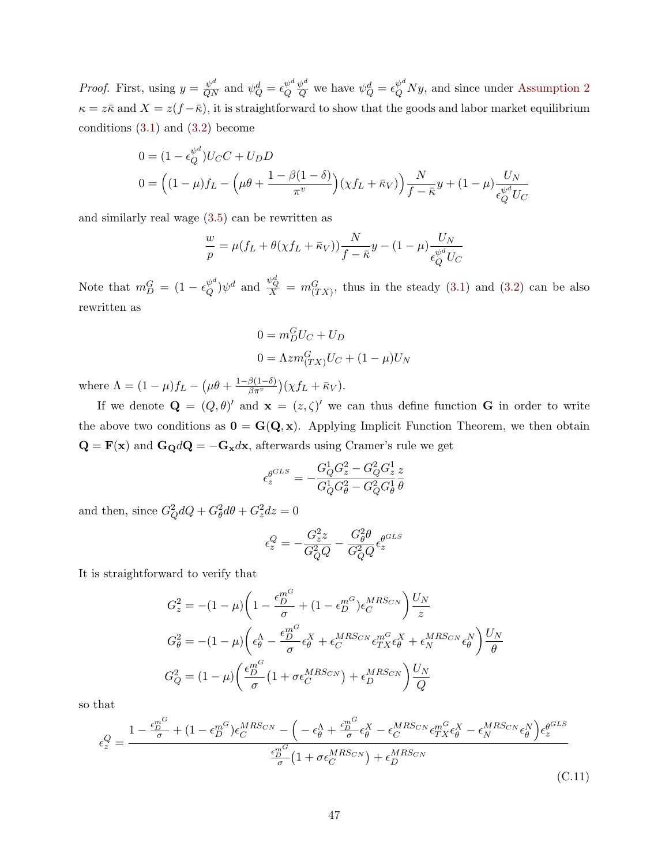*Proof.* First, using  $y = \frac{\psi^d}{QN}$  and  $\psi_Q^d = \epsilon_Q^{\psi^d}$ Q  $\frac{\psi^d}{Q}$  we have  $\psi_Q^d = \epsilon_Q^{\psi^d} N y$ , and since under [Assumption 2](#page-13-1)  $\kappa = z\bar{\kappa}$  and  $X = z(f - \bar{\kappa})$ , it is straightforward to show that the goods and labor market equilibrium conditions  $(3.1)$  and  $(3.2)$  become

$$
0 = (1 - \epsilon_Q^{\psi^d})U_C C + U_D D
$$
  
\n
$$
0 = ((1 - \mu) f_L - (\mu \theta + \frac{1 - \beta(1 - \delta)}{\pi^v})(\chi f_L + \bar{\kappa}_V)) \frac{N}{f - \bar{\kappa}} y + (1 - \mu) \frac{U_N}{\epsilon_Q^{\psi^d} U_C}
$$

and similarly real wage [\(3.5\)](#page-12-0) can be rewritten as

$$
\frac{w}{p} = \mu(f_L + \theta(\chi f_L + \bar{\kappa}_V)) \frac{N}{f - \bar{\kappa}} y - (1 - \mu) \frac{U_N}{\epsilon_Q^{\psi^d} U_C}
$$

Note that  $m_D^G = (1 - \epsilon_Q^{\psi^d})$  $\frac{\psi^d}{Q}$  and  $\frac{\psi^d_Q}{X} = m_{(TX)}^G$ , thus in the steady [\(3.1\)](#page-10-1) and [\(3.2\)](#page-10-2) can be also rewritten as

$$
0 = m_D^G U_C + U_D
$$
  

$$
0 = \Lambda z m_{(TX)}^G U_C + (1 - \mu) U_N
$$

where  $\Lambda = (1 - \mu)f_L - (\mu \theta + \frac{1 - \beta(1 - \delta)}{\beta \pi^v})$  $\frac{\beta(1-\delta)}{\beta\pi^v}$  $\big)$  $(\chi f_L + \bar{\kappa}_V).$ 

If we denote  $\mathbf{Q} = (Q, \theta)'$  and  $\mathbf{x} = (z, \zeta)'$  we can thus define function G in order to write the above two conditions as  $0 = G(Q, x)$ . Applying Implicit Function Theorem, we then obtain  $\mathbf{Q} = \mathbf{F}(\mathbf{x})$  and  $\mathbf{G}_{\mathbf{Q}}d\mathbf{Q} = -\mathbf{G}_{\mathbf{x}}d\mathbf{x}$ , afterwards using Cramer's rule we get

$$
\epsilon_g^{GLS} = -\frac{G_Q^1 G_z^2 - G_Q^2 G_z^1}{G_Q^1 G_\theta^2 - G_Q^2 G_\theta^1} \frac{z}{\theta}
$$

and then, since  $G_Q^2 dQ + G_\theta^2 d\theta + G_z^2 dz = 0$ 

<span id="page-47-0"></span>
$$
\epsilon_z^Q = -\frac{G_z^2 z}{G_Q^2 Q} - \frac{G_\theta^2 \theta}{G_Q^2 Q} \epsilon_z^{\theta^{GLS}}
$$

It is straightforward to verify that

$$
G_z^2 = -(1 - \mu) \left( 1 - \frac{\epsilon_D^{m^G}}{\sigma} + (1 - \epsilon_D^{m^G}) \epsilon_C^{MRS_{CN}} \right) \frac{U_N}{z}
$$

$$
G_\theta^2 = -(1 - \mu) \left( \epsilon_\theta^{\Lambda} - \frac{\epsilon_D^{m^G}}{\sigma} \epsilon_\theta^X + \epsilon_C^{MRS_{CN}} \epsilon_{TX}^{m^G} \epsilon_\theta^X + \epsilon_N^{MRS_{CN}} \epsilon_\theta^N \right) \frac{U_N}{\theta}
$$

$$
G_Q^2 = (1 - \mu) \left( \frac{\epsilon_D^{m^G}}{\sigma} \left( 1 + \sigma \epsilon_C^{MRS_{CN}} \right) + \epsilon_D^{MRS_{CN}} \right) \frac{U_N}{Q}
$$

so that

$$
\epsilon_z^Q = \frac{1 - \frac{\epsilon_D^{m^G}}{\sigma} + (1 - \epsilon_D^{m^G})\epsilon_C^{MRSc_N} - \left(-\epsilon_\theta^{\Lambda} + \frac{\epsilon_D^{m^G}}{\sigma}\epsilon_\theta^X - \epsilon_C^{MRSc_N}\epsilon_{TX}^{m^G}\epsilon_\theta^X - \epsilon_N^{MRSc_N}\epsilon_\theta^N\right)\epsilon_z^{\theta^{GLS}}}{\frac{\epsilon_D^{m^G}}{\sigma} \left(1 + \sigma\epsilon_C^{MRSc_N}\right) + \epsilon_D^{MRSc_N}}\tag{C.11}
$$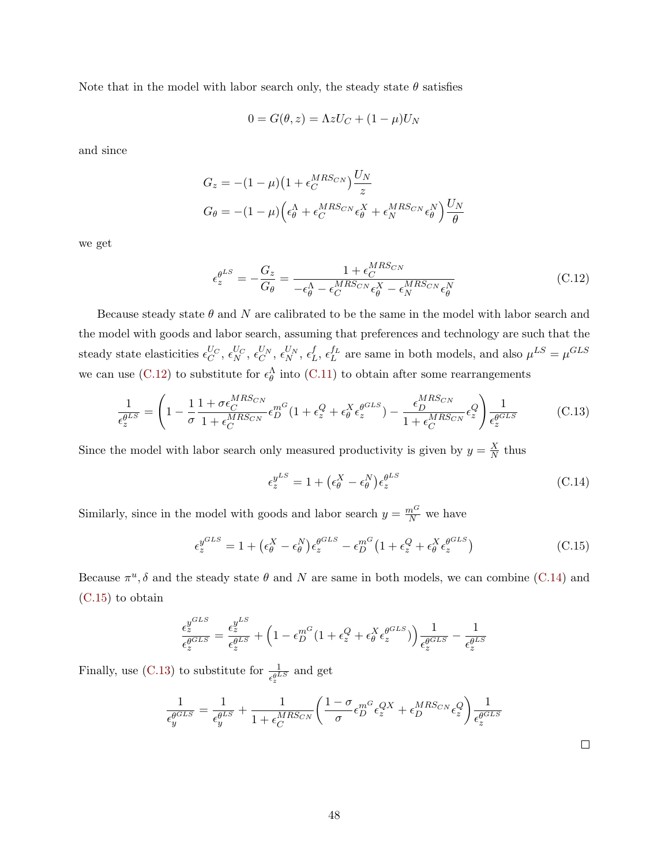Note that in the model with labor search only, the steady state  $\theta$  satisfies

<span id="page-48-0"></span>
$$
0 = G(\theta, z) = \Lambda z U_C + (1 - \mu)U_N
$$

and since

$$
G_z = -(1 - \mu)\left(1 + \epsilon_C^{MRS_{CN}}\right)\frac{U_N}{z}
$$
  

$$
G_{\theta} = -(1 - \mu)\left(\epsilon_{\theta}^{\Lambda} + \epsilon_C^{MRS_{CN}}\epsilon_{\theta}^X + \epsilon_N^{MRS_{CN}}\epsilon_{\theta}^N\right)\frac{U_N}{\theta}
$$

we get

$$
\epsilon_{z}^{\theta^{LS}} = -\frac{G_{z}}{G_{\theta}} = \frac{1 + \epsilon_{C}^{MRS_{CN}}}{-\epsilon_{\theta}^{\Lambda} - \epsilon_{C}^{MRS_{CN}}\epsilon_{\theta}^{X} - \epsilon_{N}^{MRS_{CN}}\epsilon_{\theta}^{N}}
$$
(C.12)

Because steady state  $\theta$  and N are calibrated to be the same in the model with labor search and the model with goods and labor search, assuming that preferences and technology are such that the steady state elasticities  $\epsilon_C^{U_C}, \, \epsilon_N^{U_C}, \, \epsilon_C^{U_N}, \, \epsilon_N^{U_N}, \, \epsilon_L^f$  $L^f$ ,  $\epsilon_L^{f_L}$  are same in both models, and also  $\mu^{LS} = \mu^{GLS}$ we can use [\(C.12\)](#page-48-0) to substitute for  $\epsilon_{\theta}^{\Lambda}$  into [\(C.11\)](#page-47-0) to obtain after some rearrangements

$$
\frac{1}{\epsilon_z^{\theta^{LS}}} = \left(1 - \frac{1}{\sigma} \frac{1 + \sigma \epsilon_C^{MRS_{CN}}}{1 + \epsilon_C^{MRS_{CN}}} \epsilon_D^{m^G} (1 + \epsilon_z^Q + \epsilon_\theta^X \epsilon_z^{\theta^{GLS}}) - \frac{\epsilon_D^{MRS_{CN}}}{1 + \epsilon_C^{MRS_{CN}}} \epsilon_z^Q \right) \frac{1}{\epsilon_z^{\theta^{GLS}}} \tag{C.13}
$$

Since the model with labor search only measured productivity is given by  $y = \frac{X}{N}$  $\frac{X}{N}$  thus

<span id="page-48-3"></span>
$$
\epsilon_z^{y^{LS}} = 1 + \left(\epsilon_\theta^X - \epsilon_\theta^N\right)\epsilon_z^{\theta^{LS}} \tag{C.14}
$$

Similarly, since in the model with goods and labor search  $y = \frac{m^G}{N}$  we have

$$
\epsilon_z^{y^{GLS}} = 1 + \left(\epsilon_\theta^X - \epsilon_\theta^N\right)\epsilon_z^{\theta^{GLS}} - \epsilon_D^{m^G} \left(1 + \epsilon_z^Q + \epsilon_\theta^X \epsilon_z^{\theta^{GLS}}\right) \tag{C.15}
$$

Because  $\pi^u$ ,  $\delta$  and the steady state  $\theta$  and N are same in both models, we can combine [\(C.14\)](#page-48-1) and [\(C.15\)](#page-48-2) to obtain

$$
\frac{\epsilon_z^{y^{GLS}}}{\epsilon_z^{\theta^{GLS}}} = \frac{\epsilon_z^{y^{LS}}}{\epsilon_z^{\theta^{LS}}} + \left(1 - \epsilon_D^{m^G}(1 + \epsilon_z^Q + \epsilon_\theta^X \epsilon_z^{\theta^{GLS}})\right) \frac{1}{\epsilon_z^{\theta^{GLS}}} - \frac{1}{\epsilon_z^{\theta^{LS}}}
$$

Finally, use [\(C.13\)](#page-48-3) to substitute for  $\frac{1}{\epsilon_{z}^{0}}$  and get

$$
\frac{1}{\epsilon_y^{gGLS}} = \frac{1}{\epsilon_y^{qLS}} + \frac{1}{1 + \epsilon_C^{MRS_{CN}}} \left( \frac{1 - \sigma}{\sigma} \epsilon_D^{m^G} \epsilon_z^{QX} + \epsilon_D^{MRS_{CN}} \epsilon_z^Q \right) \frac{1}{\epsilon_z^{gGLS}}
$$

<span id="page-48-2"></span><span id="page-48-1"></span>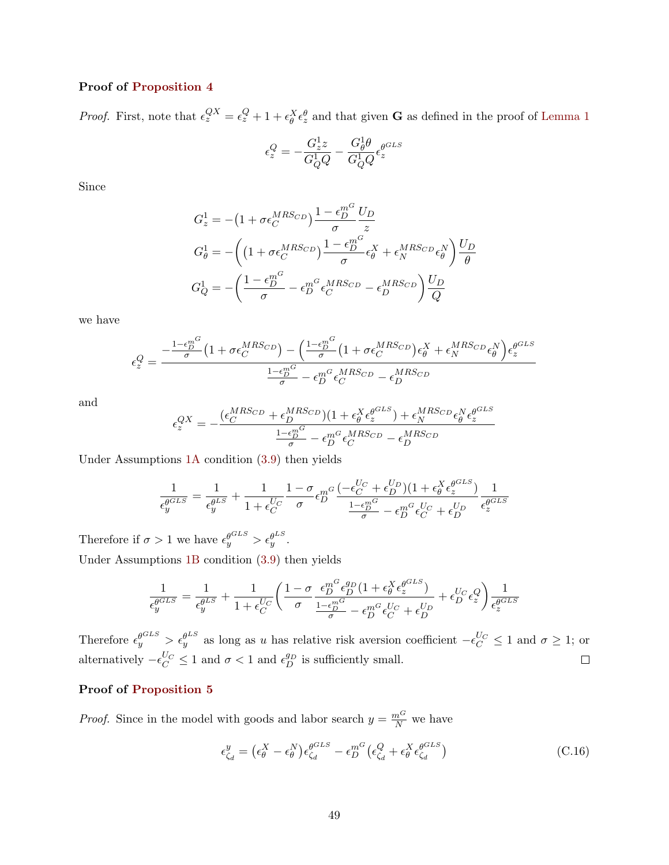#### Proof of [Proposition 4](#page-15-2)

*Proof.* First, note that  $\epsilon_z^{QX} = \epsilon_z^Q + 1 + \epsilon_\theta^X \epsilon_z^\theta$  and that given **G** as defined in the proof of [Lemma 1](#page-15-4)

$$
\epsilon_z^Q = -\frac{G_z^1 z}{G_Q^1 Q} - \frac{G_\theta^1 \theta}{G_Q^1 Q} \epsilon_z^{\theta^{GLS}}
$$

Since

$$
G_z^1 = -(1 + \sigma \epsilon_C^{MRS_{CD}}) \frac{1 - \epsilon_D^{m^G}}{\sigma} \frac{U_D}{z}
$$
  
\n
$$
G_\theta^1 = -\left( \left(1 + \sigma \epsilon_C^{MRS_{CD}}\right) \frac{1 - \epsilon_D^{m^G}}{\sigma} \epsilon_\theta^X + \epsilon_N^{MRS_{CD}} \epsilon_\theta^N \right) \frac{U_D}{\theta}
$$
  
\n
$$
G_Q^1 = -\left( \frac{1 - \epsilon_D^{m^G}}{\sigma} - \epsilon_D^{m^G} \epsilon_C^{MRS_{CD}} - \epsilon_D^{MRS_{CD}} \right) \frac{U_D}{Q}
$$

we have

$$
\epsilon_z^Q=\frac{-\frac{1-\epsilon_D^{m^G}}{\sigma}\big(1+\sigma\epsilon_C^{MRS_{CD}}\big)-\Big(\frac{1-\epsilon_D^{m^G}}{\sigma}\big(1+\sigma\epsilon_C^{MRS_{CD}}\big)\epsilon_{\theta}^X+\epsilon_N^{MRS_{CD}}\epsilon_{\theta}^N\Big)\epsilon_z^{\theta^{GLS}}}{\frac{1-\epsilon_D^{m^G}}{\sigma}-\epsilon_D^{m^G}\epsilon_C^{MRS_{CD}}-\epsilon_D^{MRS_{CD}}}
$$

and

$$
\epsilon_z^{QX} = -\frac{(\epsilon_C^{MRS_{CD}} + \epsilon_D^{MRS_{CD}})(1 + \epsilon_\theta^X \epsilon_z^{\theta^{GLS}}) + \epsilon_N^{MRS_{CD}} \epsilon_\theta^N \epsilon_z^{\theta^{GLS}}}{\frac{1 - \epsilon_D^{mG}}{\sigma} - \epsilon_D^{mG} \epsilon_C^{MRS_{CD}} - \epsilon_D^{MRS_{CD}}}
$$

Under Assumptions [1A](#page-13-0) condition [\(3.9\)](#page-15-0) then yields

$$
\frac{1}{\epsilon_g^{\theta^{GLS}}} = \frac{1}{\epsilon_g^{\theta^{LS}}} + \frac{1}{1 + \epsilon_C^{U_C}} \frac{1 - \sigma}{\sigma} \epsilon_D^{m^G} \frac{(-\epsilon_C^{U_C} + \epsilon_D^{U_D})(1 + \epsilon_\theta^X \epsilon_z^{\theta^{GLS}})}{\frac{1 - \epsilon_D^{m^G}}{\sigma} - \epsilon_D^{m^G} \epsilon_C^{U_C} + \epsilon_D^{U_D}} \frac{1}{\epsilon_z^{\theta^{GLS}}}
$$

Therefore if  $\sigma > 1$  we have  $\epsilon_y^{\theta^{CLS}} > \epsilon_y^{\theta^{LS}}$ . Under Assumptions  $1B$  condition  $(3.9)$  then yields

$$
\frac{1}{\epsilon_g^{\theta^{GLS}}}=\frac{1}{\epsilon_g^{\theta^{LS}}}+\frac{1}{1+\epsilon_C^{U_C}}\bigg(\frac{1-\sigma}{\sigma}\frac{\epsilon_D^{m^G}\epsilon_D^{g_D}(1+\epsilon_{\theta}^X\epsilon_z^{\theta^{GLS}})}{\frac{1-\epsilon_D^{m^G}}{\sigma}-\epsilon_D^{m^G}\epsilon_C^{U_C}+\epsilon_D^{U_D}}+\epsilon_D^{U_C}\epsilon_z^Q\bigg)\frac{1}{\epsilon_z^{\theta^{GLS}}}
$$

Therefore  $\epsilon_y^{\theta^{CLS}} > \epsilon_y^{\theta^{LS}}$  as long as u has relative risk aversion coefficient  $-\epsilon_C^{U_C} \le 1$  and  $\sigma \ge 1$ ; or alternatively  $-\epsilon_C^{U_C} \leq 1$  and  $\sigma < 1$  and  $\epsilon_D^{g_D}$  is sufficiently small.  $\Box$ 

#### Proof of [Proposition 5](#page-17-0)

*Proof.* Since in the model with goods and labor search  $y = \frac{m^G}{N}$  we have

$$
\epsilon_{\zeta_d}^y = (\epsilon_\theta^X - \epsilon_\theta^N) \epsilon_{\zeta_d}^{\theta^{GLS}} - \epsilon_D^{m^G} (\epsilon_{\zeta_d}^Q + \epsilon_\theta^X \epsilon_{\zeta_d}^{\theta^{GLS}})
$$
(C.16)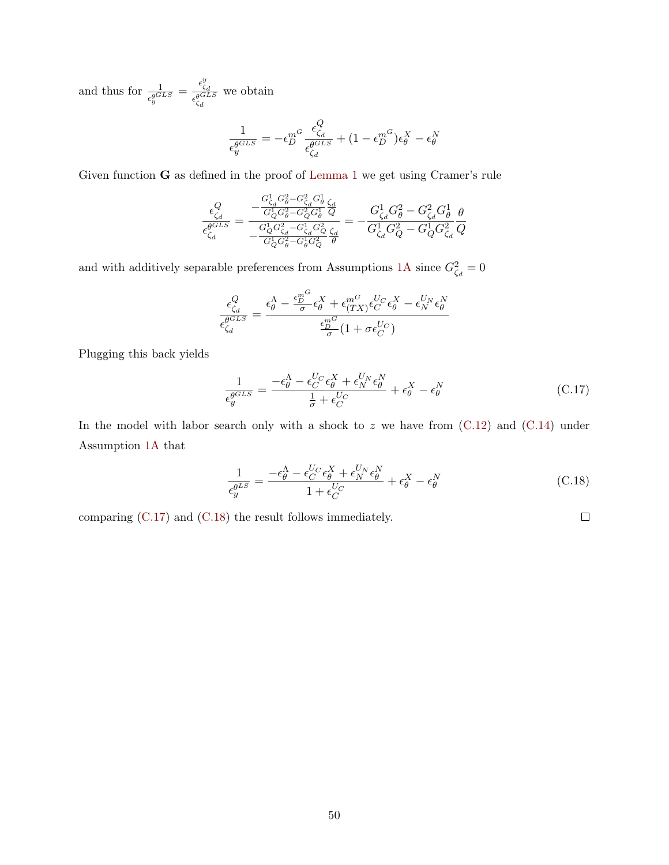and thus for  $\frac{1}{\epsilon_y^{\theta GLS}} = \frac{\epsilon_{\zeta d}^y}{\epsilon_{\zeta}^{\theta GL}}$  $\overline{\epsilon_{\zeta_{d}}^{\theta GLS}}$ we obtain

$$
\frac{1}{\epsilon_{y}^{\theta^{GLS}}} = -\epsilon_{D}^{m^{G}}\frac{\epsilon_{\zeta_{d}}^{Q}}{\epsilon_{\zeta_{d}}^{\theta^{GLS}}} + (1 - \epsilon_{D}^{m^{G}})\epsilon_{\theta}^{X} - \epsilon_{\theta}^{N}
$$

Given function G as defined in the proof of [Lemma 1](#page-15-4) we get using Cramer's rule

$$
\frac{\epsilon_{\zeta_d}^Q}{\epsilon_{\zeta_d}^{\theta GLS}} = \frac{-\frac{G_{\zeta_d}^1 G_{\theta}^2 - G_{\zeta_d}^2 G_{\theta}^1}{G_Q^1 G_{\theta}^2 - G_Q^2 G_{\theta}^1} \frac{\zeta_d}{Q}}{-\frac{G_Q^1 G_{\zeta_d}^2 - G_{\zeta_d}^1 G_Q^2}{G_{\zeta_d}^1 G_{\theta}^2 - G_{\theta}^1 G_Q^2} \frac{\zeta_d}{\theta}} = -\frac{G_{\zeta_d}^1 G_{\theta}^2 - G_{\zeta_d}^2 G_{\theta}^1}{G_{\zeta_d}^1 G_{Q}^2 - G_Q^1 G_{\zeta_d}^2} \frac{\theta}{Q}
$$

and with additively separable preferences from Assumptions [1A](#page-13-0) since  $G_{\zeta_d}^2 = 0$ 

$$
\frac{\epsilon_{\zeta_d}^Q}{\epsilon_{\zeta_d}^{\theta^{GLS}}}=\frac{\epsilon_{\theta}^{\Lambda}-\frac{\epsilon_D^{m^G}}{\sigma}\epsilon_{\theta}^X+\epsilon_{(TX)}^{m^G}\epsilon_C^{U_C}\epsilon_{\theta}^X-\epsilon_N^{U_N}\epsilon_{\theta}^N}{\frac{\epsilon_D^{m^G}}{\sigma}(1+\sigma\epsilon_C^{U_C})}
$$

Plugging this back yields

$$
\frac{1}{\epsilon_{y}^{\theta^{GLS}}} = \frac{-\epsilon_{\theta}^{\Lambda} - \epsilon_{C}^{U_{C}} \epsilon_{\theta}^{X} + \epsilon_{N}^{U_{N}} \epsilon_{\theta}^{N}}{\frac{1}{\sigma} + \epsilon_{C}^{U_{C}}} + \epsilon_{\theta}^{X} - \epsilon_{\theta}^{N}
$$
(C.17)

In the model with labor search only with a shock to  $z$  we have from  $(C.12)$  and  $(C.14)$  under Assumption [1A](#page-13-0) that

$$
\frac{1}{\epsilon_{y}^{\theta^{LS}}} = \frac{-\epsilon_{\theta}^{\Lambda} - \epsilon_{C}^{U_{C}} \epsilon_{\theta}^{X} + \epsilon_{N}^{U_{N}} \epsilon_{\theta}^{N}}{1 + \epsilon_{C}^{U_{C}}} + \epsilon_{\theta}^{X} - \epsilon_{\theta}^{X}
$$
(C.18)

comparing [\(C.17\)](#page-50-0) and [\(C.18\)](#page-50-1) the result follows immediately.

<span id="page-50-1"></span><span id="page-50-0"></span> $\Box$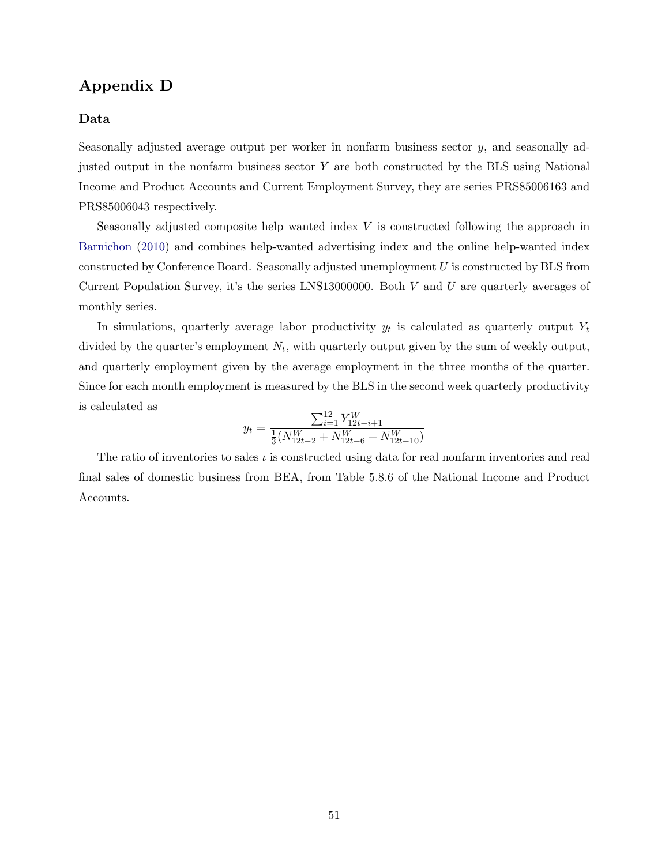# <span id="page-51-0"></span>Appendix D

#### Data

Seasonally adjusted average output per worker in nonfarm business sector  $y$ , and seasonally adjusted output in the nonfarm business sector  $Y$  are both constructed by the BLS using National Income and Product Accounts and Current Employment Survey, they are series PRS85006163 and PRS85006043 respectively.

Seasonally adjusted composite help wanted index V is constructed following the approach in [Barnichon](#page-35-16) [\(2010\)](#page-35-16) and combines help-wanted advertising index and the online help-wanted index constructed by Conference Board. Seasonally adjusted unemployment U is constructed by BLS from Current Population Survey, it's the series LNS13000000. Both  $V$  and  $U$  are quarterly averages of monthly series.

In simulations, quarterly average labor productivity  $y_t$  is calculated as quarterly output  $Y_t$ divided by the quarter's employment  $N_t$ , with quarterly output given by the sum of weekly output, and quarterly employment given by the average employment in the three months of the quarter. Since for each month employment is measured by the BLS in the second week quarterly productivity is calculated as

$$
y_t = \frac{\sum_{i=1}^{12} Y_{12t-i+1}^W}{\frac{1}{3}(N_{12t-2}^W + N_{12t-6}^W + N_{12t-10}^W)}
$$

The ratio of inventories to sales  $\iota$  is constructed using data for real nonfarm inventories and real final sales of domestic business from BEA, from Table 5.8.6 of the National Income and Product Accounts.